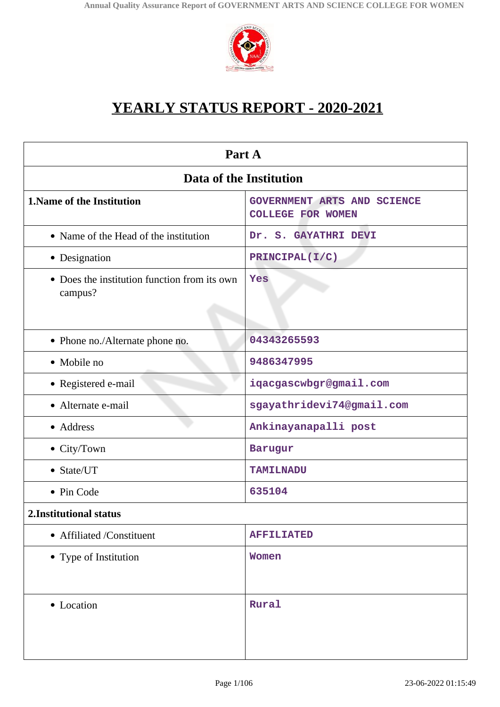

# **YEARLY STATUS REPORT - 2020-2021**

| Part A                                                  |                                                         |  |
|---------------------------------------------------------|---------------------------------------------------------|--|
| Data of the Institution                                 |                                                         |  |
| 1. Name of the Institution                              | GOVERNMENT ARTS AND SCIENCE<br><b>COLLEGE FOR WOMEN</b> |  |
| • Name of the Head of the institution                   | Dr. S. GAYATHRI DEVI                                    |  |
| • Designation                                           | PRINCIPAL (I/C)                                         |  |
| • Does the institution function from its own<br>campus? | Yes                                                     |  |
| • Phone no./Alternate phone no.                         | 04343265593                                             |  |
| • Mobile no                                             | 9486347995                                              |  |
| • Registered e-mail                                     | iqacgascwbgr@gmail.com                                  |  |
| • Alternate e-mail                                      | sgayathridevi74@gmail.com                               |  |
| • Address                                               | Ankinayanapalli post                                    |  |
| • City/Town                                             | Barugur                                                 |  |
| • State/UT                                              | <b>TAMILNADU</b>                                        |  |
| • Pin Code                                              | 635104                                                  |  |
| 2. Institutional status                                 |                                                         |  |
| • Affiliated /Constituent                               | <b>AFFILIATED</b>                                       |  |
| • Type of Institution                                   | <b>Women</b>                                            |  |
| • Location                                              | Rural                                                   |  |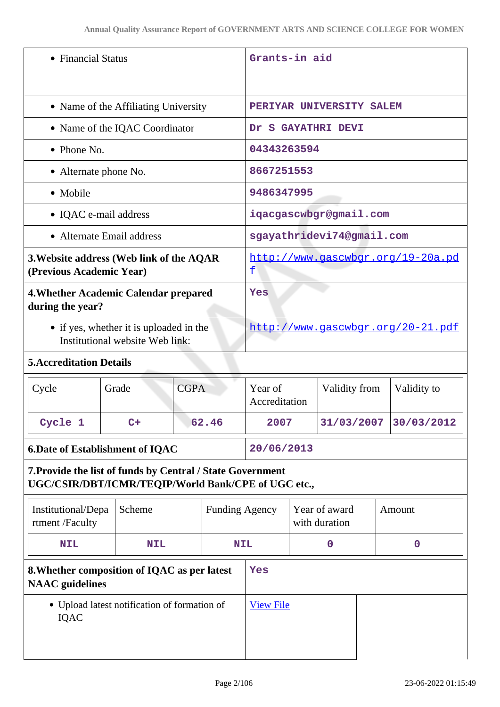| • Financial Status                                                                                                |                                              | Grants-in aid                     |                                        |                                |                           |  |             |
|-------------------------------------------------------------------------------------------------------------------|----------------------------------------------|-----------------------------------|----------------------------------------|--------------------------------|---------------------------|--|-------------|
| • Name of the Affiliating University                                                                              |                                              | PERIYAR UNIVERSITY SALEM          |                                        |                                |                           |  |             |
|                                                                                                                   | • Name of the IQAC Coordinator               |                                   | Dr.                                    |                                | <b>S GAYATHRI DEVI</b>    |  |             |
| • Phone No.                                                                                                       |                                              |                                   | 04343263594                            |                                |                           |  |             |
| • Alternate phone No.                                                                                             |                                              |                                   | 8667251553                             |                                |                           |  |             |
| • Mobile                                                                                                          |                                              |                                   | 9486347995                             |                                |                           |  |             |
| • IQAC e-mail address                                                                                             |                                              |                                   | iqacgascwbgr@gmail.com                 |                                |                           |  |             |
| • Alternate Email address                                                                                         |                                              |                                   |                                        |                                | sgayathridevi74@gmail.com |  |             |
| (Previous Academic Year)                                                                                          | 3. Website address (Web link of the AQAR     |                                   | http://www.gascwbgr.org/19-20a.pd<br>£ |                                |                           |  |             |
| 4. Whether Academic Calendar prepared<br>during the year?                                                         |                                              | Yes                               |                                        |                                |                           |  |             |
| • if yes, whether it is uploaded in the<br>Institutional website Web link:                                        |                                              | http://www.gascwbgr.org/20-21.pdf |                                        |                                |                           |  |             |
| <b>5. Accreditation Details</b>                                                                                   |                                              |                                   |                                        |                                |                           |  |             |
| Cycle                                                                                                             | <b>CGPA</b><br>Grade                         |                                   | Year of<br>Accreditation               |                                | Validity from             |  | Validity to |
| Cycle 1                                                                                                           | $C+$                                         | 62.46                             | 2007                                   |                                | 31/03/2007                |  | 30/03/2012  |
| <b>6.Date of Establishment of IQAC</b>                                                                            |                                              | 20/06/2013                        |                                        |                                |                           |  |             |
| 7. Provide the list of funds by Central / State Government<br>UGC/CSIR/DBT/ICMR/TEQIP/World Bank/CPE of UGC etc., |                                              |                                   |                                        |                                |                           |  |             |
| Institutional/Depa<br>rtment /Faculty                                                                             | Scheme                                       | <b>Funding Agency</b>             |                                        | Year of award<br>with duration |                           |  | Amount      |
| <b>NIL</b>                                                                                                        | <b>NIL</b>                                   | <b>NIL</b>                        |                                        |                                | $\mathbf 0$               |  | $\mathbf 0$ |
| 8. Whether composition of IQAC as per latest<br><b>NAAC</b> guidelines                                            |                                              | Yes                               |                                        |                                |                           |  |             |
| <b>IQAC</b>                                                                                                       | • Upload latest notification of formation of |                                   | <b>View File</b>                       |                                |                           |  |             |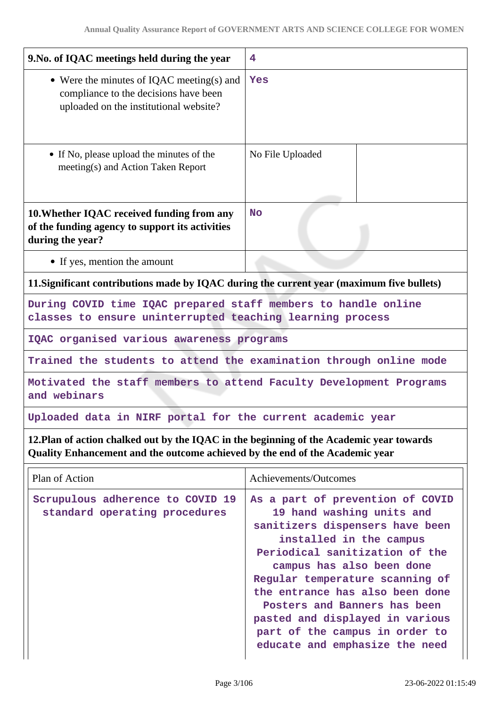| 9. No. of IQAC meetings held during the year                                                                                                                             | 4                                                                                                                                                                                                                                                                                                                                                                                                       |  |
|--------------------------------------------------------------------------------------------------------------------------------------------------------------------------|---------------------------------------------------------------------------------------------------------------------------------------------------------------------------------------------------------------------------------------------------------------------------------------------------------------------------------------------------------------------------------------------------------|--|
| • Were the minutes of IQAC meeting(s) and<br>compliance to the decisions have been<br>uploaded on the institutional website?                                             | Yes                                                                                                                                                                                                                                                                                                                                                                                                     |  |
| • If No, please upload the minutes of the<br>meeting(s) and Action Taken Report                                                                                          | No File Uploaded                                                                                                                                                                                                                                                                                                                                                                                        |  |
| 10. Whether IQAC received funding from any<br>of the funding agency to support its activities<br>during the year?                                                        | <b>No</b>                                                                                                                                                                                                                                                                                                                                                                                               |  |
| • If yes, mention the amount                                                                                                                                             |                                                                                                                                                                                                                                                                                                                                                                                                         |  |
| 11. Significant contributions made by IQAC during the current year (maximum five bullets)                                                                                |                                                                                                                                                                                                                                                                                                                                                                                                         |  |
| During COVID time IQAC prepared staff members to handle online<br>classes to ensure uninterrupted teaching learning process                                              |                                                                                                                                                                                                                                                                                                                                                                                                         |  |
| IQAC organised various awareness programs                                                                                                                                |                                                                                                                                                                                                                                                                                                                                                                                                         |  |
| Trained the students to attend the examination through online mode                                                                                                       |                                                                                                                                                                                                                                                                                                                                                                                                         |  |
| Motivated the staff members to attend Faculty Development Programs<br>and webinars                                                                                       |                                                                                                                                                                                                                                                                                                                                                                                                         |  |
| Uploaded data in NIRF portal for the current academic year                                                                                                               |                                                                                                                                                                                                                                                                                                                                                                                                         |  |
| 12. Plan of action chalked out by the IQAC in the beginning of the Academic year towards<br>Quality Enhancement and the outcome achieved by the end of the Academic year |                                                                                                                                                                                                                                                                                                                                                                                                         |  |
| Plan of Action                                                                                                                                                           | Achievements/Outcomes                                                                                                                                                                                                                                                                                                                                                                                   |  |
| Scrupulous adherence to COVID 19<br>standard operating procedures                                                                                                        | As a part of prevention of COVID<br>19 hand washing units and<br>sanitizers dispensers have been<br>installed in the campus<br>Periodical sanitization of the<br>campus has also been done<br>Regular temperature scanning of<br>the entrance has also been done<br>Posters and Banners has been<br>pasted and displayed in various<br>part of the campus in order to<br>educate and emphasize the need |  |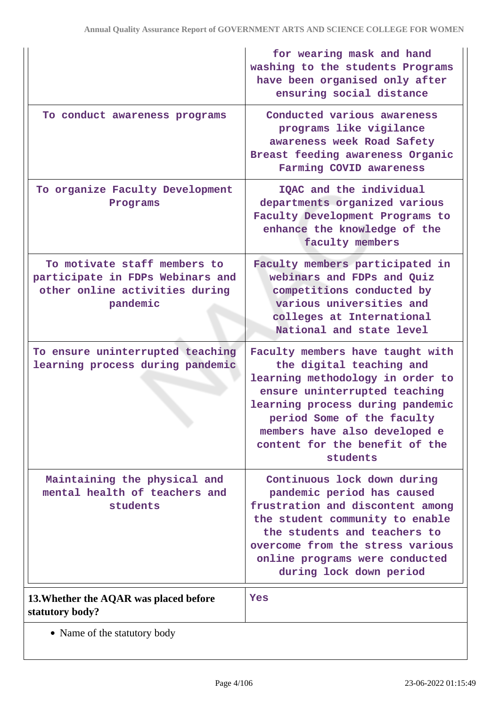|                                                                                                                | for wearing mask and hand<br>washing to the students Programs<br>have been organised only after<br>ensuring social distance                                                                                                                                                        |
|----------------------------------------------------------------------------------------------------------------|------------------------------------------------------------------------------------------------------------------------------------------------------------------------------------------------------------------------------------------------------------------------------------|
| To conduct awareness programs                                                                                  | Conducted various awareness<br>programs like vigilance<br>awareness week Road Safety<br>Breast feeding awareness Organic<br>Farming COVID awareness                                                                                                                                |
| To organize Faculty Development<br>Programs                                                                    | IQAC and the individual<br>departments organized various<br>Faculty Development Programs to<br>enhance the knowledge of the<br>faculty members                                                                                                                                     |
| To motivate staff members to<br>participate in FDPs Webinars and<br>other online activities during<br>pandemic | Faculty members participated in<br>webinars and FDPs and Quiz<br>competitions conducted by<br>various universities and<br>colleges at International<br>National and state level                                                                                                    |
| To ensure uninterrupted teaching<br>learning process during pandemic                                           | Faculty members have taught with<br>the digital teaching and<br>learning methodology in order to<br>ensure uninterrupted teaching<br>learning process during pandemic<br>period Some of the faculty<br>members have also developed e<br>content for the benefit of the<br>students |
| Maintaining the physical and<br>mental health of teachers and<br>students                                      | Continuous lock down during<br>pandemic period has caused<br>frustration and discontent among<br>the student community to enable<br>the students and teachers to<br>overcome from the stress various<br>online programs were conducted<br>during lock down period                  |
| 13. Whether the AQAR was placed before<br>statutory body?                                                      | Yes                                                                                                                                                                                                                                                                                |
| • Name of the statutory body                                                                                   |                                                                                                                                                                                                                                                                                    |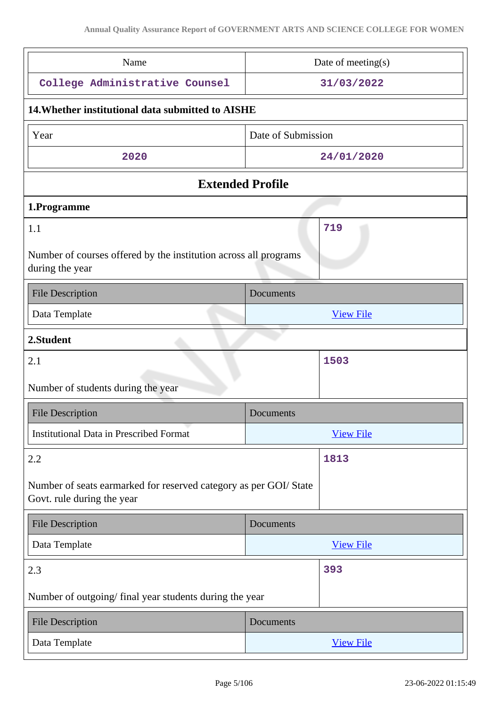| Name                                                                                            | Date of meeting $(s)$ |  |
|-------------------------------------------------------------------------------------------------|-----------------------|--|
|                                                                                                 |                       |  |
| College Administrative Counsel                                                                  | 31/03/2022            |  |
| 14. Whether institutional data submitted to AISHE                                               |                       |  |
| Year                                                                                            | Date of Submission    |  |
| 2020                                                                                            | 24/01/2020            |  |
| <b>Extended Profile</b>                                                                         |                       |  |
| 1.Programme                                                                                     |                       |  |
| 1.1                                                                                             | 719                   |  |
| Number of courses offered by the institution across all programs<br>during the year             |                       |  |
| <b>File Description</b>                                                                         | Documents             |  |
| Data Template                                                                                   | <b>View File</b>      |  |
| 2.Student                                                                                       |                       |  |
| 2.1                                                                                             | 1503                  |  |
| Number of students during the year                                                              |                       |  |
| <b>File Description</b>                                                                         | Documents             |  |
| <b>Institutional Data in Prescribed Format</b>                                                  | <b>View File</b>      |  |
| 2.2                                                                                             | 1813                  |  |
| Number of seats earmarked for reserved category as per GOI/ State<br>Govt. rule during the year |                       |  |
| <b>File Description</b>                                                                         | Documents             |  |
| Data Template                                                                                   | <b>View File</b>      |  |
| 2.3                                                                                             | 393                   |  |
| Number of outgoing/final year students during the year                                          |                       |  |
| <b>File Description</b>                                                                         | Documents             |  |
|                                                                                                 |                       |  |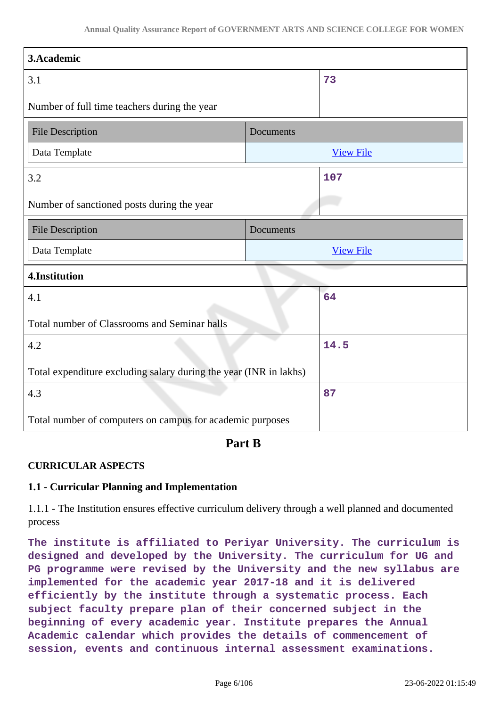| 3.Academic                                                        |           |                  |
|-------------------------------------------------------------------|-----------|------------------|
| 3.1                                                               |           | 73               |
| Number of full time teachers during the year                      |           |                  |
| <b>File Description</b>                                           | Documents |                  |
| Data Template                                                     |           | <b>View File</b> |
| 3.2                                                               |           | 107              |
| Number of sanctioned posts during the year                        |           |                  |
| <b>File Description</b>                                           | Documents |                  |
| Data Template                                                     |           | <b>View File</b> |
| 4.Institution                                                     |           |                  |
| 4.1                                                               |           | 64               |
| Total number of Classrooms and Seminar halls                      |           |                  |
| 4.2                                                               |           | 14.5             |
| Total expenditure excluding salary during the year (INR in lakhs) |           |                  |
| 4.3                                                               |           | 87               |
| Total number of computers on campus for academic purposes         |           |                  |

**Part B**

# **CURRICULAR ASPECTS**

### **1.1 - Curricular Planning and Implementation**

1.1.1 - The Institution ensures effective curriculum delivery through a well planned and documented process

**The institute is affiliated to Periyar University. The curriculum is designed and developed by the University. The curriculum for UG and PG programme were revised by the University and the new syllabus are implemented for the academic year 2017-18 and it is delivered efficiently by the institute through a systematic process. Each subject faculty prepare plan of their concerned subject in the beginning of every academic year. Institute prepares the Annual Academic calendar which provides the details of commencement of session, events and continuous internal assessment examinations.**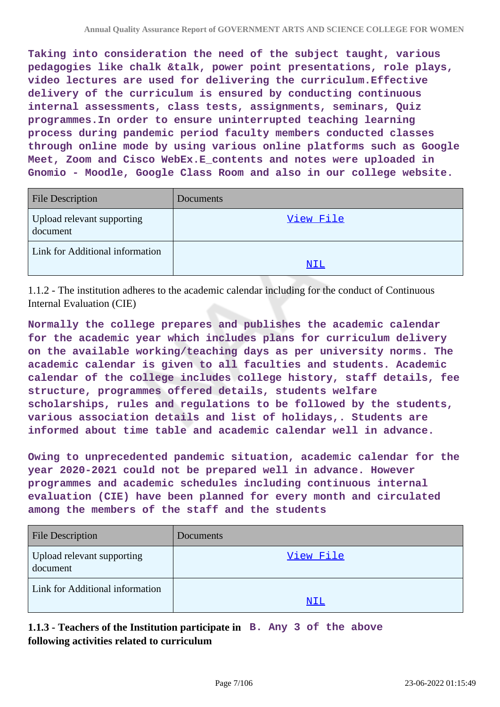**Taking into consideration the need of the subject taught, various pedagogies like chalk &talk, power point presentations, role plays, video lectures are used for delivering the curriculum.Effective delivery of the curriculum is ensured by conducting continuous internal assessments, class tests, assignments, seminars, Quiz programmes.In order to ensure uninterrupted teaching learning process during pandemic period faculty members conducted classes through online mode by using various online platforms such as Google Meet, Zoom and Cisco WebEx.E\_contents and notes were uploaded in Gnomio - Moodle, Google Class Room and also in our college website.**

| <b>File Description</b>                | Documents |
|----------------------------------------|-----------|
| Upload relevant supporting<br>document | View File |
| Link for Additional information        | NIL       |

1.1.2 - The institution adheres to the academic calendar including for the conduct of Continuous Internal Evaluation (CIE)

**Normally the college prepares and publishes the academic calendar for the academic year which includes plans for curriculum delivery on the available working/teaching days as per university norms. The academic calendar is given to all faculties and students. Academic calendar of the college includes college history, staff details, fee structure, programmes offered details, students welfare scholarships, rules and regulations to be followed by the students, various association details and list of holidays,. Students are informed about time table and academic calendar well in advance.**

**Owing to unprecedented pandemic situation, academic calendar for the year 2020-2021 could not be prepared well in advance. However programmes and academic schedules including continuous internal evaluation (CIE) have been planned for every month and circulated among the members of the staff and the students**

| <b>File Description</b>                | <b>Documents</b> |
|----------------------------------------|------------------|
| Upload relevant supporting<br>document | View File        |
| Link for Additional information        | NIL              |

**1.1.3 - Teachers of the Institution participate in B. Any 3 of the above following activities related to curriculum**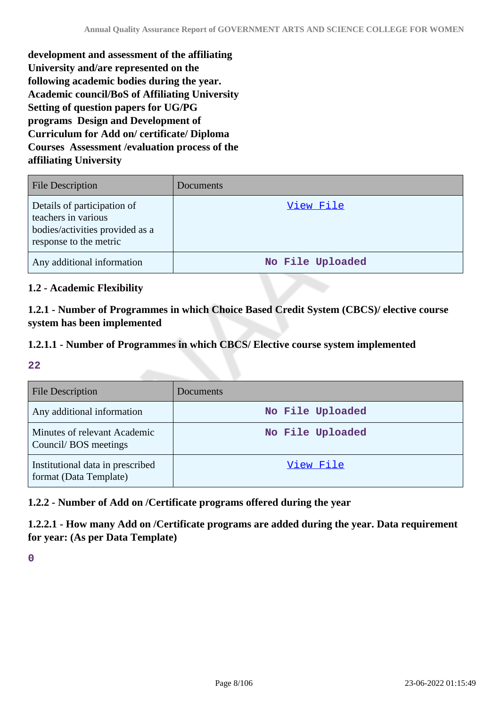**development and assessment of the affiliating University and/are represented on the following academic bodies during the year. Academic council/BoS of Affiliating University Setting of question papers for UG/PG programs Design and Development of Curriculum for Add on/ certificate/ Diploma Courses Assessment /evaluation process of the affiliating University**

| <b>File Description</b>                                                                                         | Documents        |
|-----------------------------------------------------------------------------------------------------------------|------------------|
| Details of participation of<br>teachers in various<br>bodies/activities provided as a<br>response to the metric | View File        |
| Any additional information                                                                                      | No File Uploaded |

# **1.2 - Academic Flexibility**

**1.2.1 - Number of Programmes in which Choice Based Credit System (CBCS)/ elective course system has been implemented**

# **1.2.1.1 - Number of Programmes in which CBCS/ Elective course system implemented**

**22**

| <b>File Description</b>                                    | Documents        |
|------------------------------------------------------------|------------------|
| Any additional information                                 | No File Uploaded |
| Minutes of relevant Academic<br>Council/BOS meetings       | No File Uploaded |
| Institutional data in prescribed<br>format (Data Template) | View File        |

# **1.2.2 - Number of Add on /Certificate programs offered during the year**

**1.2.2.1 - How many Add on /Certificate programs are added during the year. Data requirement for year: (As per Data Template)**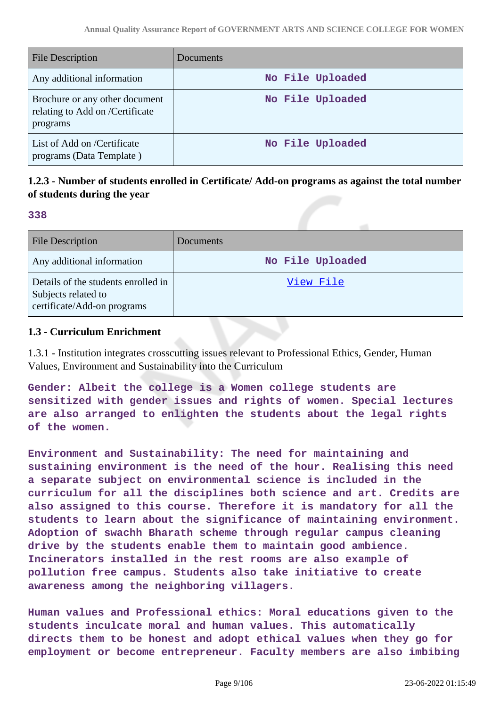| <b>File Description</b>                                                       | Documents        |
|-------------------------------------------------------------------------------|------------------|
| Any additional information                                                    | No File Uploaded |
| Brochure or any other document<br>relating to Add on /Certificate<br>programs | No File Uploaded |
| List of Add on /Certificate<br>programs (Data Template)                       | No File Uploaded |

# **1.2.3 - Number of students enrolled in Certificate/ Add-on programs as against the total number of students during the year**

#### **338**

| File Description                                                                          | Documents        |
|-------------------------------------------------------------------------------------------|------------------|
| Any additional information                                                                | No File Uploaded |
| Details of the students enrolled in<br>Subjects related to<br>certificate/Add-on programs | View File        |

### **1.3 - Curriculum Enrichment**

1.3.1 - Institution integrates crosscutting issues relevant to Professional Ethics, Gender, Human Values, Environment and Sustainability into the Curriculum

**Gender: Albeit the college is a Women college students are sensitized with gender issues and rights of women. Special lectures are also arranged to enlighten the students about the legal rights of the women.**

**Environment and Sustainability: The need for maintaining and sustaining environment is the need of the hour. Realising this need a separate subject on environmental science is included in the curriculum for all the disciplines both science and art. Credits are also assigned to this course. Therefore it is mandatory for all the students to learn about the significance of maintaining environment. Adoption of swachh Bharath scheme through regular campus cleaning drive by the students enable them to maintain good ambience. Incinerators installed in the rest rooms are also example of pollution free campus. Students also take initiative to create awareness among the neighboring villagers.**

**Human values and Professional ethics: Moral educations given to the students inculcate moral and human values. This automatically directs them to be honest and adopt ethical values when they go for employment or become entrepreneur. Faculty members are also imbibing**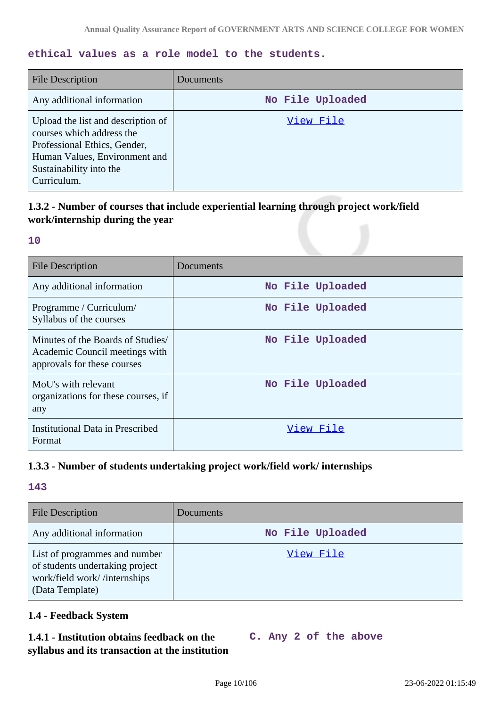# **ethical values as a role model to the students.**

| <b>File Description</b>                                                                                                                                                    | Documents        |
|----------------------------------------------------------------------------------------------------------------------------------------------------------------------------|------------------|
| Any additional information                                                                                                                                                 | No File Uploaded |
| Upload the list and description of<br>courses which address the<br>Professional Ethics, Gender,<br>Human Values, Environment and<br>Sustainability into the<br>Curriculum. | View File        |

# **1.3.2 - Number of courses that include experiential learning through project work/field work/internship during the year**

#### **10**

| <b>File Description</b>                                                                            | Documents        |
|----------------------------------------------------------------------------------------------------|------------------|
| Any additional information                                                                         | No File Uploaded |
| Programme / Curriculum/<br>Syllabus of the courses                                                 | No File Uploaded |
| Minutes of the Boards of Studies/<br>Academic Council meetings with<br>approvals for these courses | No File Uploaded |
| MoU's with relevant<br>organizations for these courses, if<br>any                                  | No File Uploaded |
| <b>Institutional Data in Prescribed</b><br>Format                                                  | View File        |

# **1.3.3 - Number of students undertaking project work/field work/ internships**

### **143**

| <b>File Description</b>                                                                                             | Documents        |
|---------------------------------------------------------------------------------------------------------------------|------------------|
| Any additional information                                                                                          | No File Uploaded |
| List of programmes and number<br>of students undertaking project<br>work/field work//internships<br>(Data Template) | View File        |

# **1.4 - Feedback System**

# **1.4.1 - Institution obtains feedback on the syllabus and its transaction at the institution**

|  |  |  |  |  | C. Any 2 of the above |
|--|--|--|--|--|-----------------------|
|--|--|--|--|--|-----------------------|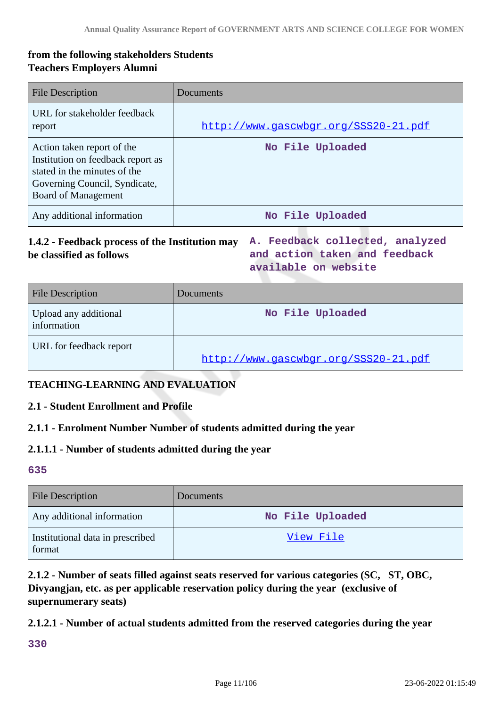# **from the following stakeholders Students Teachers Employers Alumni**

| <b>File Description</b>                                                                                                                                        | Documents                            |
|----------------------------------------------------------------------------------------------------------------------------------------------------------------|--------------------------------------|
| URL for stakeholder feedback<br>report                                                                                                                         | http://www.qascwbqr.org/SSS20-21.pdf |
| Action taken report of the<br>Institution on feedback report as<br>stated in the minutes of the<br>Governing Council, Syndicate,<br><b>Board of Management</b> | No File Uploaded                     |
| Any additional information                                                                                                                                     | No File Uploaded                     |

# **1.4.2 - Feedback process of the Institution may A. Feedback collected, analyzed be classified as follows**

**and action taken and feedback available on website**

| <b>File Description</b>              | Documents                            |
|--------------------------------------|--------------------------------------|
| Upload any additional<br>information | No File Uploaded                     |
| URL for feedback report              | http://www.qascwbqr.org/SSS20-21.pdf |

### **TEACHING-LEARNING AND EVALUATION**

#### **2.1 - Student Enrollment and Profile**

#### **2.1.1 - Enrolment Number Number of students admitted during the year**

#### **2.1.1.1 - Number of students admitted during the year**

**635**

| <b>File Description</b>                    | Documents        |
|--------------------------------------------|------------------|
| Any additional information                 | No File Uploaded |
| Institutional data in prescribed<br>format | View File        |

# **2.1.2 - Number of seats filled against seats reserved for various categories (SC, ST, OBC, Divyangjan, etc. as per applicable reservation policy during the year (exclusive of supernumerary seats)**

#### **2.1.2.1 - Number of actual students admitted from the reserved categories during the year**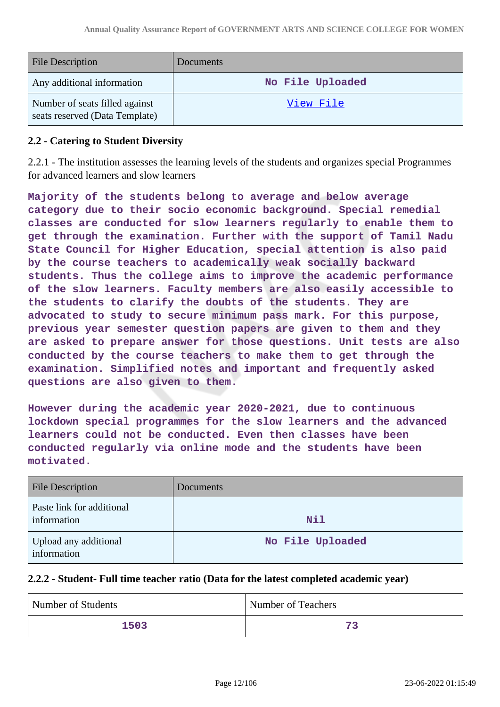| <b>File Description</b>                                          | <b>Documents</b> |
|------------------------------------------------------------------|------------------|
| Any additional information                                       | No File Uploaded |
| Number of seats filled against<br>seats reserved (Data Template) | View File        |

### **2.2 - Catering to Student Diversity**

2.2.1 - The institution assesses the learning levels of the students and organizes special Programmes for advanced learners and slow learners

**Majority of the students belong to average and below average category due to their socio economic background. Special remedial classes are conducted for slow learners regularly to enable them to get through the examination. Further with the support of Tamil Nadu State Council for Higher Education, special attention is also paid by the course teachers to academically weak socially backward students. Thus the college aims to improve the academic performance of the slow learners. Faculty members are also easily accessible to the students to clarify the doubts of the students. They are advocated to study to secure minimum pass mark. For this purpose, previous year semester question papers are given to them and they are asked to prepare answer for those questions. Unit tests are also conducted by the course teachers to make them to get through the examination. Simplified notes and important and frequently asked questions are also given to them.**

**However during the academic year 2020-2021, due to continuous lockdown special programmes for the slow learners and the advanced learners could not be conducted. Even then classes have been conducted regularly via online mode and the students have been motivated.**

| <b>File Description</b>                  | <b>Documents</b> |
|------------------------------------------|------------------|
| Paste link for additional<br>information | Nil              |
| Upload any additional<br>information     | No File Uploaded |

#### **2.2.2 - Student- Full time teacher ratio (Data for the latest completed academic year)**

| Number of Students | <b>Number of Teachers</b> |
|--------------------|---------------------------|
| 1503               | 72                        |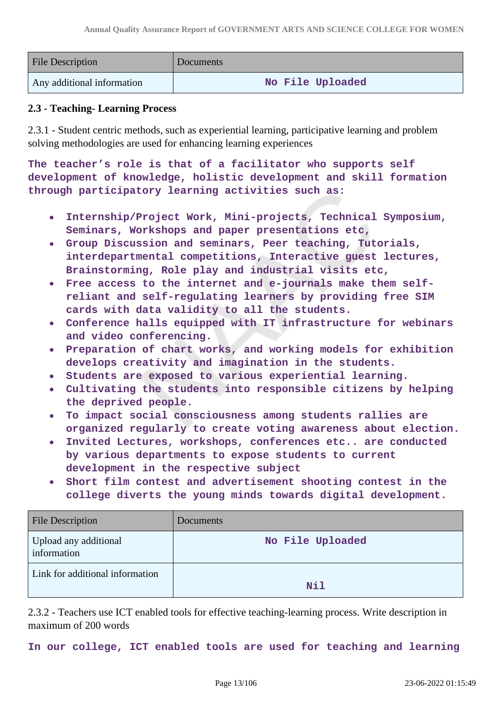| <b>File Description</b>    | Documents        |
|----------------------------|------------------|
| Any additional information | No File Uploaded |

### **2.3 - Teaching- Learning Process**

2.3.1 - Student centric methods, such as experiential learning, participative learning and problem solving methodologies are used for enhancing learning experiences

**The teacher's role is that of a facilitator who supports self development of knowledge, holistic development and skill formation through participatory learning activities such as:**

- **Internship/Project Work, Mini-projects, Technical Symposium,**  $\bullet$ **Seminars, Workshops and paper presentations etc,**
- **Group Discussion and seminars, Peer teaching, Tutorials,**  $\bullet$ **interdepartmental competitions, Interactive guest lectures, Brainstorming, Role play and industrial visits etc,**
- **Free access to the internet and e-journals make them selfreliant and self-regulating learners by providing free SIM cards with data validity to all the students.**
- **Conference halls equipped with IT infrastructure for webinars and video conferencing.**
- **Preparation of chart works, and working models for exhibition develops creativity and imagination in the students.**
- **Students are exposed to various experiential learning.**
- **Cultivating the students into responsible citizens by helping the deprived people.**
- **To impact social consciousness among students rallies are organized regularly to create voting awareness about election.**
- **Invited Lectures, workshops, conferences etc.. are conducted by various departments to expose students to current development in the respective subject**
- **Short film contest and advertisement shooting contest in the college diverts the young minds towards digital development.**

| <b>File Description</b>              | <b>Documents</b> |
|--------------------------------------|------------------|
| Upload any additional<br>information | No File Uploaded |
| Link for additional information      | Nil              |

2.3.2 - Teachers use ICT enabled tools for effective teaching-learning process. Write description in maximum of 200 words

**In our college, ICT enabled tools are used for teaching and learning**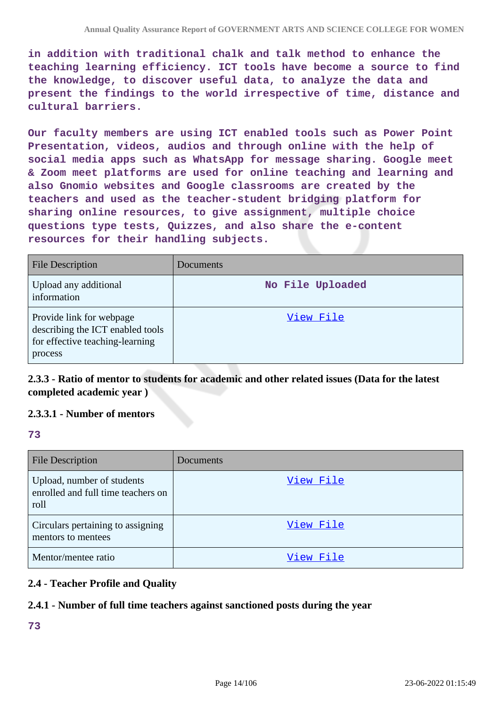**in addition with traditional chalk and talk method to enhance the teaching learning efficiency. ICT tools have become a source to find the knowledge, to discover useful data, to analyze the data and present the findings to the world irrespective of time, distance and cultural barriers.**

**Our faculty members are using ICT enabled tools such as Power Point Presentation, videos, audios and through online with the help of social media apps such as WhatsApp for message sharing. Google meet & Zoom meet platforms are used for online teaching and learning and also Gnomio websites and Google classrooms are created by the teachers and used as the teacher-student bridging platform for sharing online resources, to give assignment, multiple choice questions type tests, Quizzes, and also share the e-content resources for their handling subjects.**

| <b>File Description</b>                                                                                    | Documents        |
|------------------------------------------------------------------------------------------------------------|------------------|
| Upload any additional<br>information                                                                       | No File Uploaded |
| Provide link for webpage<br>describing the ICT enabled tools<br>for effective teaching-learning<br>process | View File        |

**2.3.3 - Ratio of mentor to students for academic and other related issues (Data for the latest completed academic year )**

## **2.3.3.1 - Number of mentors**

#### **73**

| <b>File Description</b>                                                  | <b>Documents</b> |
|--------------------------------------------------------------------------|------------------|
| Upload, number of students<br>enrolled and full time teachers on<br>roll | View File        |
| Circulars pertaining to assigning<br>mentors to mentees                  | View File        |
| Mentor/mentee ratio                                                      | View File        |

### **2.4 - Teacher Profile and Quality**

### **2.4.1 - Number of full time teachers against sanctioned posts during the year**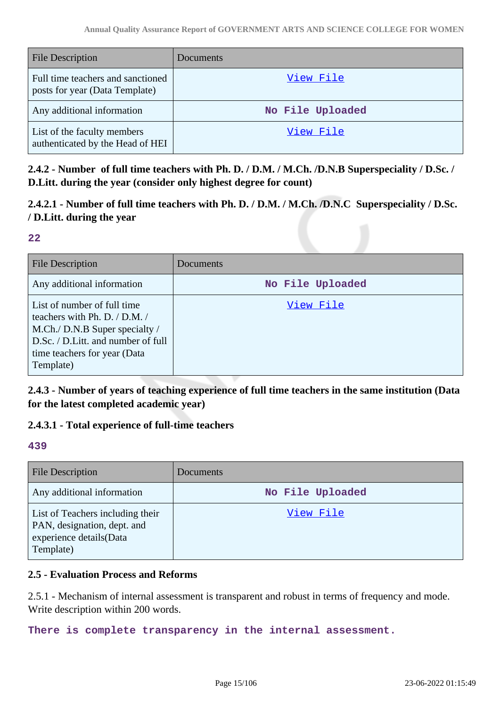| <b>File Description</b>                                             | <b>Documents</b> |
|---------------------------------------------------------------------|------------------|
| Full time teachers and sanctioned<br>posts for year (Data Template) | View File        |
| Any additional information                                          | No File Uploaded |
| List of the faculty members<br>authenticated by the Head of HEI     | View File        |

**2.4.2 - Number of full time teachers with Ph. D. / D.M. / M.Ch. /D.N.B Superspeciality / D.Sc. / D.Litt. during the year (consider only highest degree for count)**

**2.4.2.1 - Number of full time teachers with Ph. D. / D.M. / M.Ch. /D.N.C Superspeciality / D.Sc. / D.Litt. during the year**

#### **22**

| <b>File Description</b>                                                                                                                                                           | Documents        |
|-----------------------------------------------------------------------------------------------------------------------------------------------------------------------------------|------------------|
| Any additional information                                                                                                                                                        | No File Uploaded |
| List of number of full time<br>teachers with Ph. D. / D.M. /<br>M.Ch./ D.N.B Super specialty /<br>D.Sc. / D.Litt. and number of full<br>time teachers for year (Data<br>Template) | View File        |

**2.4.3 - Number of years of teaching experience of full time teachers in the same institution (Data for the latest completed academic year)**

# **2.4.3.1 - Total experience of full-time teachers**

#### **439**

| <b>File Description</b>                                                                                 | Documents        |
|---------------------------------------------------------------------------------------------------------|------------------|
| Any additional information                                                                              | No File Uploaded |
| List of Teachers including their<br>PAN, designation, dept. and<br>experience details(Data<br>Template) | View File        |

## **2.5 - Evaluation Process and Reforms**

2.5.1 - Mechanism of internal assessment is transparent and robust in terms of frequency and mode. Write description within 200 words.

**There is complete transparency in the internal assessment.**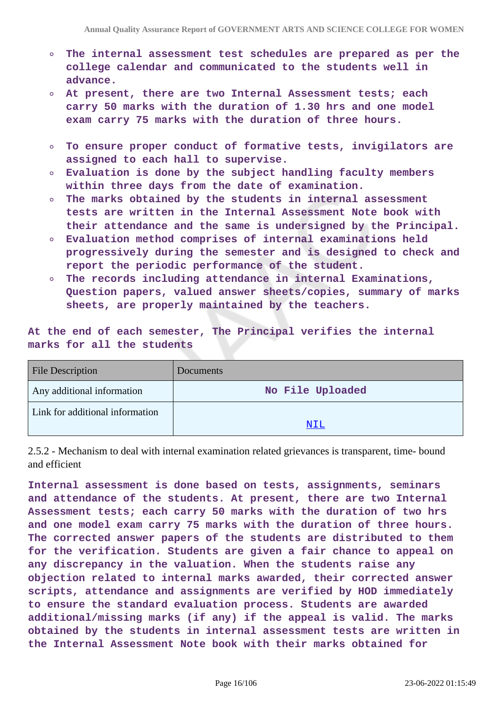- **The internal assessment test schedules are prepared as per the**  $\circ$ **college calendar and communicated to the students well in advance.**
- **At present, there are two Internal Assessment tests; each carry 50 marks with the duration of 1.30 hrs and one model exam carry 75 marks with the duration of three hours.**
- **To ensure proper conduct of formative tests, invigilators are**  $\circ$ **assigned to each hall to supervise.**
- **Evaluation is done by the subject handling faculty members**  $\Omega$ **within three days from the date of examination.**
- **The marks obtained by the students in internal assessment**  $\circ$ **tests are written in the Internal Assessment Note book with their attendance and the same is undersigned by the Principal.**
- **Evaluation method comprises of internal examinations held**  $\Omega$ **progressively during the semester and is designed to check and report the periodic performance of the student.**
- $\circ$ **The records including attendance in internal Examinations, Question papers, valued answer sheets/copies, summary of marks sheets, are properly maintained by the teachers.**

**At the end of each semester, The Principal verifies the internal marks for all the students**

| <b>File Description</b>         | <b>Documents</b> |
|---------------------------------|------------------|
| Any additional information      | No File Uploaded |
| Link for additional information |                  |
|                                 | NIL              |

2.5.2 - Mechanism to deal with internal examination related grievances is transparent, time- bound and efficient

**Internal assessment is done based on tests, assignments, seminars and attendance of the students. At present, there are two Internal Assessment tests; each carry 50 marks with the duration of two hrs and one model exam carry 75 marks with the duration of three hours. The corrected answer papers of the students are distributed to them for the verification. Students are given a fair chance to appeal on any discrepancy in the valuation. When the students raise any objection related to internal marks awarded, their corrected answer scripts, attendance and assignments are verified by HOD immediately to ensure the standard evaluation process. Students are awarded additional/missing marks (if any) if the appeal is valid. The marks obtained by the students in internal assessment tests are written in the Internal Assessment Note book with their marks obtained for**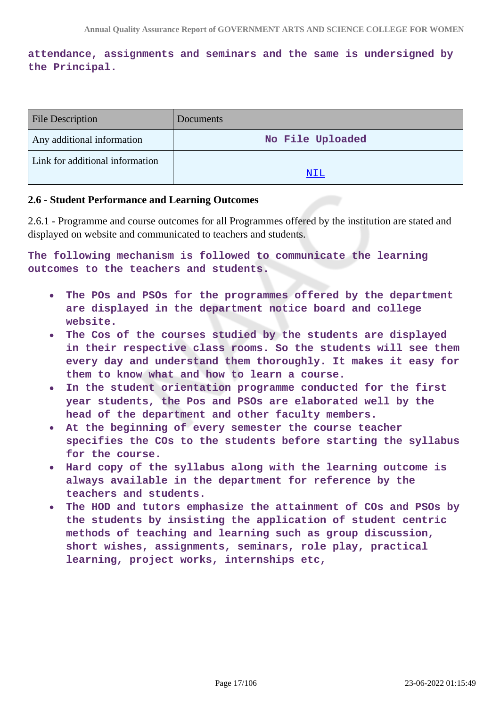# **attendance, assignments and seminars and the same is undersigned by the Principal.**

| <b>File Description</b>         | <b>Documents</b> |
|---------------------------------|------------------|
| Any additional information      | No File Uploaded |
| Link for additional information |                  |
|                                 | NTT.             |

#### **2.6 - Student Performance and Learning Outcomes**

2.6.1 - Programme and course outcomes for all Programmes offered by the institution are stated and displayed on website and communicated to teachers and students.

**The following mechanism is followed to communicate the learning outcomes to the teachers and students.**

- **The POs and PSOs for the programmes offered by the department**  $\bullet$ **are displayed in the department notice board and college website.**
- **The Cos of the courses studied by the students are displayed**  $\bullet$ **in their respective class rooms. So the students will see them every day and understand them thoroughly. It makes it easy for them to know what and how to learn a course.**
- **In the student orientation programme conducted for the first year students, the Pos and PSOs are elaborated well by the head of the department and other faculty members.**
- **At the beginning of every semester the course teacher specifies the COs to the students before starting the syllabus for the course.**
- **Hard copy of the syllabus along with the learning outcome is always available in the department for reference by the teachers and students.**
- **The HOD and tutors emphasize the attainment of COs and PSOs by the students by insisting the application of student centric methods of teaching and learning such as group discussion, short wishes, assignments, seminars, role play, practical learning, project works, internships etc,**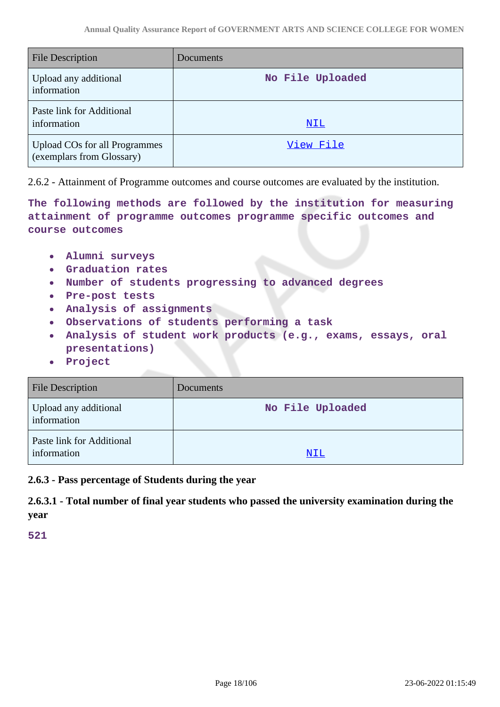| <b>File Description</b>                                           | Documents        |
|-------------------------------------------------------------------|------------------|
| Upload any additional<br>information                              | No File Uploaded |
| Paste link for Additional<br>information                          | <u>NIL</u>       |
| <b>Upload COs for all Programmes</b><br>(exemplars from Glossary) | View File        |

2.6.2 - Attainment of Programme outcomes and course outcomes are evaluated by the institution.

**The following methods are followed by the institution for measuring attainment of programme outcomes programme specific outcomes and course outcomes**

- **Alumni surveys**  $\bullet$
- $\bullet$ **Graduation rates**
- **Number of students progressing to advanced degrees**
- **Pre-post tests**
- **Analysis of assignments**
- **Observations of students performing a task**
- **Analysis of student work products (e.g., exams, essays, oral**  $\bullet$ **presentations)**
- **Project**

| <b>File Description</b>                  | Documents        |
|------------------------------------------|------------------|
| Upload any additional<br>information     | No File Uploaded |
| Paste link for Additional<br>information | NIL              |

**2.6.3 - Pass percentage of Students during the year**

**2.6.3.1 - Total number of final year students who passed the university examination during the year**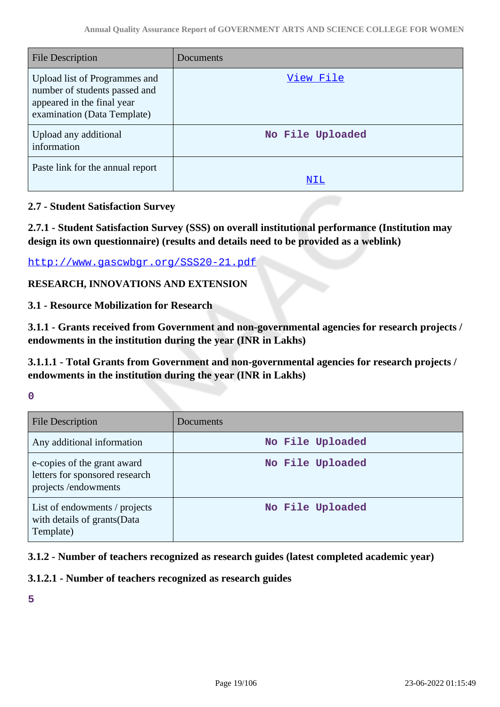| File Description                                                                                                            | Documents        |
|-----------------------------------------------------------------------------------------------------------------------------|------------------|
| Upload list of Programmes and<br>number of students passed and<br>appeared in the final year<br>examination (Data Template) | View File        |
| Upload any additional<br>information                                                                                        | No File Uploaded |
| Paste link for the annual report                                                                                            | NIL              |

# **2.7 - Student Satisfaction Survey**

**2.7.1 - Student Satisfaction Survey (SSS) on overall institutional performance (Institution may design its own questionnaire) (results and details need to be provided as a weblink)**

<http://www.gascwbgr.org/SSS20-21.pdf>

# **RESEARCH, INNOVATIONS AND EXTENSION**

**3.1 - Resource Mobilization for Research**

**3.1.1 - Grants received from Government and non-governmental agencies for research projects / endowments in the institution during the year (INR in Lakhs)**

**3.1.1.1 - Total Grants from Government and non-governmental agencies for research projects / endowments in the institution during the year (INR in Lakhs)**

**0**

| <b>File Description</b>                                                              | Documents        |
|--------------------------------------------------------------------------------------|------------------|
| Any additional information                                                           | No File Uploaded |
| e-copies of the grant award<br>letters for sponsored research<br>projects/endowments | No File Uploaded |
| List of endowments / projects<br>with details of grants(Data<br>Template)            | No File Uploaded |

# **3.1.2 - Number of teachers recognized as research guides (latest completed academic year)**

### **3.1.2.1 - Number of teachers recognized as research guides**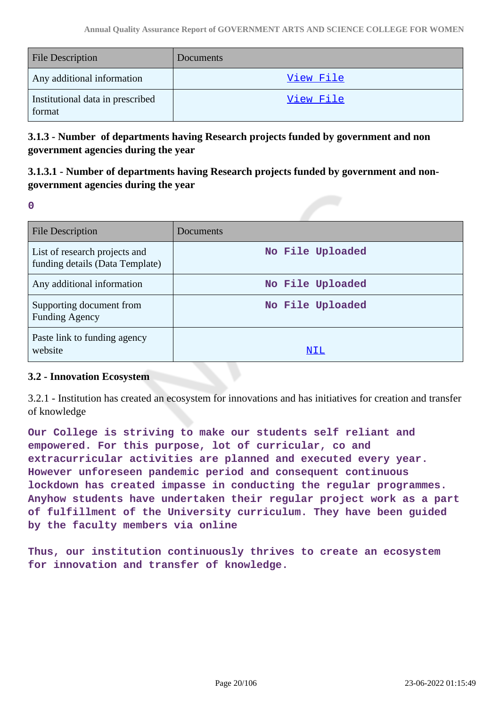| <b>File Description</b>                    | Documents        |
|--------------------------------------------|------------------|
| Any additional information                 | <u>View File</u> |
| Institutional data in prescribed<br>format | View File        |

**3.1.3 - Number of departments having Research projects funded by government and non government agencies during the year**

# **3.1.3.1 - Number of departments having Research projects funded by government and nongovernment agencies during the year**

**0**

| <b>File Description</b>                                          | Documents        |
|------------------------------------------------------------------|------------------|
| List of research projects and<br>funding details (Data Template) | No File Uploaded |
| Any additional information                                       | No File Uploaded |
| Supporting document from<br><b>Funding Agency</b>                | No File Uploaded |
| Paste link to funding agency<br>website                          | NIL              |

### **3.2 - Innovation Ecosystem**

3.2.1 - Institution has created an ecosystem for innovations and has initiatives for creation and transfer of knowledge

**Our College is striving to make our students self reliant and empowered. For this purpose, lot of curricular, co and extracurricular activities are planned and executed every year. However unforeseen pandemic period and consequent continuous lockdown has created impasse in conducting the regular programmes. Anyhow students have undertaken their regular project work as a part of fulfillment of the University curriculum. They have been guided by the faculty members via online**

**Thus, our institution continuously thrives to create an ecosystem for innovation and transfer of knowledge.**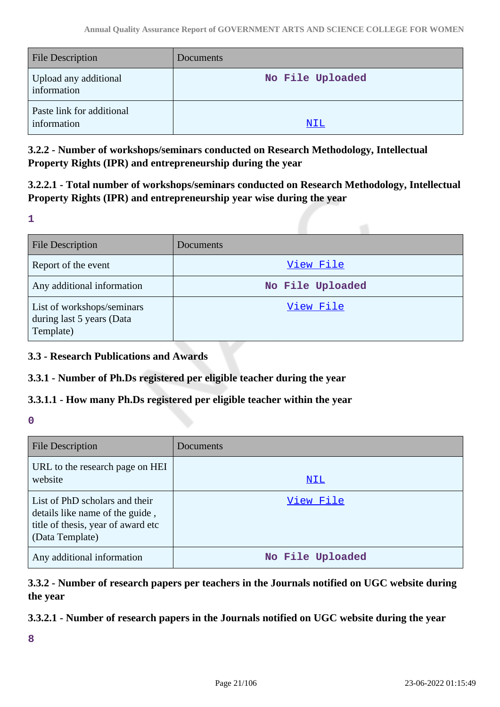| <b>File Description</b>                  | <b>Documents</b> |
|------------------------------------------|------------------|
| Upload any additional<br>information     | No File Uploaded |
| Paste link for additional<br>information | NIL              |

**3.2.2 - Number of workshops/seminars conducted on Research Methodology, Intellectual Property Rights (IPR) and entrepreneurship during the year**

**3.2.2.1 - Total number of workshops/seminars conducted on Research Methodology, Intellectual Property Rights (IPR) and entrepreneurship year wise during the year**

**1**

| <b>File Description</b>                                              | <b>Documents</b> |
|----------------------------------------------------------------------|------------------|
| Report of the event                                                  | View File        |
| Any additional information                                           | No File Uploaded |
| List of workshops/seminars<br>during last 5 years (Data<br>Template) | View File        |

# **3.3 - Research Publications and Awards**

### **3.3.1 - Number of Ph.Ds registered per eligible teacher during the year**

# **3.3.1.1 - How many Ph.Ds registered per eligible teacher within the year**

**0**

| <b>File Description</b>                                                                                                    | Documents        |
|----------------------------------------------------------------------------------------------------------------------------|------------------|
| URL to the research page on HEI<br>website                                                                                 | NIL              |
| List of PhD scholars and their<br>details like name of the guide,<br>title of thesis, year of award etc<br>(Data Template) | View File        |
| Any additional information                                                                                                 | No File Uploaded |

# **3.3.2 - Number of research papers per teachers in the Journals notified on UGC website during the year**

# **3.3.2.1 - Number of research papers in the Journals notified on UGC website during the year**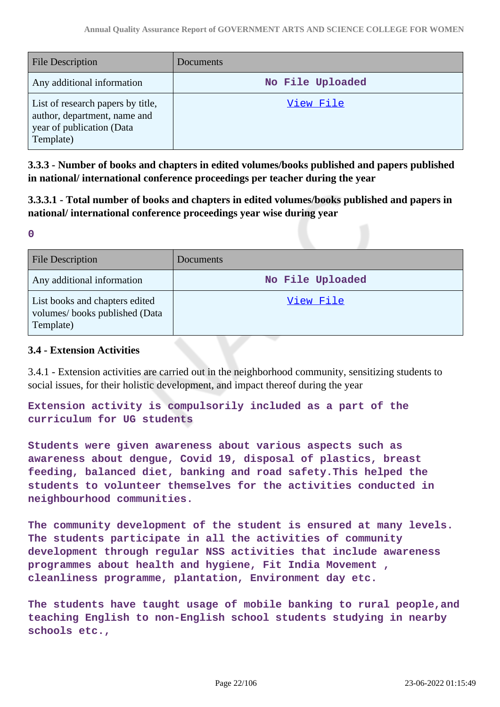| <b>File Description</b>                                                                                     | Documents        |
|-------------------------------------------------------------------------------------------------------------|------------------|
| Any additional information                                                                                  | No File Uploaded |
| List of research papers by title,<br>author, department, name and<br>year of publication (Data<br>Template) | View File        |

**3.3.3 - Number of books and chapters in edited volumes/books published and papers published in national/ international conference proceedings per teacher during the year**

**3.3.3.1 - Total number of books and chapters in edited volumes/books published and papers in national/ international conference proceedings year wise during year**

**0**

| <b>File Description</b>                                                      | Documents        |
|------------------------------------------------------------------------------|------------------|
| Any additional information                                                   | No File Uploaded |
| List books and chapters edited<br>volumes/books published (Data<br>Template) | View File        |

#### **3.4 - Extension Activities**

3.4.1 - Extension activities are carried out in the neighborhood community, sensitizing students to social issues, for their holistic development, and impact thereof during the year

**Extension activity is compulsorily included as a part of the curriculum for UG students**

**Students were given awareness about various aspects such as awareness about dengue, Covid 19, disposal of plastics, breast feeding, balanced diet, banking and road safety.This helped the students to volunteer themselves for the activities conducted in neighbourhood communities.**

**The community development of the student is ensured at many levels. The students participate in all the activities of community development through regular NSS activities that include awareness programmes about health and hygiene, Fit India Movement , cleanliness programme, plantation, Environment day etc.**

**The students have taught usage of mobile banking to rural people,and teaching English to non-English school students studying in nearby schools etc.,**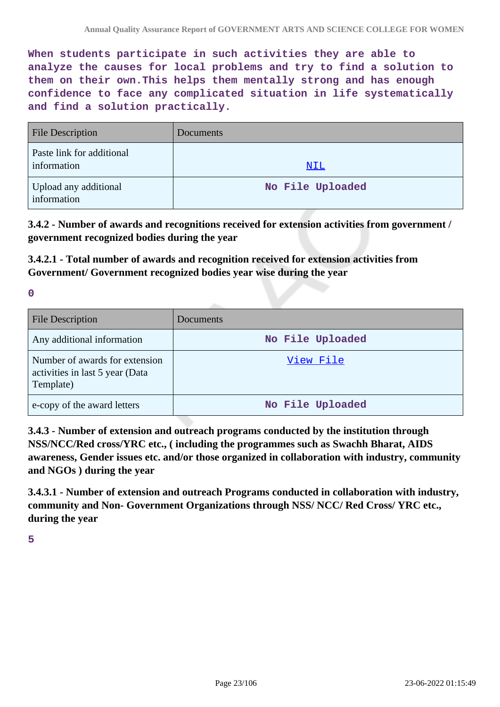**When students participate in such activities they are able to analyze the causes for local problems and try to find a solution to them on their own.This helps them mentally strong and has enough confidence to face any complicated situation in life systematically and find a solution practically.**

| <b>File Description</b>                  | <b>Documents</b> |
|------------------------------------------|------------------|
| Paste link for additional<br>information | NIL              |
| Upload any additional<br>information     | No File Uploaded |

**3.4.2 - Number of awards and recognitions received for extension activities from government / government recognized bodies during the year**

**3.4.2.1 - Total number of awards and recognition received for extension activities from Government/ Government recognized bodies year wise during the year**

**0**

| <b>File Description</b>                                                        | Documents        |
|--------------------------------------------------------------------------------|------------------|
| Any additional information                                                     | No File Uploaded |
| Number of awards for extension<br>activities in last 5 year (Data<br>Template) | View File        |
| e-copy of the award letters                                                    | No File Uploaded |

**3.4.3 - Number of extension and outreach programs conducted by the institution through NSS/NCC/Red cross/YRC etc., ( including the programmes such as Swachh Bharat, AIDS awareness, Gender issues etc. and/or those organized in collaboration with industry, community and NGOs ) during the year**

**3.4.3.1 - Number of extension and outreach Programs conducted in collaboration with industry, community and Non- Government Organizations through NSS/ NCC/ Red Cross/ YRC etc., during the year**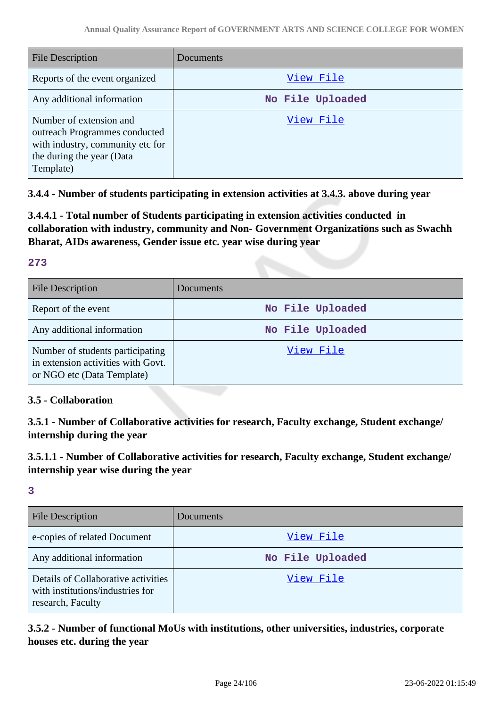| File Description                                                                                                                       | Documents        |
|----------------------------------------------------------------------------------------------------------------------------------------|------------------|
| Reports of the event organized                                                                                                         | View File        |
| Any additional information                                                                                                             | No File Uploaded |
| Number of extension and<br>outreach Programmes conducted<br>with industry, community etc for<br>the during the year (Data<br>Template) | View File        |

**3.4.4 - Number of students participating in extension activities at 3.4.3. above during year**

**3.4.4.1 - Total number of Students participating in extension activities conducted in collaboration with industry, community and Non- Government Organizations such as Swachh Bharat, AIDs awareness, Gender issue etc. year wise during year**

### **273**

| <b>File Description</b>                                                                              | <b>Documents</b> |
|------------------------------------------------------------------------------------------------------|------------------|
| Report of the event                                                                                  | No File Uploaded |
| Any additional information                                                                           | No File Uploaded |
| Number of students participating<br>in extension activities with Govt.<br>or NGO etc (Data Template) | View File        |

### **3.5 - Collaboration**

**3.5.1 - Number of Collaborative activities for research, Faculty exchange, Student exchange/ internship during the year**

**3.5.1.1 - Number of Collaborative activities for research, Faculty exchange, Student exchange/ internship year wise during the year**

**3**

| <b>File Description</b>                                                                      | Documents        |
|----------------------------------------------------------------------------------------------|------------------|
| e-copies of related Document                                                                 | View File        |
| Any additional information                                                                   | No File Uploaded |
| Details of Collaborative activities<br>with institutions/industries for<br>research, Faculty | View File        |

**3.5.2 - Number of functional MoUs with institutions, other universities, industries, corporate houses etc. during the year**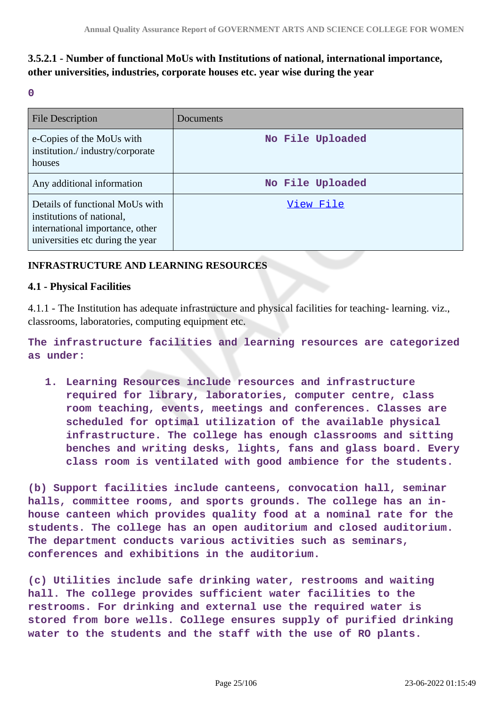# **3.5.2.1 - Number of functional MoUs with Institutions of national, international importance, other universities, industries, corporate houses etc. year wise during the year**

**0**

| <b>File Description</b>                                                                                                             | Documents        |
|-------------------------------------------------------------------------------------------------------------------------------------|------------------|
| e-Copies of the MoUs with<br>institution./industry/corporate<br>houses                                                              | No File Uploaded |
| Any additional information                                                                                                          | No File Uploaded |
| Details of functional MoUs with<br>institutions of national,<br>international importance, other<br>universities etc during the year | View File        |

### **INFRASTRUCTURE AND LEARNING RESOURCES**

#### **4.1 - Physical Facilities**

4.1.1 - The Institution has adequate infrastructure and physical facilities for teaching- learning. viz., classrooms, laboratories, computing equipment etc.

**The infrastructure facilities and learning resources are categorized as under:**

**1. Learning Resources include resources and infrastructure required for library, laboratories, computer centre, class room teaching, events, meetings and conferences. Classes are scheduled for optimal utilization of the available physical infrastructure. The college has enough classrooms and sitting benches and writing desks, lights, fans and glass board. Every class room is ventilated with good ambience for the students.**

**(b) Support facilities include canteens, convocation hall, seminar halls, committee rooms, and sports grounds. The college has an inhouse canteen which provides quality food at a nominal rate for the students. The college has an open auditorium and closed auditorium. The department conducts various activities such as seminars, conferences and exhibitions in the auditorium.**

**(c) Utilities include safe drinking water, restrooms and waiting hall. The college provides sufficient water facilities to the restrooms. For drinking and external use the required water is stored from bore wells. College ensures supply of purified drinking water to the students and the staff with the use of RO plants.**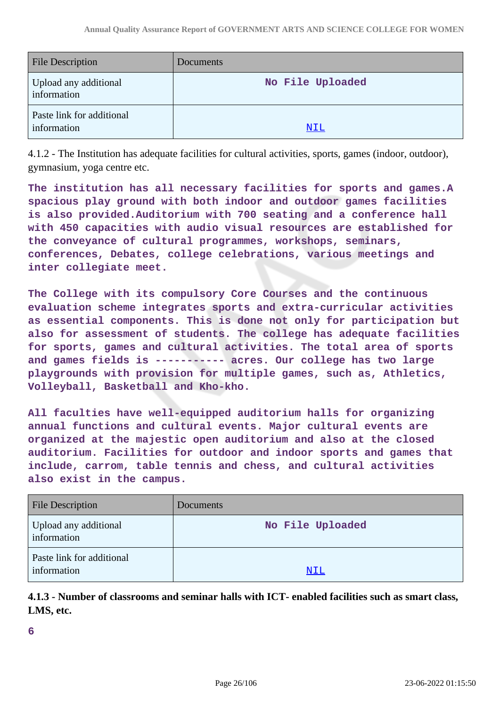| <b>File Description</b>                  | <b>Documents</b> |
|------------------------------------------|------------------|
| Upload any additional<br>information     | No File Uploaded |
| Paste link for additional<br>information | NIL              |

4.1.2 - The Institution has adequate facilities for cultural activities, sports, games (indoor, outdoor), gymnasium, yoga centre etc.

**The institution has all necessary facilities for sports and games.A spacious play ground with both indoor and outdoor games facilities is also provided.Auditorium with 700 seating and a conference hall with 450 capacities with audio visual resources are established for the conveyance of cultural programmes, workshops, seminars, conferences, Debates, college celebrations, various meetings and inter collegiate meet.**

**The College with its compulsory Core Courses and the continuous evaluation scheme integrates sports and extra-curricular activities as essential components. This is done not only for participation but also for assessment of students. The college has adequate facilities for sports, games and cultural activities. The total area of sports and games fields is ----------- acres. Our college has two large playgrounds with provision for multiple games, such as, Athletics, Volleyball, Basketball and Kho-kho.**

**All faculties have well-equipped auditorium halls for organizing annual functions and cultural events. Major cultural events are organized at the majestic open auditorium and also at the closed auditorium. Facilities for outdoor and indoor sports and games that include, carrom, table tennis and chess, and cultural activities also exist in the campus.**

| <b>File Description</b>                  | Documents        |
|------------------------------------------|------------------|
| Upload any additional<br>information     | No File Uploaded |
| Paste link for additional<br>information | NIL              |

**4.1.3 - Number of classrooms and seminar halls with ICT- enabled facilities such as smart class, LMS, etc.**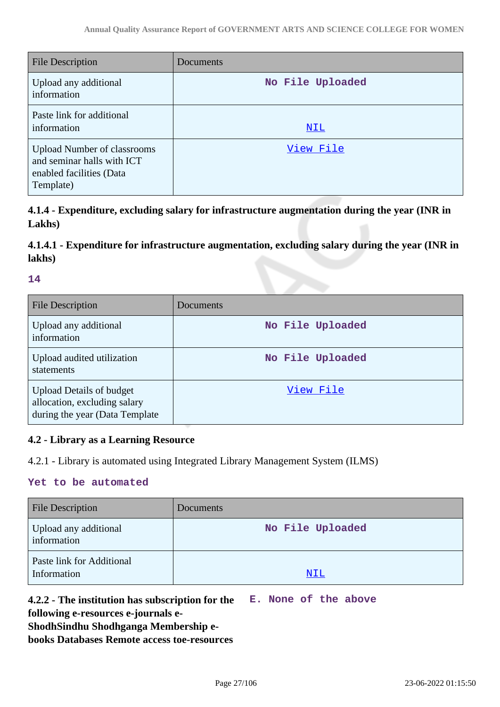| <b>File Description</b>                                                                                   | Documents        |
|-----------------------------------------------------------------------------------------------------------|------------------|
| Upload any additional<br>information                                                                      | No File Uploaded |
| Paste link for additional<br>information                                                                  | NIL              |
| <b>Upload Number of classrooms</b><br>and seminar halls with ICT<br>enabled facilities (Data<br>Template) | View File        |

**4.1.4 - Expenditure, excluding salary for infrastructure augmentation during the year (INR in Lakhs)**

# **4.1.4.1 - Expenditure for infrastructure augmentation, excluding salary during the year (INR in lakhs)**

#### **14**

| <b>File Description</b>                                                                           | Documents        |
|---------------------------------------------------------------------------------------------------|------------------|
| Upload any additional<br>information                                                              | No File Uploaded |
| Upload audited utilization<br>statements                                                          | No File Uploaded |
| <b>Upload Details of budget</b><br>allocation, excluding salary<br>during the year (Data Template | View File        |

# **4.2 - Library as a Learning Resource**

4.2.1 - Library is automated using Integrated Library Management System (ILMS)

#### **Yet to be automated**

| <b>File Description</b>                  | Documents        |
|------------------------------------------|------------------|
| Upload any additional<br>information     | No File Uploaded |
| Paste link for Additional<br>Information | NIL              |

**4.2.2 - The institution has subscription for the E. None of the above**

**following e-resources e-journals e-**

**ShodhSindhu Shodhganga Membership e-**

**books Databases Remote access toe-resources**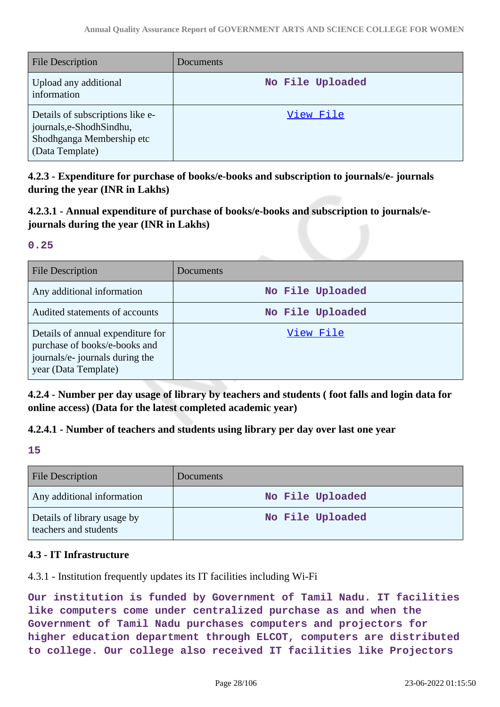| <b>File Description</b>                                                                                       | <b>Documents</b> |
|---------------------------------------------------------------------------------------------------------------|------------------|
| Upload any additional<br>information                                                                          | No File Uploaded |
| Details of subscriptions like e-<br>journals, e-Shodh Sindhu,<br>Shodhganga Membership etc<br>(Data Template) | View File        |

**4.2.3 - Expenditure for purchase of books/e-books and subscription to journals/e- journals during the year (INR in Lakhs)**

**4.2.3.1 - Annual expenditure of purchase of books/e-books and subscription to journals/ejournals during the year (INR in Lakhs)**

#### **0.25**

| <b>File Description</b>                                                                                                       | Documents        |
|-------------------------------------------------------------------------------------------------------------------------------|------------------|
| Any additional information                                                                                                    | No File Uploaded |
| Audited statements of accounts                                                                                                | No File Uploaded |
| Details of annual expenditure for<br>purchase of books/e-books and<br>journals/e- journals during the<br>year (Data Template) | View File        |

**4.2.4 - Number per day usage of library by teachers and students ( foot falls and login data for online access) (Data for the latest completed academic year)**

# **4.2.4.1 - Number of teachers and students using library per day over last one year**

**15**

| <b>File Description</b>                              | <b>Documents</b> |
|------------------------------------------------------|------------------|
| Any additional information                           | No File Uploaded |
| Details of library usage by<br>teachers and students | No File Uploaded |

### **4.3 - IT Infrastructure**

4.3.1 - Institution frequently updates its IT facilities including Wi-Fi

**Our institution is funded by Government of Tamil Nadu. IT facilities like computers come under centralized purchase as and when the Government of Tamil Nadu purchases computers and projectors for higher education department through ELCOT, computers are distributed to college. Our college also received IT facilities like Projectors**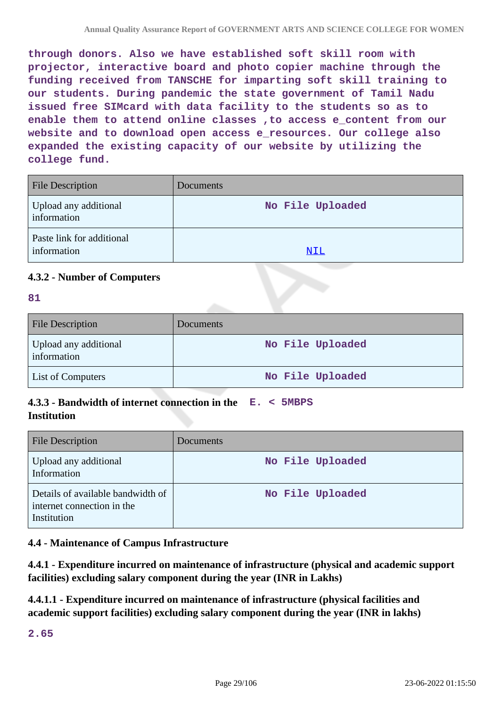**through donors. Also we have established soft skill room with projector, interactive board and photo copier machine through the funding received from TANSCHE for imparting soft skill training to our students. During pandemic the state government of Tamil Nadu issued free SIMcard with data facility to the students so as to** enable them to attend online classes , to access e content from our **website and to download open access e\_resources. Our college also expanded the existing capacity of our website by utilizing the college fund.**

| <b>File Description</b>                  | <b>Documents</b> |
|------------------------------------------|------------------|
| Upload any additional<br>information     | No File Uploaded |
| Paste link for additional<br>information | NIL              |

### **4.3.2 - Number of Computers**

#### **81**

| <b>File Description</b>              | <b>Documents</b> |
|--------------------------------------|------------------|
| Upload any additional<br>information | No File Uploaded |
| List of Computers                    | No File Uploaded |

# **4.3.3 - Bandwidth of internet connection in the E. < 5MBPS Institution**

| <b>File Description</b>                                                        | <b>Documents</b> |
|--------------------------------------------------------------------------------|------------------|
| Upload any additional<br>Information                                           | No File Uploaded |
| Details of available bandwidth of<br>internet connection in the<br>Institution | No File Uploaded |

### **4.4 - Maintenance of Campus Infrastructure**

**4.4.1 - Expenditure incurred on maintenance of infrastructure (physical and academic support facilities) excluding salary component during the year (INR in Lakhs)**

**4.4.1.1 - Expenditure incurred on maintenance of infrastructure (physical facilities and academic support facilities) excluding salary component during the year (INR in lakhs)**

**2.65**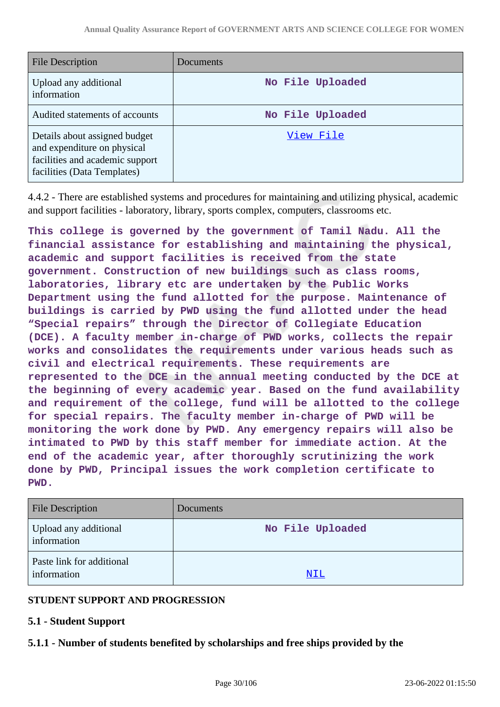| <b>File Description</b>                                                                                                        | Documents        |
|--------------------------------------------------------------------------------------------------------------------------------|------------------|
| Upload any additional<br>information                                                                                           | No File Uploaded |
| Audited statements of accounts                                                                                                 | No File Uploaded |
| Details about assigned budget<br>and expenditure on physical<br>facilities and academic support<br>facilities (Data Templates) | View File        |

4.4.2 - There are established systems and procedures for maintaining and utilizing physical, academic and support facilities - laboratory, library, sports complex, computers, classrooms etc.

**This college is governed by the government of Tamil Nadu. All the financial assistance for establishing and maintaining the physical, academic and support facilities is received from the state government. Construction of new buildings such as class rooms, laboratories, library etc are undertaken by the Public Works Department using the fund allotted for the purpose. Maintenance of buildings is carried by PWD using the fund allotted under the head "Special repairs" through the Director of Collegiate Education (DCE). A faculty member in-charge of PWD works, collects the repair works and consolidates the requirements under various heads such as civil and electrical requirements. These requirements are represented to the DCE in the annual meeting conducted by the DCE at the beginning of every academic year. Based on the fund availability and requirement of the college, fund will be allotted to the college for special repairs. The faculty member in-charge of PWD will be monitoring the work done by PWD. Any emergency repairs will also be intimated to PWD by this staff member for immediate action. At the end of the academic year, after thoroughly scrutinizing the work done by PWD, Principal issues the work completion certificate to PWD.**

| <b>File Description</b>                  | <b>Documents</b> |
|------------------------------------------|------------------|
| Upload any additional<br>information     | No File Uploaded |
| Paste link for additional<br>information | NIL              |

### **STUDENT SUPPORT AND PROGRESSION**

### **5.1 - Student Support**

### **5.1.1 - Number of students benefited by scholarships and free ships provided by the**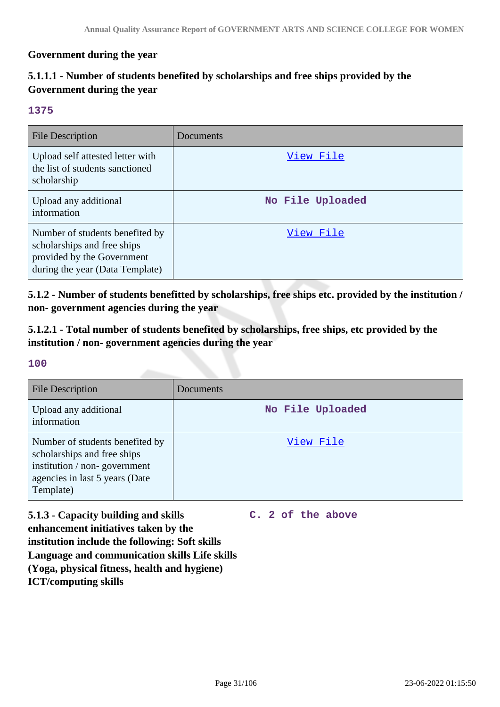#### **Government during the year**

# **5.1.1.1 - Number of students benefited by scholarships and free ships provided by the Government during the year**

#### **1375**

| <b>File Description</b>                                                                                                         | Documents        |
|---------------------------------------------------------------------------------------------------------------------------------|------------------|
| Upload self attested letter with<br>the list of students sanctioned<br>scholarship                                              | View File        |
| Upload any additional<br>information                                                                                            | No File Uploaded |
| Number of students benefited by<br>scholarships and free ships<br>provided by the Government<br>during the year (Data Template) | View File        |

**5.1.2 - Number of students benefitted by scholarships, free ships etc. provided by the institution / non- government agencies during the year**

**5.1.2.1 - Total number of students benefited by scholarships, free ships, etc provided by the institution / non- government agencies during the year**

#### **100**

| <b>File Description</b>                                                                                                                       | Documents        |
|-----------------------------------------------------------------------------------------------------------------------------------------------|------------------|
| Upload any additional<br>information                                                                                                          | No File Uploaded |
| Number of students benefited by<br>scholarships and free ships<br>institution / non-government<br>agencies in last 5 years (Date<br>Template) | View File        |

**5.1.3 - Capacity building and skills enhancement initiatives taken by the institution include the following: Soft skills Language and communication skills Life skills (Yoga, physical fitness, health and hygiene) ICT/computing skills**

**C. 2 of the above**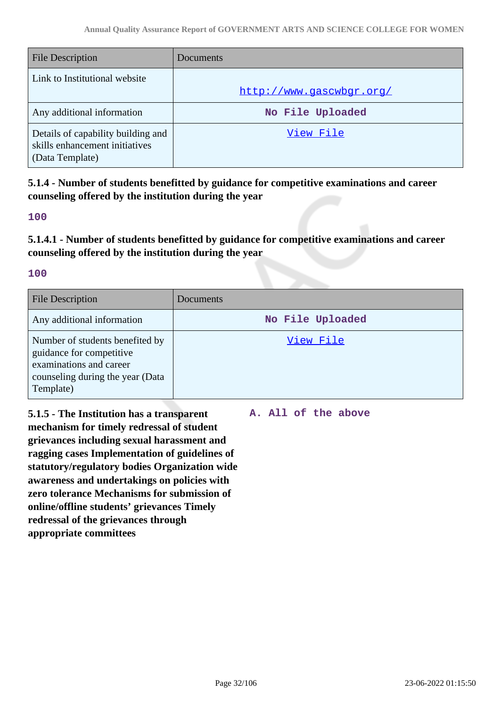| <b>File Description</b>                                                                 | Documents                |
|-----------------------------------------------------------------------------------------|--------------------------|
| Link to Institutional website                                                           | http://www.gascwbgr.org/ |
| Any additional information                                                              | No File Uploaded         |
| Details of capability building and<br>skills enhancement initiatives<br>(Data Template) | View File                |

**5.1.4 - Number of students benefitted by guidance for competitive examinations and career counseling offered by the institution during the year**

#### **100**

**5.1.4.1 - Number of students benefitted by guidance for competitive examinations and career counseling offered by the institution during the year**

#### **100**

| <b>File Description</b>                                                                                                                 | Documents        |
|-----------------------------------------------------------------------------------------------------------------------------------------|------------------|
| Any additional information                                                                                                              | No File Uploaded |
| Number of students benefited by<br>guidance for competitive<br>examinations and career<br>counseling during the year (Data<br>Template) | View File        |

**5.1.5 - The Institution has a transparent mechanism for timely redressal of student grievances including sexual harassment and ragging cases Implementation of guidelines of statutory/regulatory bodies Organization wide awareness and undertakings on policies with zero tolerance Mechanisms for submission of online/offline students' grievances Timely redressal of the grievances through appropriate committees**

**A. All of the above**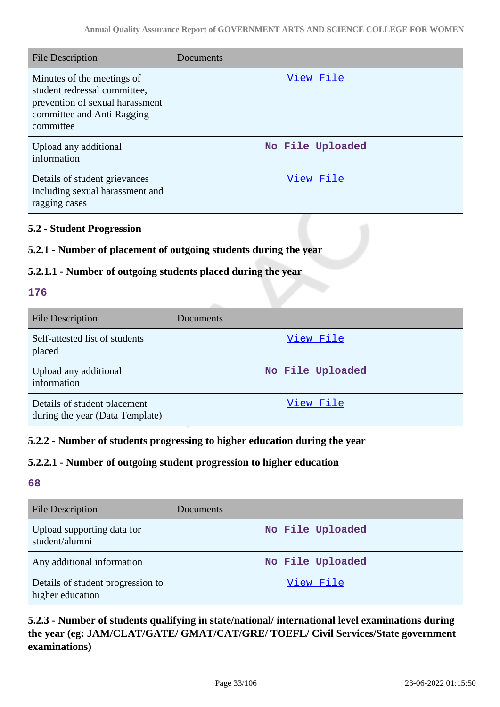| <b>File Description</b>                                                                                                                  | Documents        |
|------------------------------------------------------------------------------------------------------------------------------------------|------------------|
| Minutes of the meetings of<br>student redressal committee,<br>prevention of sexual harassment<br>committee and Anti Ragging<br>committee | View File        |
| Upload any additional<br>information                                                                                                     | No File Uploaded |
| Details of student grievances<br>including sexual harassment and<br>ragging cases                                                        | View File        |

# **5.2 - Student Progression**

# **5.2.1 - Number of placement of outgoing students during the year**

# **5.2.1.1 - Number of outgoing students placed during the year**

### **176**

| <b>File Description</b>                                         | Documents        |
|-----------------------------------------------------------------|------------------|
| Self-attested list of students<br>placed                        | View File        |
| Upload any additional<br>information                            | No File Uploaded |
| Details of student placement<br>during the year (Data Template) | View File        |

### **5.2.2 - Number of students progressing to higher education during the year**

### **5.2.2.1 - Number of outgoing student progression to higher education**

# **68**

| <b>File Description</b>                               | Documents        |
|-------------------------------------------------------|------------------|
| Upload supporting data for<br>student/alumni          | No File Uploaded |
| Any additional information                            | No File Uploaded |
| Details of student progression to<br>higher education | View File        |

# **5.2.3 - Number of students qualifying in state/national/ international level examinations during the year (eg: JAM/CLAT/GATE/ GMAT/CAT/GRE/ TOEFL/ Civil Services/State government examinations)**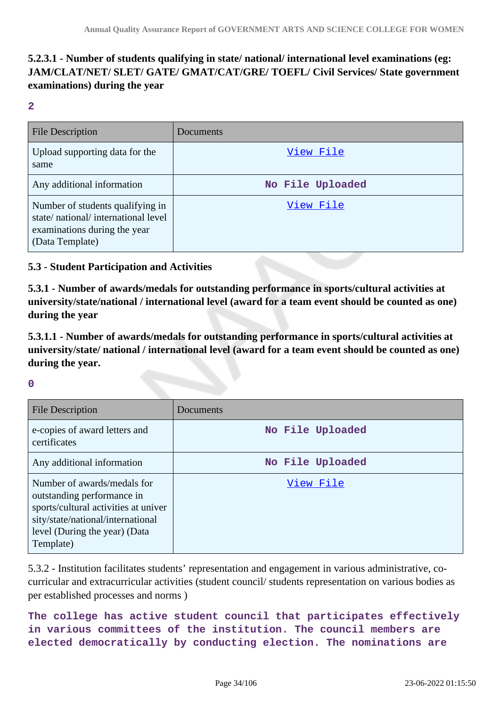# **5.2.3.1 - Number of students qualifying in state/ national/ international level examinations (eg: JAM/CLAT/NET/ SLET/ GATE/ GMAT/CAT/GRE/ TOEFL/ Civil Services/ State government examinations) during the year**

**2**

| <b>File Description</b>                                                                                                   | Documents        |
|---------------------------------------------------------------------------------------------------------------------------|------------------|
| Upload supporting data for the<br>same                                                                                    | View File        |
| Any additional information                                                                                                | No File Uploaded |
| Number of students qualifying in<br>state/national/international level<br>examinations during the year<br>(Data Template) | View File        |

#### **5.3 - Student Participation and Activities**

**5.3.1 - Number of awards/medals for outstanding performance in sports/cultural activities at university/state/national / international level (award for a team event should be counted as one) during the year**

**5.3.1.1 - Number of awards/medals for outstanding performance in sports/cultural activities at university/state/ national / international level (award for a team event should be counted as one) during the year.**

**0**

| <b>File Description</b>                                                                                                                                                              | Documents        |
|--------------------------------------------------------------------------------------------------------------------------------------------------------------------------------------|------------------|
| e-copies of award letters and<br>certificates                                                                                                                                        | No File Uploaded |
| Any additional information                                                                                                                                                           | No File Uploaded |
| Number of awards/medals for<br>outstanding performance in<br>sports/cultural activities at univer<br>sity/state/national/international<br>level (During the year) (Data<br>Template) | View File        |

5.3.2 - Institution facilitates students' representation and engagement in various administrative, cocurricular and extracurricular activities (student council/ students representation on various bodies as per established processes and norms )

**The college has active student council that participates effectively in various committees of the institution. The council members are elected democratically by conducting election. The nominations are**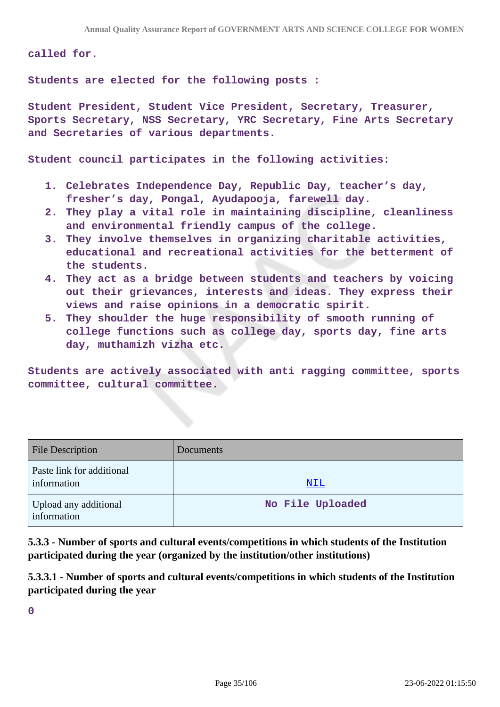**called for.**

**Students are elected for the following posts :**

**Student President, Student Vice President, Secretary, Treasurer, Sports Secretary, NSS Secretary, YRC Secretary, Fine Arts Secretary and Secretaries of various departments.**

**Student council participates in the following activities:**

- **1. Celebrates Independence Day, Republic Day, teacher's day, fresher's day, Pongal, Ayudapooja, farewell day.**
- **2. They play a vital role in maintaining discipline, cleanliness and environmental friendly campus of the college.**
- **3. They involve themselves in organizing charitable activities, educational and recreational activities for the betterment of the students.**
- **4. They act as a bridge between students and teachers by voicing out their grievances, interests and ideas. They express their views and raise opinions in a democratic spirit.**
- **5. They shoulder the huge responsibility of smooth running of college functions such as college day, sports day, fine arts day, muthamizh vizha etc.**

**Students are actively associated with anti ragging committee, sports committee, cultural committee.**

| <b>File Description</b>                  | <b>Documents</b> |
|------------------------------------------|------------------|
| Paste link for additional<br>information | <u>NIL</u>       |
| Upload any additional<br>information     | No File Uploaded |

**5.3.3 - Number of sports and cultural events/competitions in which students of the Institution participated during the year (organized by the institution/other institutions)**

**5.3.3.1 - Number of sports and cultural events/competitions in which students of the Institution participated during the year**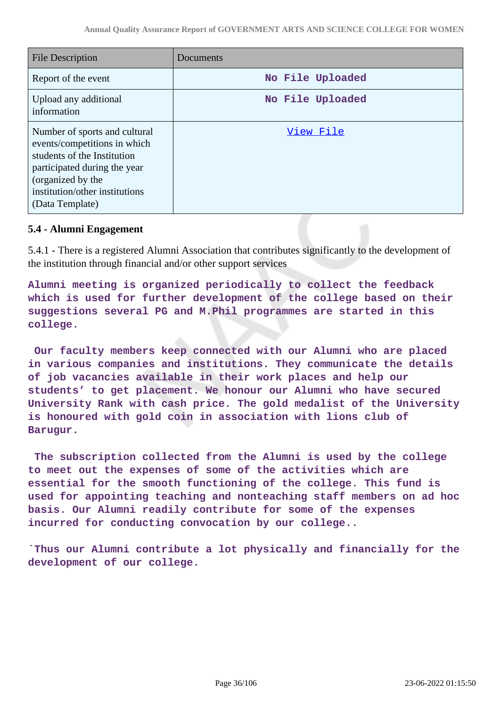| <b>File Description</b>                                                                                                                                                                                | Documents        |
|--------------------------------------------------------------------------------------------------------------------------------------------------------------------------------------------------------|------------------|
| Report of the event                                                                                                                                                                                    | No File Uploaded |
| Upload any additional<br>information                                                                                                                                                                   | No File Uploaded |
| Number of sports and cultural<br>events/competitions in which<br>students of the Institution<br>participated during the year<br>(organized by the<br>institution/other institutions<br>(Data Template) | View File        |

#### **5.4 - Alumni Engagement**

5.4.1 - There is a registered Alumni Association that contributes significantly to the development of the institution through financial and/or other support services

**Alumni meeting is organized periodically to collect the feedback which is used for further development of the college based on their suggestions several PG and M.Phil programmes are started in this college.**

 **Our faculty members keep connected with our Alumni who are placed in various companies and institutions. They communicate the details of job vacancies available in their work places and help our students' to get placement. We honour our Alumni who have secured University Rank with cash price. The gold medalist of the University is honoured with gold coin in association with lions club of Barugur.**

 **The subscription collected from the Alumni is used by the college to meet out the expenses of some of the activities which are essential for the smooth functioning of the college. This fund is used for appointing teaching and nonteaching staff members on ad hoc basis. Our Alumni readily contribute for some of the expenses incurred for conducting convocation by our college..**

**`Thus our Alumni contribute a lot physically and financially for the development of our college.**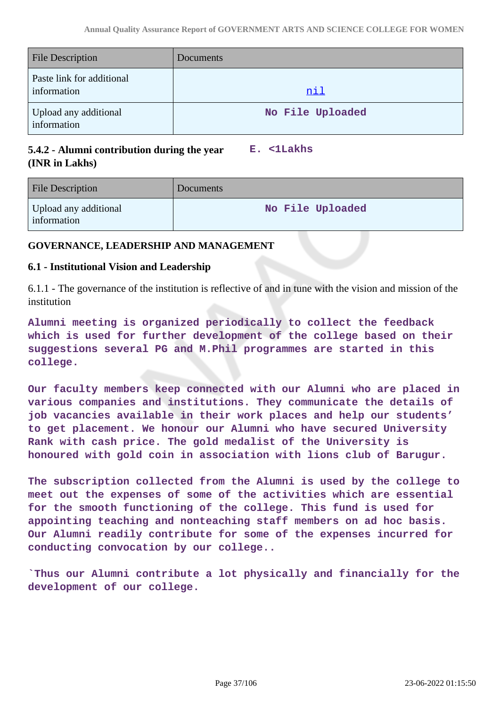| <b>File Description</b>                  | Documents        |
|------------------------------------------|------------------|
| Paste link for additional<br>information | <u>nil</u>       |
| Upload any additional<br>information     | No File Uploaded |

# **5.4.2 - Alumni contribution during the year (INR in Lakhs)**

**E. <1Lakhs**

| <b>File Description</b>              | Documents        |
|--------------------------------------|------------------|
| Upload any additional<br>information | No File Uploaded |

### **GOVERNANCE, LEADERSHIP AND MANAGEMENT**

#### **6.1 - Institutional Vision and Leadership**

6.1.1 - The governance of the institution is reflective of and in tune with the vision and mission of the institution

**Alumni meeting is organized periodically to collect the feedback which is used for further development of the college based on their suggestions several PG and M.Phil programmes are started in this college.**

**Our faculty members keep connected with our Alumni who are placed in various companies and institutions. They communicate the details of job vacancies available in their work places and help our students' to get placement. We honour our Alumni who have secured University Rank with cash price. The gold medalist of the University is honoured with gold coin in association with lions club of Barugur.**

**The subscription collected from the Alumni is used by the college to meet out the expenses of some of the activities which are essential for the smooth functioning of the college. This fund is used for appointing teaching and nonteaching staff members on ad hoc basis. Our Alumni readily contribute for some of the expenses incurred for conducting convocation by our college..**

**`Thus our Alumni contribute a lot physically and financially for the development of our college.**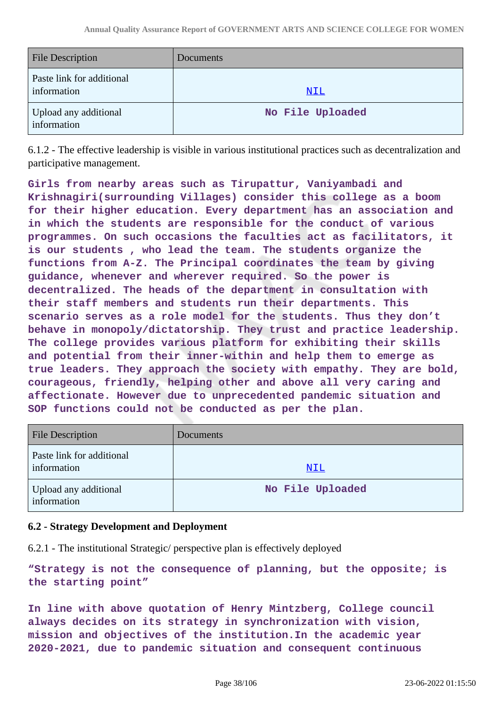| <b>File Description</b>                  | <b>Documents</b> |
|------------------------------------------|------------------|
| Paste link for additional<br>information | <u>NIL</u>       |
| Upload any additional<br>information     | No File Uploaded |

6.1.2 - The effective leadership is visible in various institutional practices such as decentralization and participative management.

**Girls from nearby areas such as Tirupattur, Vaniyambadi and Krishnagiri(surrounding Villages) consider this college as a boom for their higher education. Every department has an association and in which the students are responsible for the conduct of various programmes. On such occasions the faculties act as facilitators, it is our students , who lead the team. The students organize the functions from A-Z. The Principal coordinates the team by giving guidance, whenever and wherever required. So the power is decentralized. The heads of the department in consultation with their staff members and students run their departments. This scenario serves as a role model for the students. Thus they don't behave in monopoly/dictatorship. They trust and practice leadership. The college provides various platform for exhibiting their skills and potential from their inner-within and help them to emerge as true leaders. They approach the society with empathy. They are bold, courageous, friendly, helping other and above all very caring and affectionate. However due to unprecedented pandemic situation and SOP functions could not be conducted as per the plan.**

| <b>File Description</b>                  | <b>Documents</b> |
|------------------------------------------|------------------|
| Paste link for additional<br>information | NIL              |
| Upload any additional<br>information     | No File Uploaded |

### **6.2 - Strategy Development and Deployment**

6.2.1 - The institutional Strategic/ perspective plan is effectively deployed

**"Strategy is not the consequence of planning, but the opposite; is the starting point"**

**In line with above quotation of Henry Mintzberg, College council always decides on its strategy in synchronization with vision, mission and objectives of the institution.In the academic year 2020-2021, due to pandemic situation and consequent continuous**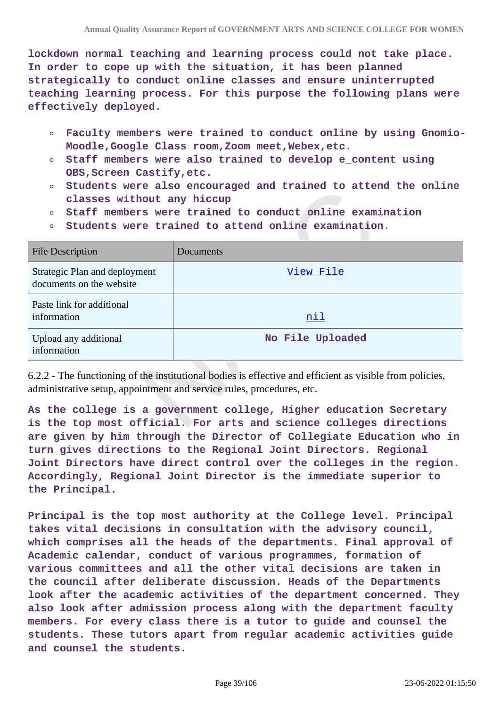**lockdown normal teaching and learning process could not take place. In order to cope up with the situation, it has been planned strategically to conduct online classes and ensure uninterrupted teaching learning process. For this purpose the following plans were effectively deployed.**

- **Faculty members were trained to conduct online by using Gnomio-** $\circ$ **Moodle,Google Class room,Zoom meet,Webex,etc.**
- **Staff members were also trained to develop e\_content using**  $\circ$ **OBS,Screen Castify,etc.**
- **Students were also encouraged and trained to attend the online**  $\circ$ **classes without any hiccup**
- **Staff members were trained to conduct online examination**  $\circ$
- **Students were trained to attend online examination.**  $\circ$

| <b>File Description</b>                                   | Documents        |
|-----------------------------------------------------------|------------------|
| Strategic Plan and deployment<br>documents on the website | View File        |
| Paste link for additional<br>information                  | <u>nil</u>       |
| Upload any additional<br>information                      | No File Uploaded |

6.2.2 - The functioning of the institutional bodies is effective and efficient as visible from policies, administrative setup, appointment and service rules, procedures, etc.

**As the college is a government college, Higher education Secretary is the top most official. For arts and science colleges directions are given by him through the Director of Collegiate Education who in turn gives directions to the Regional Joint Directors. Regional Joint Directors have direct control over the colleges in the region. Accordingly, Regional Joint Director is the immediate superior to the Principal.**

**Principal is the top most authority at the College level. Principal takes vital decisions in consultation with the advisory council, which comprises all the heads of the departments. Final approval of Academic calendar, conduct of various programmes, formation of various committees and all the other vital decisions are taken in the council after deliberate discussion. Heads of the Departments look after the academic activities of the department concerned. They also look after admission process along with the department faculty members. For every class there is a tutor to guide and counsel the students. These tutors apart from regular academic activities guide and counsel the students.**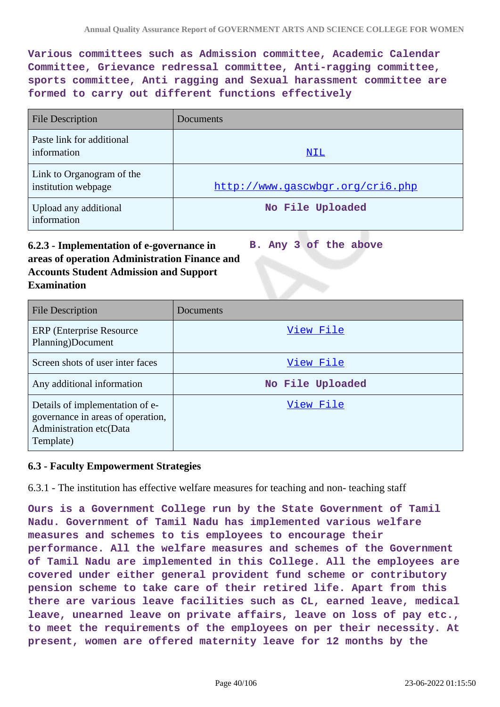**Various committees such as Admission committee, Academic Calendar Committee, Grievance redressal committee, Anti-ragging committee, sports committee, Anti ragging and Sexual harassment committee are formed to carry out different functions effectively**

| <b>File Description</b>                          | <b>Documents</b>                 |
|--------------------------------------------------|----------------------------------|
| Paste link for additional<br>information         | NIL                              |
| Link to Organogram of the<br>institution webpage | http://www.qascwbqr.org/cri6.php |
| Upload any additional<br>information             | No File Uploaded                 |

#### **6.2.3 - Implementation of e-governance in areas of operation Administration Finance and Accounts Student Admission and Support Examination B. Any 3 of the above**

| <b>File Description</b>                                                                                      | Documents        |
|--------------------------------------------------------------------------------------------------------------|------------------|
| <b>ERP</b> (Enterprise Resource)<br>Planning)Document                                                        | View File        |
| Screen shots of user inter faces                                                                             | View File        |
| Any additional information                                                                                   | No File Uploaded |
| Details of implementation of e-<br>governance in areas of operation,<br>Administration etc(Data<br>Template) | View File        |

#### **6.3 - Faculty Empowerment Strategies**

6.3.1 - The institution has effective welfare measures for teaching and non- teaching staff

**Ours is a Government College run by the State Government of Tamil Nadu. Government of Tamil Nadu has implemented various welfare measures and schemes to tis employees to encourage their performance. All the welfare measures and schemes of the Government of Tamil Nadu are implemented in this College. All the employees are covered under either general provident fund scheme or contributory pension scheme to take care of their retired life. Apart from this there are various leave facilities such as CL, earned leave, medical leave, unearned leave on private affairs, leave on loss of pay etc., to meet the requirements of the employees on per their necessity. At present, women are offered maternity leave for 12 months by the**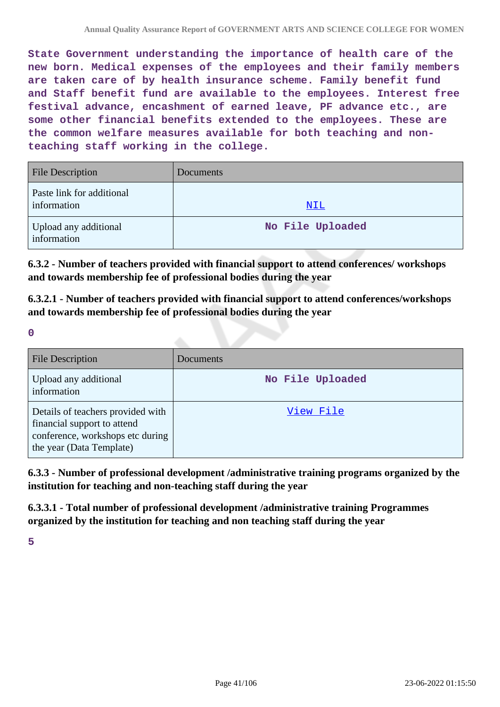**State Government understanding the importance of health care of the new born. Medical expenses of the employees and their family members are taken care of by health insurance scheme. Family benefit fund and Staff benefit fund are available to the employees. Interest free festival advance, encashment of earned leave, PF advance etc., are some other financial benefits extended to the employees. These are the common welfare measures available for both teaching and nonteaching staff working in the college.**

| <b>File Description</b>                  | <b>Documents</b> |
|------------------------------------------|------------------|
| Paste link for additional<br>information | <u>NIL</u>       |
| Upload any additional<br>information     | No File Uploaded |

**6.3.2 - Number of teachers provided with financial support to attend conferences/ workshops and towards membership fee of professional bodies during the year**

**6.3.2.1 - Number of teachers provided with financial support to attend conferences/workshops and towards membership fee of professional bodies during the year**

**0**

| <b>File Description</b>                                                                                                          | Documents        |
|----------------------------------------------------------------------------------------------------------------------------------|------------------|
| Upload any additional<br>information                                                                                             | No File Uploaded |
| Details of teachers provided with<br>financial support to attend<br>conference, workshops etc during<br>the year (Data Template) | View File        |

**6.3.3 - Number of professional development /administrative training programs organized by the institution for teaching and non-teaching staff during the year**

**6.3.3.1 - Total number of professional development /administrative training Programmes organized by the institution for teaching and non teaching staff during the year**

**5**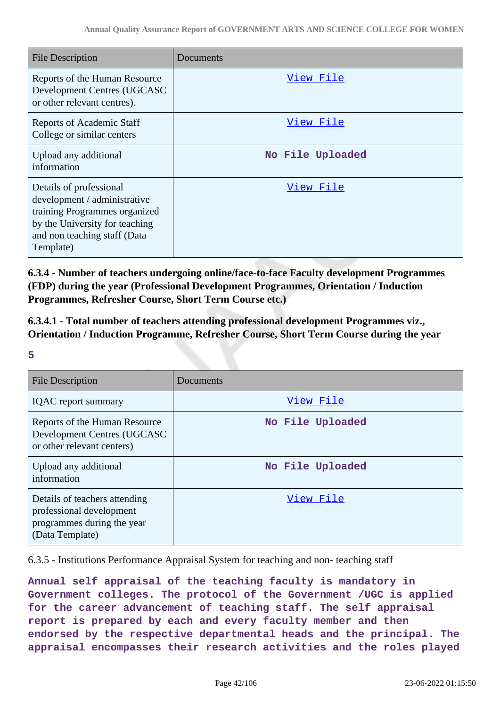| <b>File Description</b>                                                                                                                                                 | Documents        |
|-------------------------------------------------------------------------------------------------------------------------------------------------------------------------|------------------|
| Reports of the Human Resource<br>Development Centres (UGCASC<br>or other relevant centres).                                                                             | View File        |
| <b>Reports of Academic Staff</b><br>College or similar centers                                                                                                          | View File        |
| Upload any additional<br>information                                                                                                                                    | No File Uploaded |
| Details of professional<br>development / administrative<br>training Programmes organized<br>by the University for teaching<br>and non teaching staff (Data<br>Template) | View File        |

**6.3.4 - Number of teachers undergoing online/face-to-face Faculty development Programmes (FDP) during the year (Professional Development Programmes, Orientation / Induction Programmes, Refresher Course, Short Term Course etc.)**

**6.3.4.1 - Total number of teachers attending professional development Programmes viz., Orientation / Induction Programme, Refresher Course, Short Term Course during the year**

**5**

| <b>File Description</b>                                                                                    | Documents        |
|------------------------------------------------------------------------------------------------------------|------------------|
| <b>IQAC</b> report summary                                                                                 | View File        |
| Reports of the Human Resource<br>Development Centres (UGCASC<br>or other relevant centers)                 | No File Uploaded |
| Upload any additional<br>information                                                                       | No File Uploaded |
| Details of teachers attending<br>professional development<br>programmes during the year<br>(Data Template) | View File        |

6.3.5 - Institutions Performance Appraisal System for teaching and non- teaching staff

**Annual self appraisal of the teaching faculty is mandatory in Government colleges. The protocol of the Government /UGC is applied for the career advancement of teaching staff. The self appraisal report is prepared by each and every faculty member and then endorsed by the respective departmental heads and the principal. The appraisal encompasses their research activities and the roles played**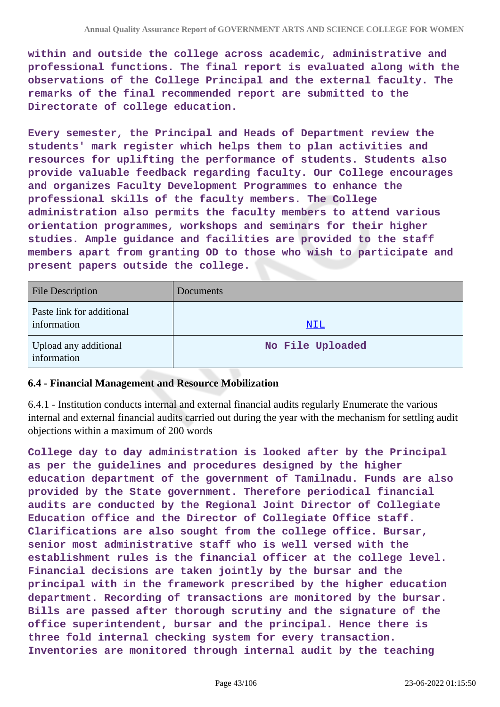**within and outside the college across academic, administrative and professional functions. The final report is evaluated along with the observations of the College Principal and the external faculty. The remarks of the final recommended report are submitted to the Directorate of college education.**

**Every semester, the Principal and Heads of Department review the students' mark register which helps them to plan activities and resources for uplifting the performance of students. Students also provide valuable feedback regarding faculty. Our College encourages and organizes Faculty Development Programmes to enhance the professional skills of the faculty members. The College administration also permits the faculty members to attend various orientation programmes, workshops and seminars for their higher studies. Ample guidance and facilities are provided to the staff members apart from granting OD to those who wish to participate and present papers outside the college.**

| <b>File Description</b>                  | <b>Documents</b> |
|------------------------------------------|------------------|
| Paste link for additional<br>information | <u>NIL</u>       |
| Upload any additional<br>information     | No File Uploaded |

#### **6.4 - Financial Management and Resource Mobilization**

6.4.1 - Institution conducts internal and external financial audits regularly Enumerate the various internal and external financial audits carried out during the year with the mechanism for settling audit objections within a maximum of 200 words

**College day to day administration is looked after by the Principal as per the guidelines and procedures designed by the higher education department of the government of Tamilnadu. Funds are also provided by the State government. Therefore periodical financial audits are conducted by the Regional Joint Director of Collegiate Education office and the Director of Collegiate Office staff. Clarifications are also sought from the college office. Bursar, senior most administrative staff who is well versed with the establishment rules is the financial officer at the college level. Financial decisions are taken jointly by the bursar and the principal with in the framework prescribed by the higher education department. Recording of transactions are monitored by the bursar. Bills are passed after thorough scrutiny and the signature of the office superintendent, bursar and the principal. Hence there is three fold internal checking system for every transaction. Inventories are monitored through internal audit by the teaching**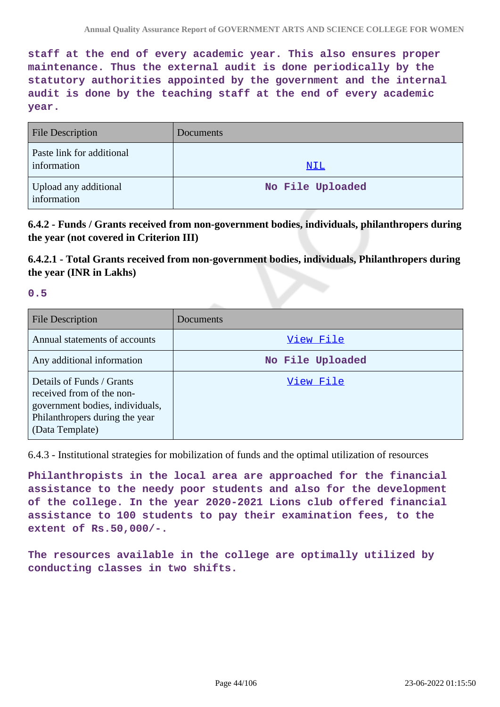**staff at the end of every academic year. This also ensures proper maintenance. Thus the external audit is done periodically by the statutory authorities appointed by the government and the internal audit is done by the teaching staff at the end of every academic year.**

| <b>File Description</b>                  | <b>Documents</b> |
|------------------------------------------|------------------|
| Paste link for additional<br>information | NIL              |
| Upload any additional<br>information     | No File Uploaded |

**6.4.2 - Funds / Grants received from non-government bodies, individuals, philanthropers during the year (not covered in Criterion III)**

**6.4.2.1 - Total Grants received from non-government bodies, individuals, Philanthropers during the year (INR in Lakhs)**

**0.5**

| <b>File Description</b>                                                                                                                        | Documents        |
|------------------------------------------------------------------------------------------------------------------------------------------------|------------------|
| Annual statements of accounts                                                                                                                  | View File        |
| Any additional information                                                                                                                     | No File Uploaded |
| Details of Funds / Grants<br>received from of the non-<br>government bodies, individuals,<br>Philanthropers during the year<br>(Data Template) | View File        |

6.4.3 - Institutional strategies for mobilization of funds and the optimal utilization of resources

**Philanthropists in the local area are approached for the financial assistance to the needy poor students and also for the development of the college. In the year 2020-2021 Lions club offered financial assistance to 100 students to pay their examination fees, to the extent of Rs.50,000/-.**

**The resources available in the college are optimally utilized by conducting classes in two shifts.**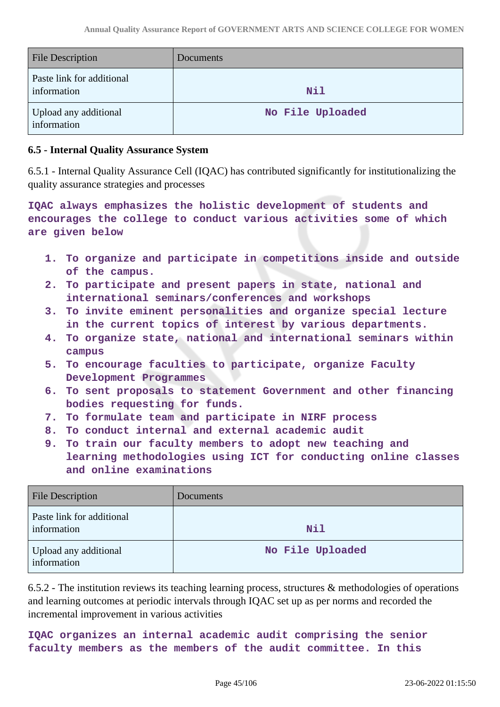| <b>File Description</b>                  | <b>Documents</b> |
|------------------------------------------|------------------|
| Paste link for additional<br>information | <b>Nil</b>       |
| Upload any additional<br>information     | No File Uploaded |

#### **6.5 - Internal Quality Assurance System**

6.5.1 - Internal Quality Assurance Cell (IQAC) has contributed significantly for institutionalizing the quality assurance strategies and processes

**IQAC always emphasizes the holistic development of students and encourages the college to conduct various activities some of which are given below**

- **1. To organize and participate in competitions inside and outside of the campus.**
- **2. To participate and present papers in state, national and international seminars/conferences and workshops**
- **3. To invite eminent personalities and organize special lecture in the current topics of interest by various departments.**
- **4. To organize state, national and international seminars within campus**
- **5. To encourage faculties to participate, organize Faculty Development Programmes**
- **6. To sent proposals to statement Government and other financing bodies requesting for funds.**
- **7. To formulate team and participate in NIRF process**
- **8. To conduct internal and external academic audit**
- **9. To train our faculty members to adopt new teaching and learning methodologies using ICT for conducting online classes and online examinations**

| <b>File Description</b>                  | Documents        |
|------------------------------------------|------------------|
| Paste link for additional<br>information | Nil              |
| Upload any additional<br>information     | No File Uploaded |

6.5.2 - The institution reviews its teaching learning process, structures & methodologies of operations and learning outcomes at periodic intervals through IQAC set up as per norms and recorded the incremental improvement in various activities

**IQAC organizes an internal academic audit comprising the senior faculty members as the members of the audit committee. In this**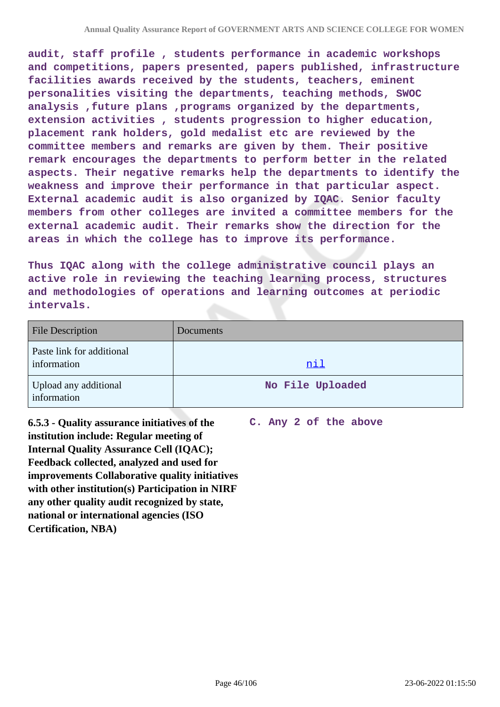**audit, staff profile , students performance in academic workshops and competitions, papers presented, papers published, infrastructure facilities awards received by the students, teachers, eminent personalities visiting the departments, teaching methods, SWOC analysis ,future plans ,programs organized by the departments, extension activities , students progression to higher education, placement rank holders, gold medalist etc are reviewed by the committee members and remarks are given by them. Their positive remark encourages the departments to perform better in the related aspects. Their negative remarks help the departments to identify the weakness and improve their performance in that particular aspect. External academic audit is also organized by IQAC. Senior faculty members from other colleges are invited a committee members for the external academic audit. Their remarks show the direction for the areas in which the college has to improve its performance.**

**Thus IQAC along with the college administrative council plays an active role in reviewing the teaching learning process, structures and methodologies of operations and learning outcomes at periodic intervals.**

| <b>File Description</b>                  | Documents        |
|------------------------------------------|------------------|
| Paste link for additional<br>information | <u>nil</u>       |
| Upload any additional<br>information     | No File Uploaded |

**6.5.3 - Quality assurance initiatives of the institution include: Regular meeting of Internal Quality Assurance Cell (IQAC); Feedback collected, analyzed and used for improvements Collaborative quality initiatives with other institution(s) Participation in NIRF any other quality audit recognized by state, national or international agencies (ISO Certification, NBA)**

**C. Any 2 of the above**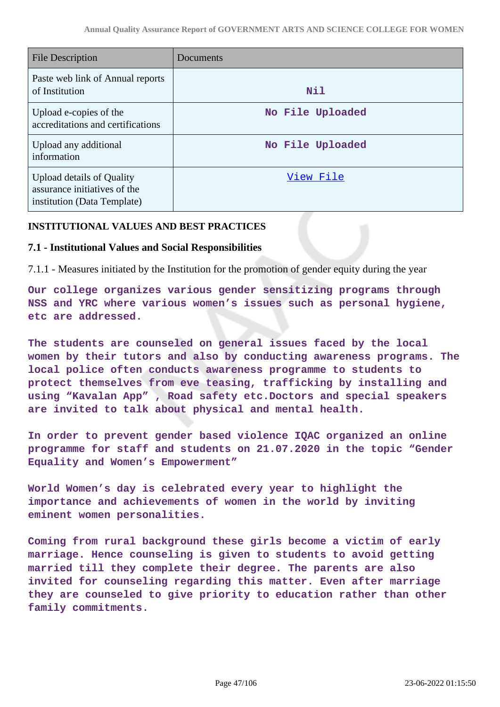| <b>File Description</b>                                                                  | Documents        |
|------------------------------------------------------------------------------------------|------------------|
| Paste web link of Annual reports<br>of Institution                                       | Nil              |
| Upload e-copies of the<br>accreditations and certifications                              | No File Uploaded |
| Upload any additional<br>information                                                     | No File Uploaded |
| Upload details of Quality<br>assurance initiatives of the<br>institution (Data Template) | View File        |

#### **INSTITUTIONAL VALUES AND BEST PRACTICES**

#### **7.1 - Institutional Values and Social Responsibilities**

7.1.1 - Measures initiated by the Institution for the promotion of gender equity during the year

**Our college organizes various gender sensitizing programs through NSS and YRC where various women's issues such as personal hygiene, etc are addressed.**

**The students are counseled on general issues faced by the local women by their tutors and also by conducting awareness programs. The local police often conducts awareness programme to students to protect themselves from eve teasing, trafficking by installing and using "Kavalan App" , Road safety etc.Doctors and special speakers are invited to talk about physical and mental health.**

**In order to prevent gender based violence IQAC organized an online programme for staff and students on 21.07.2020 in the topic "Gender Equality and Women's Empowerment"**

**World Women's day is celebrated every year to highlight the importance and achievements of women in the world by inviting eminent women personalities.**

**Coming from rural background these girls become a victim of early marriage. Hence counseling is given to students to avoid getting married till they complete their degree. The parents are also invited for counseling regarding this matter. Even after marriage they are counseled to give priority to education rather than other family commitments.**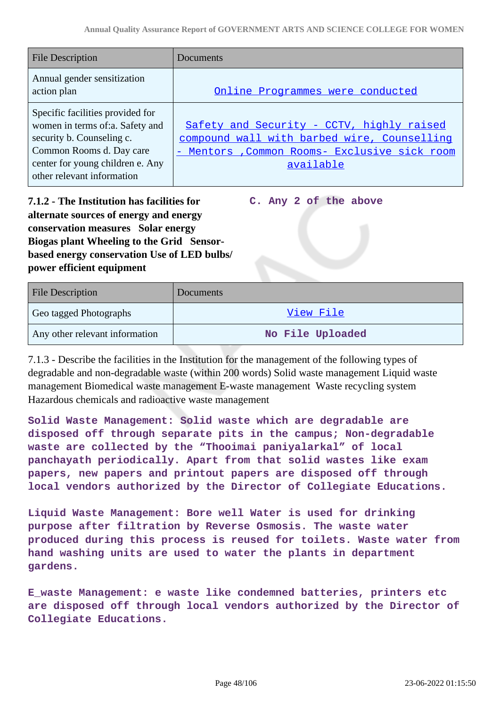| <b>File Description</b>                    | Documents                                     |
|--------------------------------------------|-----------------------------------------------|
| Annual gender sensitization<br>action plan | Online Programmes were conducted              |
| Specific facilities provided for           |                                               |
| women in terms of:a. Safety and            | Safety and Security - CCTV, highly raised     |
| security b. Counseling c.                  | compound wall with barbed wire, Counselling   |
| Common Rooms d. Day care                   | - Mentors , Common Rooms- Exclusive sick room |
| center for young children e. Any           | available                                     |
| other relevant information                 |                                               |

**7.1.2 - The Institution has facilities for alternate sources of energy and energy conservation measures Solar energy Biogas plant Wheeling to the Grid Sensorbased energy conservation Use of LED bulbs/ power efficient equipment** 

**C. Any 2 of the above**

| <b>File Description</b>        | Documents        |
|--------------------------------|------------------|
| Geo tagged Photographs         | View File        |
| Any other relevant information | No File Uploaded |

7.1.3 - Describe the facilities in the Institution for the management of the following types of degradable and non-degradable waste (within 200 words) Solid waste management Liquid waste management Biomedical waste management E-waste management Waste recycling system Hazardous chemicals and radioactive waste management

**Solid Waste Management: Solid waste which are degradable are disposed off through separate pits in the campus; Non-degradable waste are collected by the "Thooimai paniyalarkal" of local panchayath periodically. Apart from that solid wastes like exam papers, new papers and printout papers are disposed off through local vendors authorized by the Director of Collegiate Educations.**

**Liquid Waste Management: Bore well Water is used for drinking purpose after filtration by Reverse Osmosis. The waste water produced during this process is reused for toilets. Waste water from hand washing units are used to water the plants in department gardens.**

**E\_waste Management: e waste like condemned batteries, printers etc are disposed off through local vendors authorized by the Director of Collegiate Educations.**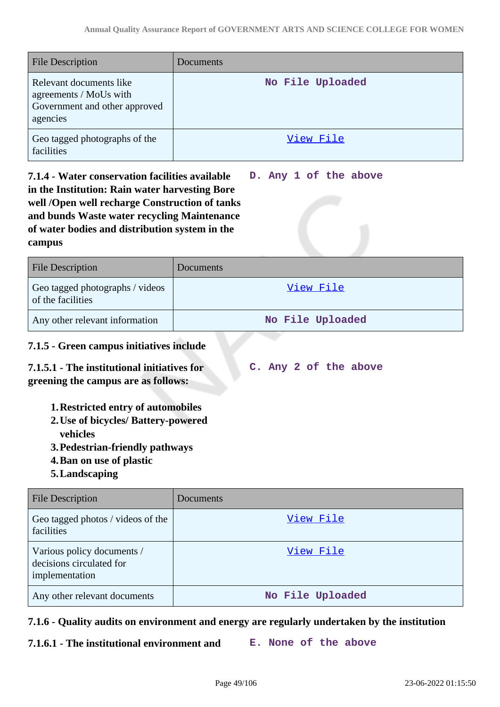| <b>File Description</b>                                                                        | Documents        |
|------------------------------------------------------------------------------------------------|------------------|
| Relevant documents like<br>agreements / MoUs with<br>Government and other approved<br>agencies | No File Uploaded |
| Geo tagged photographs of the<br>facilities                                                    | View File        |

#### **7.1.4 - Water conservation facilities available in the Institution: Rain water harvesting Bore well /Open well recharge Construction of tanks and bunds Waste water recycling Maintenance of water bodies and distribution system in the campus D. Any 1 of the above**

| <b>File Description</b>                              | <b>Documents</b> |
|------------------------------------------------------|------------------|
| Geo tagged photographs / videos<br>of the facilities | View File        |
| Any other relevant information                       | No File Uploaded |

# **7.1.5 - Green campus initiatives include**

#### **7.1.5.1 - The institutional initiatives for greening the campus are as follows: C. Any 2 of the above**

# **1.Restricted entry of automobiles**

- **2.Use of bicycles/ Battery-powered vehicles**
- **3.Pedestrian-friendly pathways**
- **4.Ban on use of plastic**
- **5.Landscaping**

| <b>File Description</b>                                                  | Documents        |
|--------------------------------------------------------------------------|------------------|
| Geo tagged photos / videos of the<br>facilities                          | View File        |
| Various policy documents /<br>decisions circulated for<br>implementation | View File        |
| Any other relevant documents                                             | No File Uploaded |

### **7.1.6 - Quality audits on environment and energy are regularly undertaken by the institution**

**7.1.6.1 - The institutional environment and E. None of the above**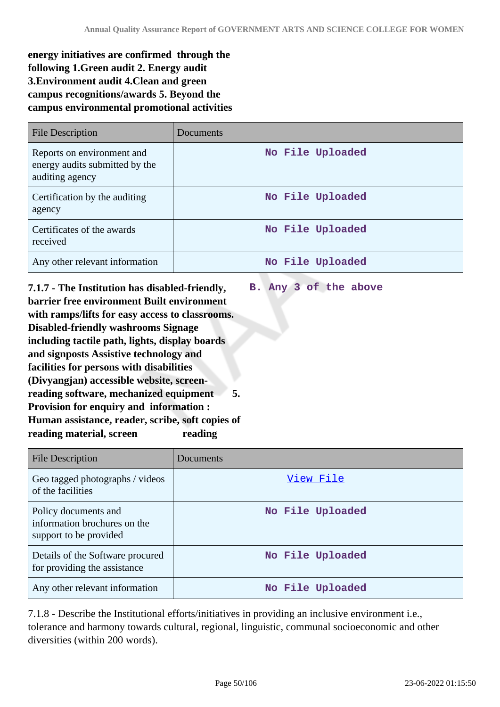**energy initiatives are confirmed through the following 1.Green audit 2. Energy audit 3.Environment audit 4.Clean and green campus recognitions/awards 5. Beyond the campus environmental promotional activities**

| <b>File Description</b>                                                         | Documents        |
|---------------------------------------------------------------------------------|------------------|
| Reports on environment and<br>energy audits submitted by the<br>auditing agency | No File Uploaded |
| Certification by the auditing<br>agency                                         | No File Uploaded |
| Certificates of the awards<br>received                                          | No File Uploaded |
| Any other relevant information                                                  | No File Uploaded |

**B. Any 3 of the above**

**7.1.7 - The Institution has disabled-friendly, barrier free environment Built environment with ramps/lifts for easy access to classrooms. Disabled-friendly washrooms Signage including tactile path, lights, display boards and signposts Assistive technology and facilities for persons with disabilities (Divyangjan) accessible website, screenreading software, mechanized equipment 5. Provision for enquiry and information : Human assistance, reader, scribe, soft copies of reading material, screen reading**

| <b>File Description</b>                                                        | Documents        |
|--------------------------------------------------------------------------------|------------------|
| Geo tagged photographs / videos<br>of the facilities                           | View File        |
| Policy documents and<br>information brochures on the<br>support to be provided | No File Uploaded |
| Details of the Software procured<br>for providing the assistance               | No File Uploaded |
| Any other relevant information                                                 | No File Uploaded |

7.1.8 - Describe the Institutional efforts/initiatives in providing an inclusive environment i.e., tolerance and harmony towards cultural, regional, linguistic, communal socioeconomic and other diversities (within 200 words).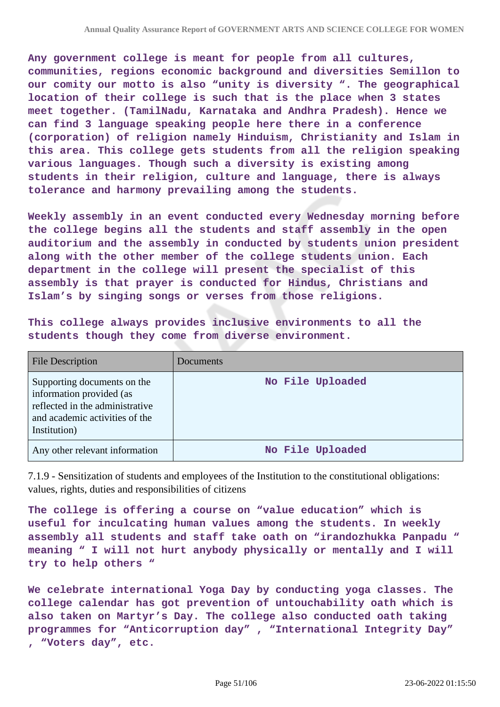**Any government college is meant for people from all cultures, communities, regions economic background and diversities Semillon to our comity our motto is also "unity is diversity ". The geographical location of their college is such that is the place when 3 states meet together. (TamilNadu, Karnataka and Andhra Pradesh). Hence we can find 3 language speaking people here there in a conference (corporation) of religion namely Hinduism, Christianity and Islam in this area. This college gets students from all the religion speaking various languages. Though such a diversity is existing among students in their religion, culture and language, there is always tolerance and harmony prevailing among the students.**

**Weekly assembly in an event conducted every Wednesday morning before the college begins all the students and staff assembly in the open auditorium and the assembly in conducted by students union president along with the other member of the college students union. Each department in the college will present the specialist of this assembly is that prayer is conducted for Hindus, Christians and Islam's by singing songs or verses from those religions.**

**This college always provides inclusive environments to all the students though they come from diverse environment.**

| <b>File Description</b>                                                                                                                      | <b>Documents</b> |
|----------------------------------------------------------------------------------------------------------------------------------------------|------------------|
| Supporting documents on the<br>information provided (as<br>reflected in the administrative<br>and academic activities of the<br>Institution) | No File Uploaded |
| Any other relevant information                                                                                                               | No File Uploaded |

7.1.9 - Sensitization of students and employees of the Institution to the constitutional obligations: values, rights, duties and responsibilities of citizens

**The college is offering a course on "value education" which is useful for inculcating human values among the students. In weekly assembly all students and staff take oath on "irandozhukka Panpadu " meaning " I will not hurt anybody physically or mentally and I will try to help others "**

**We celebrate international Yoga Day by conducting yoga classes. The college calendar has got prevention of untouchability oath which is also taken on Martyr's Day. The college also conducted oath taking programmes for "Anticorruption day" , "International Integrity Day" , "Voters day", etc.**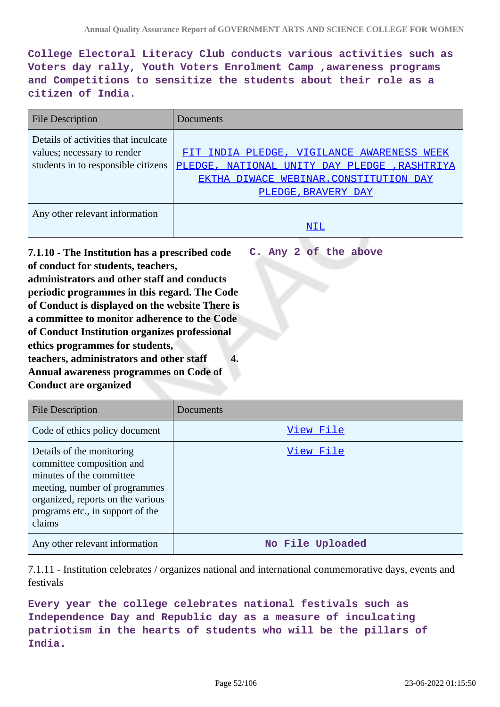**College Electoral Literacy Club conducts various activities such as Voters day rally, Youth Voters Enrolment Camp ,awareness programs and Competitions to sensitize the students about their role as a citizen of India.**

| <b>File Description</b>                                                                                    | Documents                                                                                                                                                   |
|------------------------------------------------------------------------------------------------------------|-------------------------------------------------------------------------------------------------------------------------------------------------------------|
| Details of activities that inculcate<br>values; necessary to render<br>students in to responsible citizens | FIT INDIA PLEDGE, VIGILANCE AWARENESS WEEK<br>PLEDGE, NATIONAL UNITY DAY PLEDGE, RASHTRIYA<br>EKTHA DIWACE WEBINAR. CONSTITUTION DAY<br>PLEDGE, BRAVERY DAY |
| Any other relevant information                                                                             |                                                                                                                                                             |

**7.1.10 - The Institution has a prescribed code of conduct for students, teachers, administrators and other staff and conducts periodic programmes in this regard. The Code of Conduct is displayed on the website There is a committee to monitor adherence to the Code of Conduct Institution organizes professional ethics programmes for students, teachers, administrators and other staff 4. Annual awareness programmes on Code of Conduct are organized C. Any 2 of the above**

| File Description                                                                                                                                                                                       | Documents        |
|--------------------------------------------------------------------------------------------------------------------------------------------------------------------------------------------------------|------------------|
| Code of ethics policy document                                                                                                                                                                         | View File        |
| Details of the monitoring<br>committee composition and<br>minutes of the committee<br>meeting, number of programmes<br>organized, reports on the various<br>programs etc., in support of the<br>claims | View File        |
| Any other relevant information                                                                                                                                                                         | No File Uploaded |

7.1.11 - Institution celebrates / organizes national and international commemorative days, events and festivals

**Every year the college celebrates national festivals such as Independence Day and Republic day as a measure of inculcating patriotism in the hearts of students who will be the pillars of India.**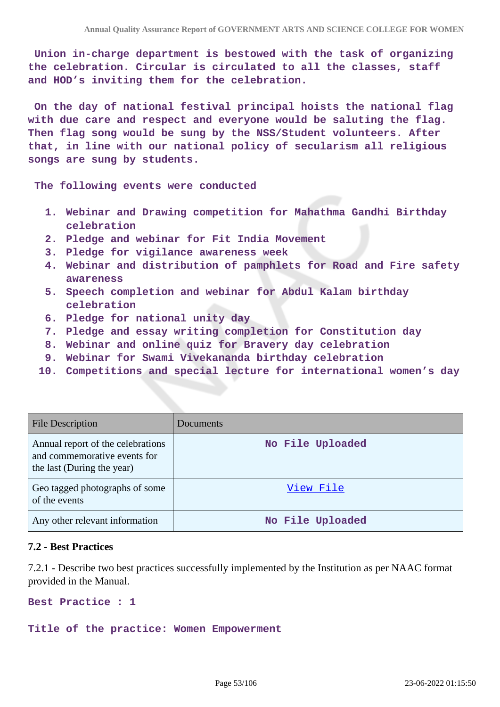**Union in-charge department is bestowed with the task of organizing the celebration. Circular is circulated to all the classes, staff and HOD's inviting them for the celebration.**

 **On the day of national festival principal hoists the national flag with due care and respect and everyone would be saluting the flag. Then flag song would be sung by the NSS/Student volunteers. After that, in line with our national policy of secularism all religious songs are sung by students.**

 **The following events were conducted**

- **1. Webinar and Drawing competition for Mahathma Gandhi Birthday celebration**
- **2. Pledge and webinar for Fit India Movement**
- **3. Pledge for vigilance awareness week**
- **4. Webinar and distribution of pamphlets for Road and Fire safety awareness**
- **5. Speech completion and webinar for Abdul Kalam birthday celebration**
- **6. Pledge for national unity day**
- **7. Pledge and essay writing completion for Constitution day**
- **8. Webinar and online quiz for Bravery day celebration**
- **9. Webinar for Swami Vivekananda birthday celebration**
- **10. Competitions and special lecture for international women's day**

| <b>File Description</b>                                                                         | Documents        |
|-------------------------------------------------------------------------------------------------|------------------|
| Annual report of the celebrations<br>and commemorative events for<br>the last (During the year) | No File Uploaded |
| Geo tagged photographs of some<br>of the events                                                 | View File        |
| Any other relevant information                                                                  | No File Uploaded |

#### **7.2 - Best Practices**

7.2.1 - Describe two best practices successfully implemented by the Institution as per NAAC format provided in the Manual.

**Best Practice : 1**

**Title of the practice: Women Empowerment**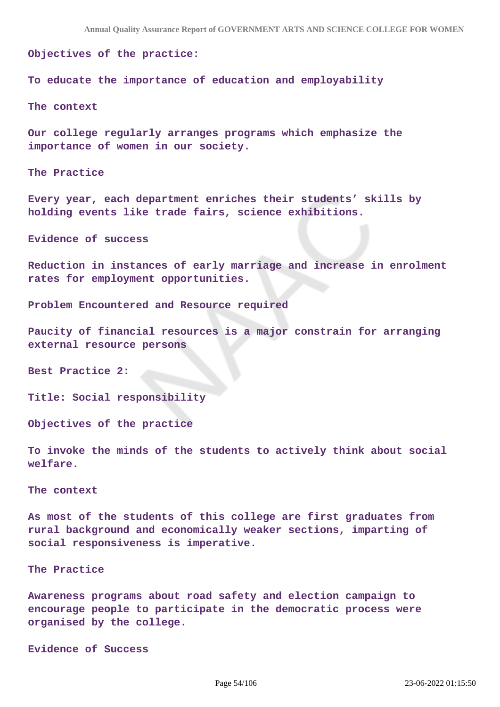**Objectives of the practice:**

**To educate the importance of education and employability**

**The context**

**Our college regularly arranges programs which emphasize the importance of women in our society.**

**The Practice**

**Every year, each department enriches their students' skills by holding events like trade fairs, science exhibitions.**

**Evidence of success**

**Reduction in instances of early marriage and increase in enrolment rates for employment opportunities.**

**Problem Encountered and Resource required**

**Paucity of financial resources is a major constrain for arranging external resource persons**

**Best Practice 2:**

**Title: Social responsibility**

**Objectives of the practice**

**To invoke the minds of the students to actively think about social welfare.**

**The context** 

**As most of the students of this college are first graduates from rural background and economically weaker sections, imparting of social responsiveness is imperative.**

**The Practice**

**Awareness programs about road safety and election campaign to encourage people to participate in the democratic process were organised by the college.**

**Evidence of Success**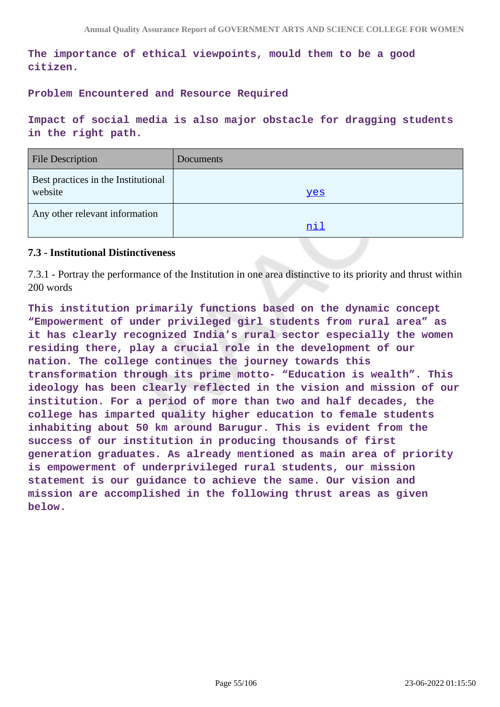**The importance of ethical viewpoints, mould them to be a good citizen.**

**Problem Encountered and Resource Required**

**Impact of social media is also major obstacle for dragging students in the right path.**

| <b>File Description</b>                        | Documents  |
|------------------------------------------------|------------|
| Best practices in the Institutional<br>website | <u>ves</u> |
| Any other relevant information                 | nil        |

#### **7.3 - Institutional Distinctiveness**

7.3.1 - Portray the performance of the Institution in one area distinctive to its priority and thrust within 200 words

**This institution primarily functions based on the dynamic concept "Empowerment of under privileged girl students from rural area" as it has clearly recognized India's rural sector especially the women residing there, play a crucial role in the development of our nation. The college continues the journey towards this transformation through its prime motto- "Education is wealth". This ideology has been clearly reflected in the vision and mission of our institution. For a period of more than two and half decades, the college has imparted quality higher education to female students inhabiting about 50 km around Barugur. This is evident from the success of our institution in producing thousands of first generation graduates. As already mentioned as main area of priority is empowerment of underprivileged rural students, our mission statement is our guidance to achieve the same. Our vision and mission are accomplished in the following thrust areas as given below.**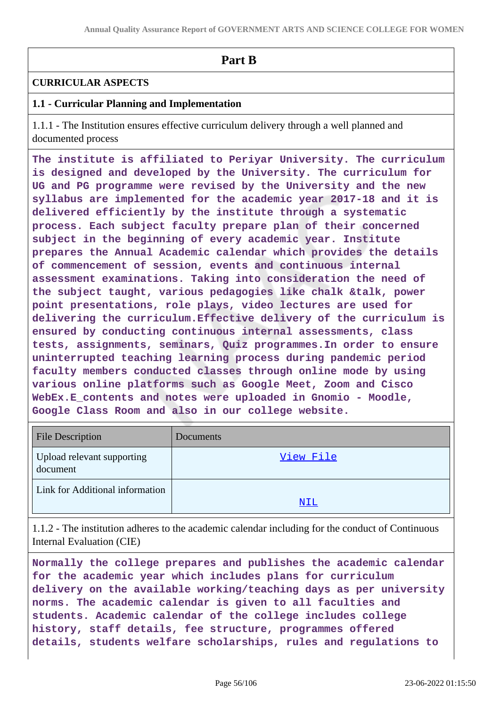# **Part B**

# **CURRICULAR ASPECTS**

# **1.1 - Curricular Planning and Implementation**

1.1.1 - The Institution ensures effective curriculum delivery through a well planned and documented process

**The institute is affiliated to Periyar University. The curriculum is designed and developed by the University. The curriculum for UG and PG programme were revised by the University and the new syllabus are implemented for the academic year 2017-18 and it is delivered efficiently by the institute through a systematic process. Each subject faculty prepare plan of their concerned subject in the beginning of every academic year. Institute prepares the Annual Academic calendar which provides the details of commencement of session, events and continuous internal assessment examinations. Taking into consideration the need of the subject taught, various pedagogies like chalk &talk, power point presentations, role plays, video lectures are used for delivering the curriculum.Effective delivery of the curriculum is ensured by conducting continuous internal assessments, class tests, assignments, seminars, Quiz programmes.In order to ensure uninterrupted teaching learning process during pandemic period faculty members conducted classes through online mode by using various online platforms such as Google Meet, Zoom and Cisco WebEx.E\_contents and notes were uploaded in Gnomio - Moodle, Google Class Room and also in our college website.**

| <b>File Description</b>                | Documents  |
|----------------------------------------|------------|
| Upload relevant supporting<br>document | View File  |
| Link for Additional information        |            |
|                                        | <u>NIL</u> |

1.1.2 - The institution adheres to the academic calendar including for the conduct of Continuous Internal Evaluation (CIE)

**Normally the college prepares and publishes the academic calendar for the academic year which includes plans for curriculum delivery on the available working/teaching days as per university norms. The academic calendar is given to all faculties and students. Academic calendar of the college includes college history, staff details, fee structure, programmes offered details, students welfare scholarships, rules and regulations to**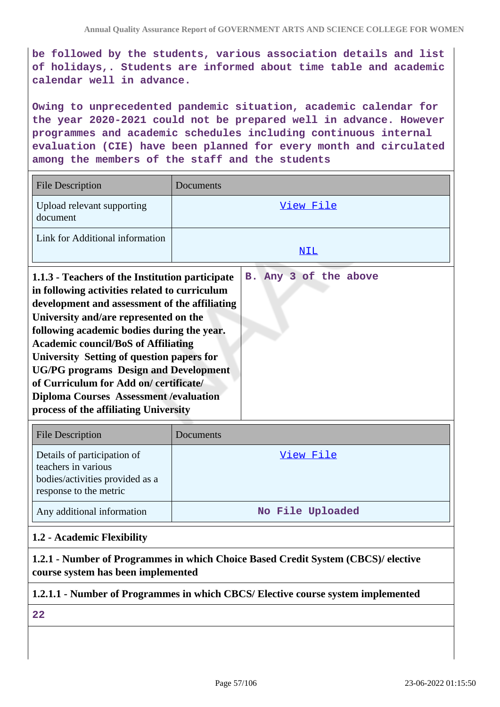**be followed by the students, various association details and list of holidays,. Students are informed about time table and academic calendar well in advance.**

**Owing to unprecedented pandemic situation, academic calendar for the year 2020-2021 could not be prepared well in advance. However programmes and academic schedules including continuous internal evaluation (CIE) have been planned for every month and circulated among the members of the staff and the students**

| <b>File Description</b>                                                                                                                                                                                                                                                                                                                                                                                                                                                                                                 | Documents             |
|-------------------------------------------------------------------------------------------------------------------------------------------------------------------------------------------------------------------------------------------------------------------------------------------------------------------------------------------------------------------------------------------------------------------------------------------------------------------------------------------------------------------------|-----------------------|
| Upload relevant supporting<br>document                                                                                                                                                                                                                                                                                                                                                                                                                                                                                  | View File             |
| Link for Additional information                                                                                                                                                                                                                                                                                                                                                                                                                                                                                         | NIL                   |
| 1.1.3 - Teachers of the Institution participate<br>in following activities related to curriculum<br>development and assessment of the affiliating<br>University and/are represented on the<br>following academic bodies during the year.<br><b>Academic council/BoS of Affiliating</b><br>University Setting of question papers for<br><b>UG/PG</b> programs Design and Development<br>of Curriculum for Add on/certificate/<br><b>Diploma Courses Assessment / evaluation</b><br>process of the affiliating University | B. Any 3 of the above |
| <b>File Description</b>                                                                                                                                                                                                                                                                                                                                                                                                                                                                                                 | Documents             |
| Details of participation of<br>teachers in various                                                                                                                                                                                                                                                                                                                                                                                                                                                                      | View File             |

| bodies/activities provided as a<br>esponse to the metric |                  |
|----------------------------------------------------------|------------------|
| Any additional information                               | No File Uploaded |

#### **1.2 - Academic Flexibility**

**1.2.1 - Number of Programmes in which Choice Based Credit System (CBCS)/ elective course system has been implemented**

#### **1.2.1.1 - Number of Programmes in which CBCS/ Elective course system implemented**

**22**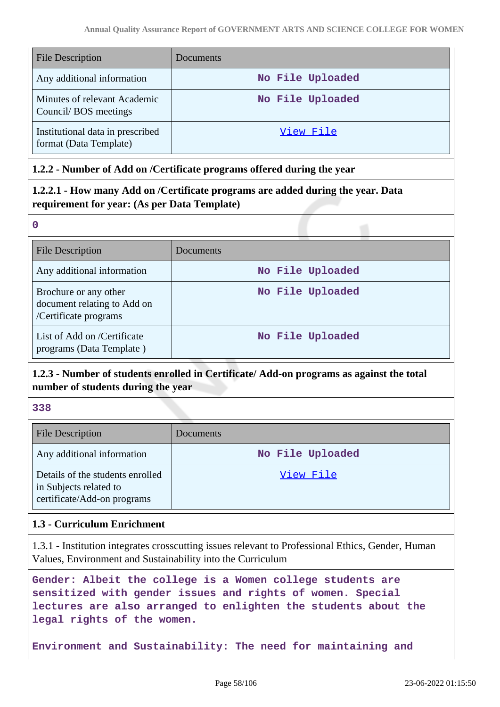| <b>File Description</b>                                    | Documents        |
|------------------------------------------------------------|------------------|
| Any additional information                                 | No File Uploaded |
| Minutes of relevant Academic<br>Council/BOS meetings       | No File Uploaded |
| Institutional data in prescribed<br>format (Data Template) | View File        |

### **1.2.2 - Number of Add on /Certificate programs offered during the year**

# **1.2.2.1 - How many Add on /Certificate programs are added during the year. Data requirement for year: (As per Data Template)**

**0**

| <b>File Description</b>                                                       | Documents        |
|-------------------------------------------------------------------------------|------------------|
| Any additional information                                                    | No File Uploaded |
| Brochure or any other<br>document relating to Add on<br>/Certificate programs | No File Uploaded |
| List of Add on /Certificate<br>programs (Data Template)                       | No File Uploaded |

# **1.2.3 - Number of students enrolled in Certificate/ Add-on programs as against the total number of students during the year**

**338**

| <b>File Description</b>                                                                   | Documents        |
|-------------------------------------------------------------------------------------------|------------------|
| Any additional information                                                                | No File Uploaded |
| Details of the students enrolled<br>in Subjects related to<br>certificate/Add-on programs | View File        |

### **1.3 - Curriculum Enrichment**

1.3.1 - Institution integrates crosscutting issues relevant to Professional Ethics, Gender, Human Values, Environment and Sustainability into the Curriculum

**Gender: Albeit the college is a Women college students are sensitized with gender issues and rights of women. Special lectures are also arranged to enlighten the students about the legal rights of the women.**

**Environment and Sustainability: The need for maintaining and**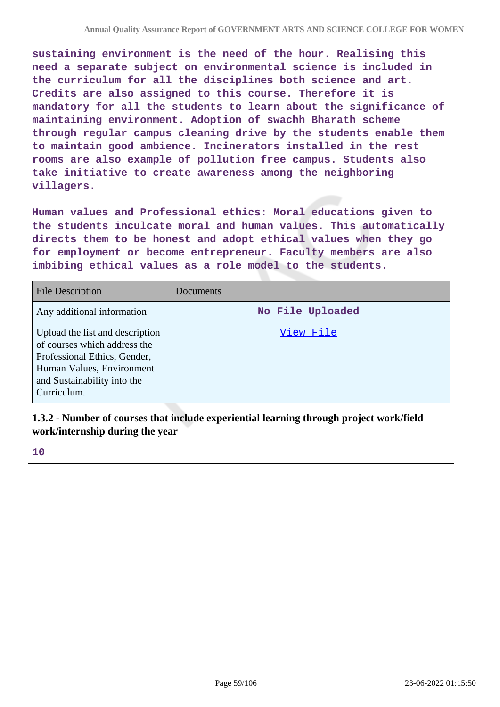**sustaining environment is the need of the hour. Realising this need a separate subject on environmental science is included in the curriculum for all the disciplines both science and art. Credits are also assigned to this course. Therefore it is mandatory for all the students to learn about the significance of maintaining environment. Adoption of swachh Bharath scheme through regular campus cleaning drive by the students enable them to maintain good ambience. Incinerators installed in the rest rooms are also example of pollution free campus. Students also take initiative to create awareness among the neighboring villagers.**

**Human values and Professional ethics: Moral educations given to the students inculcate moral and human values. This automatically directs them to be honest and adopt ethical values when they go for employment or become entrepreneur. Faculty members are also imbibing ethical values as a role model to the students.**

| <b>File Description</b>                                                                                                                                                    | Documents        |
|----------------------------------------------------------------------------------------------------------------------------------------------------------------------------|------------------|
| Any additional information                                                                                                                                                 | No File Uploaded |
| Upload the list and description<br>of courses which address the<br>Professional Ethics, Gender,<br>Human Values, Environment<br>and Sustainability into the<br>Curriculum. | View File        |

**1.3.2 - Number of courses that include experiential learning through project work/field work/internship during the year**

**10**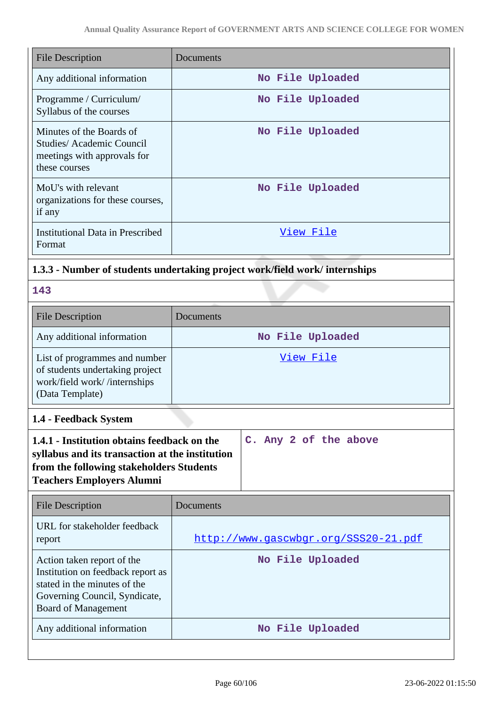| <b>File Description</b>                                                                              | Documents        |
|------------------------------------------------------------------------------------------------------|------------------|
| Any additional information                                                                           | No File Uploaded |
| Programme / Curriculum/<br>Syllabus of the courses                                                   | No File Uploaded |
| Minutes of the Boards of<br>Studies/Academic Council<br>meetings with approvals for<br>these courses | No File Uploaded |
| MoU's with relevant<br>organizations for these courses,<br>if any                                    | No File Uploaded |
| <b>Institutional Data in Prescribed</b><br>Format                                                    | View File        |

# **1.3.3 - Number of students undertaking project work/field work/ internships**

|  | ×<br>- 3<br>v |
|--|---------------|
|  |               |

| <b>File Description</b>                                                                                             | Documents        |
|---------------------------------------------------------------------------------------------------------------------|------------------|
| Any additional information                                                                                          | No File Uploaded |
| List of programmes and number<br>of students undertaking project<br>work/field work//internships<br>(Data Template) | View File        |

**1.4 - Feedback System**

| 1.4.1 - Institution obtains feedback on the     |  |  | C. Any 2 of the above |  |
|-------------------------------------------------|--|--|-----------------------|--|
| syllabus and its transaction at the institution |  |  |                       |  |
| from the following stakeholders Students        |  |  |                       |  |
| <b>Teachers Employers Alumni</b>                |  |  |                       |  |
|                                                 |  |  |                       |  |

| <b>File Description</b>                                                                                                                                 | Documents                            |
|---------------------------------------------------------------------------------------------------------------------------------------------------------|--------------------------------------|
| URL for stakeholder feedback<br>report                                                                                                                  | http://www.gascwbgr.org/SSS20-21.pdf |
| Action taken report of the<br>Institution on feedback report as<br>stated in the minutes of the<br>Governing Council, Syndicate,<br>Board of Management | No File Uploaded                     |
| Any additional information                                                                                                                              | No File Uploaded                     |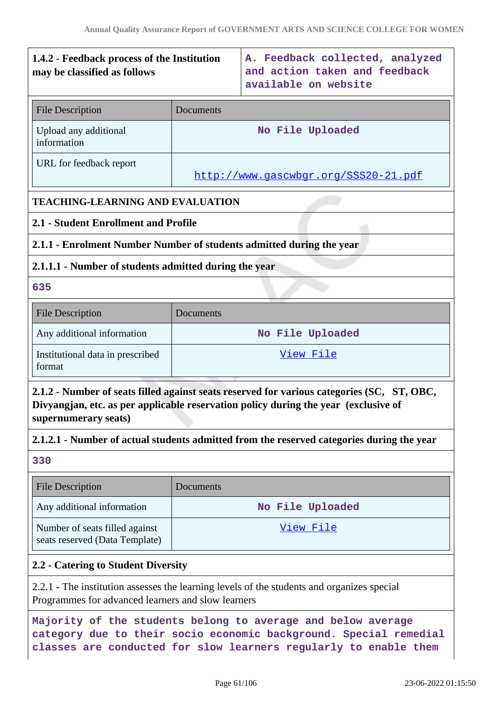# **1.4.2 - Feedback process of the Institution may be classified as follows A. Feedback collected, analyzed and action taken and feedback available on website** File Description Documents Upload any additional information **No File Uploaded** URL for feedback report <http://www.gascwbgr.org/SSS20-21.pdf> **TEACHING-LEARNING AND EVALUATION 2.1 - Student Enrollment and Profile**

**2.1.1 - Enrolment Number Number of students admitted during the year**

# **2.1.1.1 - Number of students admitted during the year**

# **635**

| <b>File Description</b>                    | Documents        |
|--------------------------------------------|------------------|
| Any additional information                 | No File Uploaded |
| Institutional data in prescribed<br>format | View File        |

**2.1.2 - Number of seats filled against seats reserved for various categories (SC, ST, OBC, Divyangjan, etc. as per applicable reservation policy during the year (exclusive of supernumerary seats)**

# **2.1.2.1 - Number of actual students admitted from the reserved categories during the year**

**330**

| <b>File Description</b>                                          | Documents        |
|------------------------------------------------------------------|------------------|
| Any additional information                                       | No File Uploaded |
| Number of seats filled against<br>seats reserved (Data Template) | View File        |

# **2.2 - Catering to Student Diversity**

2.2.1 - The institution assesses the learning levels of the students and organizes special Programmes for advanced learners and slow learners

**Majority of the students belong to average and below average category due to their socio economic background. Special remedial classes are conducted for slow learners regularly to enable them**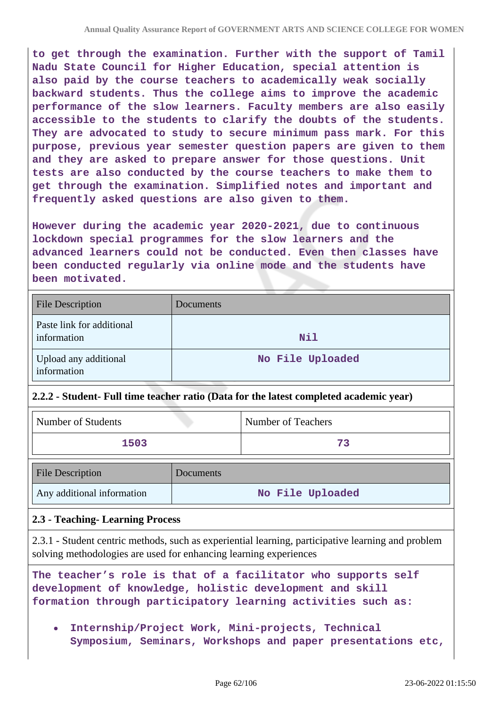**to get through the examination. Further with the support of Tamil Nadu State Council for Higher Education, special attention is also paid by the course teachers to academically weak socially backward students. Thus the college aims to improve the academic performance of the slow learners. Faculty members are also easily accessible to the students to clarify the doubts of the students. They are advocated to study to secure minimum pass mark. For this purpose, previous year semester question papers are given to them and they are asked to prepare answer for those questions. Unit tests are also conducted by the course teachers to make them to get through the examination. Simplified notes and important and frequently asked questions are also given to them.**

**However during the academic year 2020-2021, due to continuous lockdown special programmes for the slow learners and the advanced learners could not be conducted. Even then classes have been conducted regularly via online mode and the students have been motivated.**

| <b>File Description</b>                  | Documents        |
|------------------------------------------|------------------|
| Paste link for additional<br>information | <b>Nil</b>       |
| Upload any additional<br>information     | No File Uploaded |

### **2.2.2 - Student- Full time teacher ratio (Data for the latest completed academic year)**

| Number of Students | <b>Number of Teachers</b> |
|--------------------|---------------------------|
| 1503               | 73                        |

| <b>File Description</b>    | Documents        |
|----------------------------|------------------|
| Any additional information | No File Uploaded |

### **2.3 - Teaching- Learning Process**

2.3.1 - Student centric methods, such as experiential learning, participative learning and problem solving methodologies are used for enhancing learning experiences

**The teacher's role is that of a facilitator who supports self development of knowledge, holistic development and skill formation through participatory learning activities such as:**

**Internship/Project Work, Mini-projects, Technical Symposium, Seminars, Workshops and paper presentations etc,**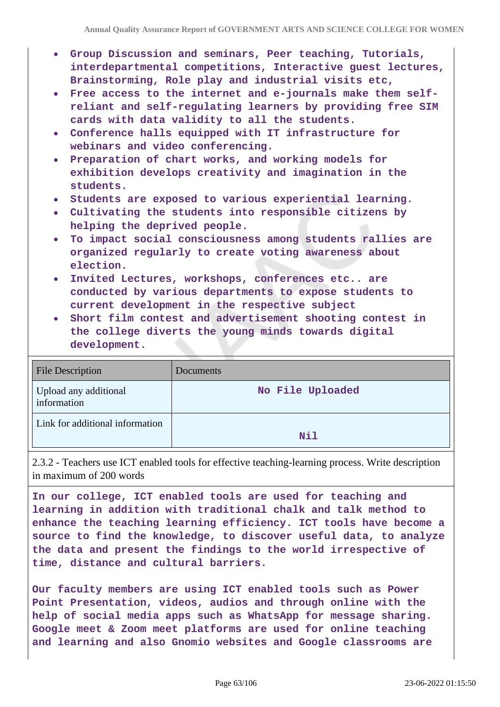- **Group Discussion and seminars, Peer teaching, Tutorials, interdepartmental competitions, Interactive guest lectures, Brainstorming, Role play and industrial visits etc,**
- **Free access to the internet and e-journals make them selfreliant and self-regulating learners by providing free SIM cards with data validity to all the students.**
- **Conference halls equipped with IT infrastructure for webinars and video conferencing.**
- **Preparation of chart works, and working models for exhibition develops creativity and imagination in the students.**
- **Students are exposed to various experiential learning.**
- **Cultivating the students into responsible citizens by helping the deprived people.**
- **To impact social consciousness among students rallies are organized regularly to create voting awareness about election.**
- **Invited Lectures, workshops, conferences etc.. are conducted by various departments to expose students to current development in the respective subject**
- **Short film contest and advertisement shooting contest in the college diverts the young minds towards digital development.**

| <b>File Description</b>              | Documents        |
|--------------------------------------|------------------|
| Upload any additional<br>information | No File Uploaded |
| Link for additional information      | <b>Nil</b>       |

2.3.2 - Teachers use ICT enabled tools for effective teaching-learning process. Write description in maximum of 200 words

**In our college, ICT enabled tools are used for teaching and learning in addition with traditional chalk and talk method to enhance the teaching learning efficiency. ICT tools have become a source to find the knowledge, to discover useful data, to analyze the data and present the findings to the world irrespective of time, distance and cultural barriers.**

**Our faculty members are using ICT enabled tools such as Power Point Presentation, videos, audios and through online with the help of social media apps such as WhatsApp for message sharing. Google meet & Zoom meet platforms are used for online teaching and learning and also Gnomio websites and Google classrooms are**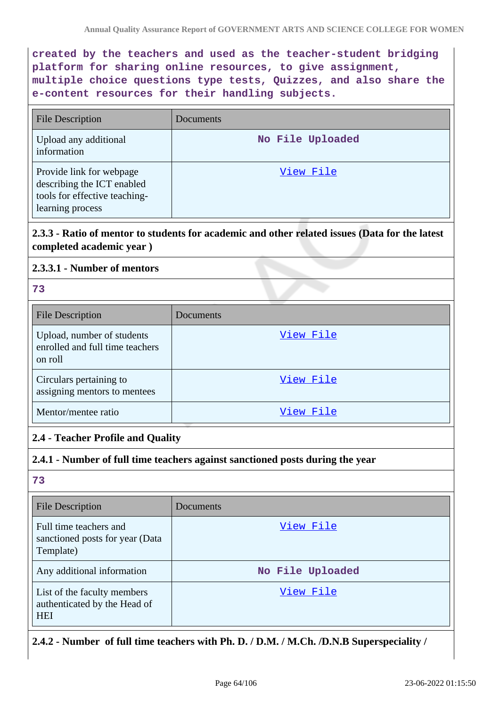**created by the teachers and used as the teacher-student bridging platform for sharing online resources, to give assignment, multiple choice questions type tests, Quizzes, and also share the e-content resources for their handling subjects.**

| <b>File Description</b>                                                                                     | Documents        |
|-------------------------------------------------------------------------------------------------------------|------------------|
| Upload any additional<br>information                                                                        | No File Uploaded |
| Provide link for webpage<br>describing the ICT enabled<br>tools for effective teaching-<br>learning process | View File        |

# **2.3.3 - Ratio of mentor to students for academic and other related issues (Data for the latest completed academic year )**

### **2.3.3.1 - Number of mentors**

**73**

| <b>File Description</b>                                                  | Documents |
|--------------------------------------------------------------------------|-----------|
| Upload, number of students<br>enrolled and full time teachers<br>on roll | View File |
| Circulars pertaining to<br>assigning mentors to mentees                  | View File |
| Mentor/mentee ratio                                                      | View File |

### **2.4 - Teacher Profile and Quality**

### **2.4.1 - Number of full time teachers against sanctioned posts during the year**

### **73**

| <b>File Description</b>                                                   | Documents        |
|---------------------------------------------------------------------------|------------------|
| Full time teachers and<br>sanctioned posts for year (Data<br>Template)    | View File        |
| Any additional information                                                | No File Uploaded |
| List of the faculty members<br>authenticated by the Head of<br><b>HEI</b> | View File        |

### **2.4.2 - Number of full time teachers with Ph. D. / D.M. / M.Ch. /D.N.B Superspeciality /**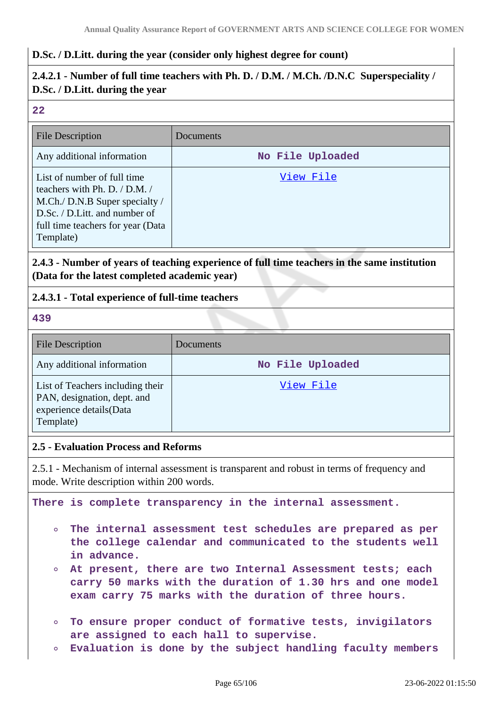#### **D.Sc. / D.Litt. during the year (consider only highest degree for count)**

# **2.4.2.1 - Number of full time teachers with Ph. D. / D.M. / M.Ch. /D.N.C Superspeciality / D.Sc. / D.Litt. during the year**

#### **22**

| <b>File Description</b>                                                                                                                                                               | Documents        |
|---------------------------------------------------------------------------------------------------------------------------------------------------------------------------------------|------------------|
| Any additional information                                                                                                                                                            | No File Uploaded |
| List of number of full time<br>teachers with Ph. D. $/$ D.M. $/$<br>M.Ch./ D.N.B Super specialty /<br>D.Sc. / D.Litt. and number of<br>full time teachers for year (Data<br>Template) | View File        |

# **2.4.3 - Number of years of teaching experience of full time teachers in the same institution (Data for the latest completed academic year)**

### **2.4.3.1 - Total experience of full-time teachers**

#### **439**

| <b>File Description</b>                                                                                 | Documents        |
|---------------------------------------------------------------------------------------------------------|------------------|
| Any additional information                                                                              | No File Uploaded |
| List of Teachers including their<br>PAN, designation, dept. and<br>experience details(Data<br>Template) | View File        |

#### **2.5 - Evaluation Process and Reforms**

2.5.1 - Mechanism of internal assessment is transparent and robust in terms of frequency and mode. Write description within 200 words.

**There is complete transparency in the internal assessment.**

- **The internal assessment test schedules are prepared as per**  $\circ$ **the college calendar and communicated to the students well in advance.**
- **At present, there are two Internal Assessment tests; each**  $\circ$ **carry 50 marks with the duration of 1.30 hrs and one model exam carry 75 marks with the duration of three hours.**
- **To ensure proper conduct of formative tests, invigilators are assigned to each hall to supervise.**
- **Evaluation is done by the subject handling faculty members**  $\circ$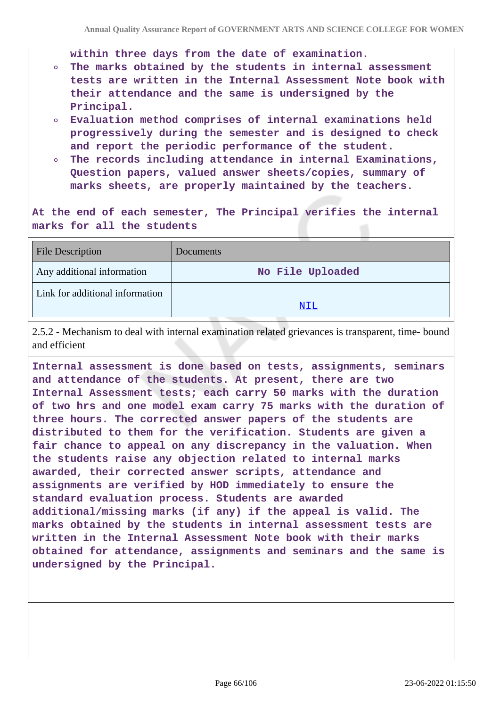**within three days from the date of examination.**

- **The marks obtained by the students in internal assessment**  $\circ$ **tests are written in the Internal Assessment Note book with their attendance and the same is undersigned by the Principal.**
- **Evaluation method comprises of internal examinations held progressively during the semester and is designed to check and report the periodic performance of the student.**
- **The records including attendance in internal Examinations,**  $\circ$ **Question papers, valued answer sheets/copies, summary of marks sheets, are properly maintained by the teachers.**

**At the end of each semester, The Principal verifies the internal marks for all the students**

| <b>File Description</b>         | Documents        |
|---------------------------------|------------------|
| Any additional information      | No File Uploaded |
| Link for additional information |                  |
|                                 | NIL              |

2.5.2 - Mechanism to deal with internal examination related grievances is transparent, time- bound and efficient

**Internal assessment is done based on tests, assignments, seminars and attendance of the students. At present, there are two Internal Assessment tests; each carry 50 marks with the duration of two hrs and one model exam carry 75 marks with the duration of three hours. The corrected answer papers of the students are distributed to them for the verification. Students are given a fair chance to appeal on any discrepancy in the valuation. When the students raise any objection related to internal marks awarded, their corrected answer scripts, attendance and assignments are verified by HOD immediately to ensure the standard evaluation process. Students are awarded additional/missing marks (if any) if the appeal is valid. The marks obtained by the students in internal assessment tests are written in the Internal Assessment Note book with their marks obtained for attendance, assignments and seminars and the same is undersigned by the Principal.**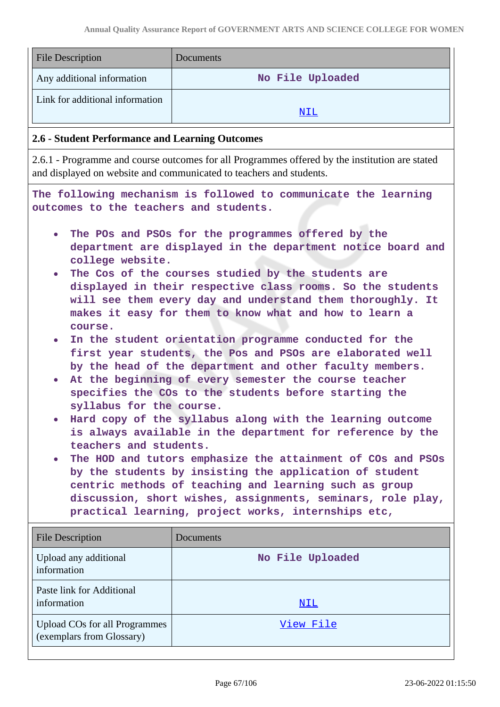| <b>File Description</b>                                                                                                                                                                                                                                                                                                                                                                                                                                                                                                                                                                                                                                                                                                                                                                                                                                                                                                                                                                                                                                                                                                                                                                                                                          | Documents        |  |
|--------------------------------------------------------------------------------------------------------------------------------------------------------------------------------------------------------------------------------------------------------------------------------------------------------------------------------------------------------------------------------------------------------------------------------------------------------------------------------------------------------------------------------------------------------------------------------------------------------------------------------------------------------------------------------------------------------------------------------------------------------------------------------------------------------------------------------------------------------------------------------------------------------------------------------------------------------------------------------------------------------------------------------------------------------------------------------------------------------------------------------------------------------------------------------------------------------------------------------------------------|------------------|--|
| Any additional information                                                                                                                                                                                                                                                                                                                                                                                                                                                                                                                                                                                                                                                                                                                                                                                                                                                                                                                                                                                                                                                                                                                                                                                                                       | No File Uploaded |  |
| Link for additional information                                                                                                                                                                                                                                                                                                                                                                                                                                                                                                                                                                                                                                                                                                                                                                                                                                                                                                                                                                                                                                                                                                                                                                                                                  | NIL              |  |
|                                                                                                                                                                                                                                                                                                                                                                                                                                                                                                                                                                                                                                                                                                                                                                                                                                                                                                                                                                                                                                                                                                                                                                                                                                                  |                  |  |
| 2.6 - Student Performance and Learning Outcomes                                                                                                                                                                                                                                                                                                                                                                                                                                                                                                                                                                                                                                                                                                                                                                                                                                                                                                                                                                                                                                                                                                                                                                                                  |                  |  |
| 2.6.1 - Programme and course outcomes for all Programmes offered by the institution are stated<br>and displayed on website and communicated to teachers and students.                                                                                                                                                                                                                                                                                                                                                                                                                                                                                                                                                                                                                                                                                                                                                                                                                                                                                                                                                                                                                                                                            |                  |  |
| The following mechanism is followed to communicate the learning<br>outcomes to the teachers and students.                                                                                                                                                                                                                                                                                                                                                                                                                                                                                                                                                                                                                                                                                                                                                                                                                                                                                                                                                                                                                                                                                                                                        |                  |  |
| The POs and PSOs for the programmes offered by the<br>$\bullet$<br>department are displayed in the department notice board and<br>college website.<br>The Cos of the courses studied by the students are<br>$\bullet$<br>displayed in their respective class rooms. So the students<br>will see them every day and understand them thoroughly. It<br>makes it easy for them to know what and how to learn a<br>course.<br>In the student orientation programme conducted for the<br>$\bullet$<br>first year students, the Pos and PSOs are elaborated well<br>by the head of the department and other faculty members.<br>At the beginning of every semester the course teacher<br>$\bullet$<br>specifies the COs to the students before starting the<br>syllabus for the course.<br>Hard copy of the syllabus along with the learning outcome<br>is always available in the department for reference by the<br>teachers and students.<br>The HOD and tutors emphasize the attainment of COs and PSOs<br>by the students by insisting the application of student<br>centric methods of teaching and learning such as group<br>discussion, short wishes, assignments, seminars, role play,<br>practical learning, project works, internships etc, |                  |  |
| <b>File Description</b>                                                                                                                                                                                                                                                                                                                                                                                                                                                                                                                                                                                                                                                                                                                                                                                                                                                                                                                                                                                                                                                                                                                                                                                                                          | Documents        |  |
| Upload any additional<br>information                                                                                                                                                                                                                                                                                                                                                                                                                                                                                                                                                                                                                                                                                                                                                                                                                                                                                                                                                                                                                                                                                                                                                                                                             | No File Uploaded |  |
| Paste link for Additional<br>information                                                                                                                                                                                                                                                                                                                                                                                                                                                                                                                                                                                                                                                                                                                                                                                                                                                                                                                                                                                                                                                                                                                                                                                                         | NIL              |  |
| <b>Upload COs for all Programmes</b><br>(exemplars from Glossary)                                                                                                                                                                                                                                                                                                                                                                                                                                                                                                                                                                                                                                                                                                                                                                                                                                                                                                                                                                                                                                                                                                                                                                                | View File        |  |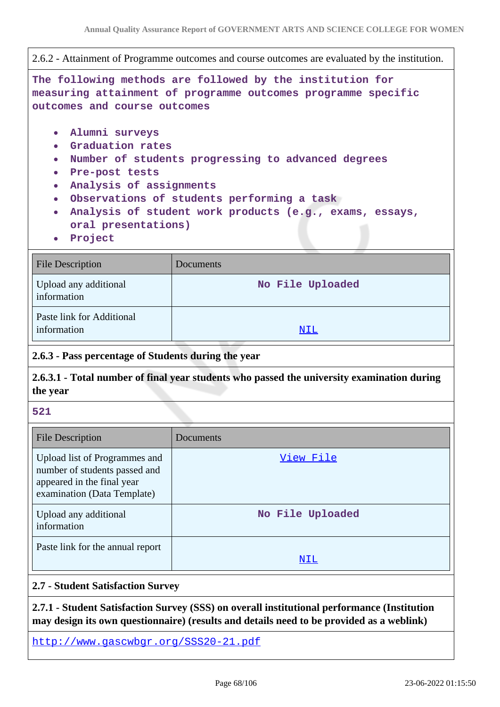2.6.2 - Attainment of Programme outcomes and course outcomes are evaluated by the institution.

**The following methods are followed by the institution for measuring attainment of programme outcomes programme specific outcomes and course outcomes**

- **Alumni surveys**
- **Graduation rates**
- **Number of students progressing to advanced degrees**
- **Pre-post tests**
- **Analysis of assignments**
- **Observations of students performing a task**
- **Analysis of student work products (e.g., exams, essays, oral presentations)**
- **Project**

| <b>File Description</b>                  | Documents        |
|------------------------------------------|------------------|
| Upload any additional<br>information     | No File Uploaded |
| Paste link for Additional<br>information | NIL              |

### **2.6.3 - Pass percentage of Students during the year**

# **2.6.3.1 - Total number of final year students who passed the university examination during the year**

**521**

| <b>File Description</b>                                                                                                     | Documents        |
|-----------------------------------------------------------------------------------------------------------------------------|------------------|
| Upload list of Programmes and<br>number of students passed and<br>appeared in the final year<br>examination (Data Template) | View File        |
| Upload any additional<br>information                                                                                        | No File Uploaded |
| Paste link for the annual report                                                                                            | NIL              |

#### **2.7 - Student Satisfaction Survey**

**2.7.1 - Student Satisfaction Survey (SSS) on overall institutional performance (Institution may design its own questionnaire) (results and details need to be provided as a weblink)**

<http://www.gascwbgr.org/SSS20-21.pdf>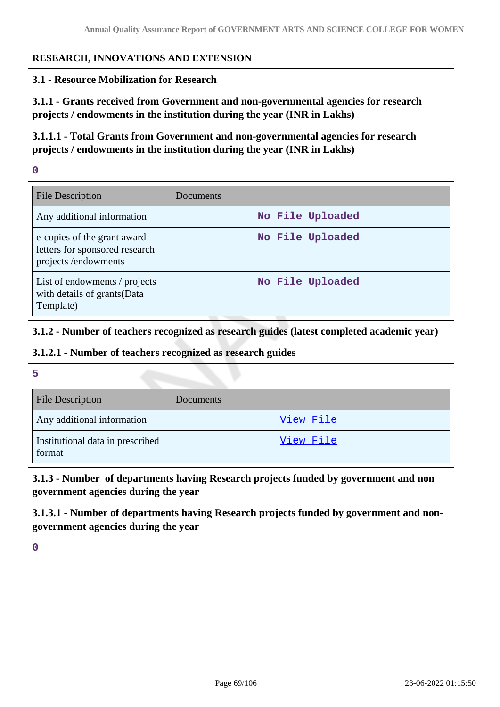#### **RESEARCH, INNOVATIONS AND EXTENSION**

#### **3.1 - Resource Mobilization for Research**

**3.1.1 - Grants received from Government and non-governmental agencies for research projects / endowments in the institution during the year (INR in Lakhs)**

**3.1.1.1 - Total Grants from Government and non-governmental agencies for research projects / endowments in the institution during the year (INR in Lakhs)**

**0**

| <b>File Description</b>                                                               | Documents        |
|---------------------------------------------------------------------------------------|------------------|
| Any additional information                                                            | No File Uploaded |
| e-copies of the grant award<br>letters for sponsored research<br>projects /endowments | No File Uploaded |
| List of endowments / projects<br>with details of grants (Data<br>Template)            | No File Uploaded |

# **3.1.2 - Number of teachers recognized as research guides (latest completed academic year)**

#### **3.1.2.1 - Number of teachers recognized as research guides**

**5**

| <b>File Description</b>                    | Documents |
|--------------------------------------------|-----------|
| Any additional information                 | View File |
| Institutional data in prescribed<br>format | View File |

# **3.1.3 - Number of departments having Research projects funded by government and non government agencies during the year**

**3.1.3.1 - Number of departments having Research projects funded by government and nongovernment agencies during the year**

**0**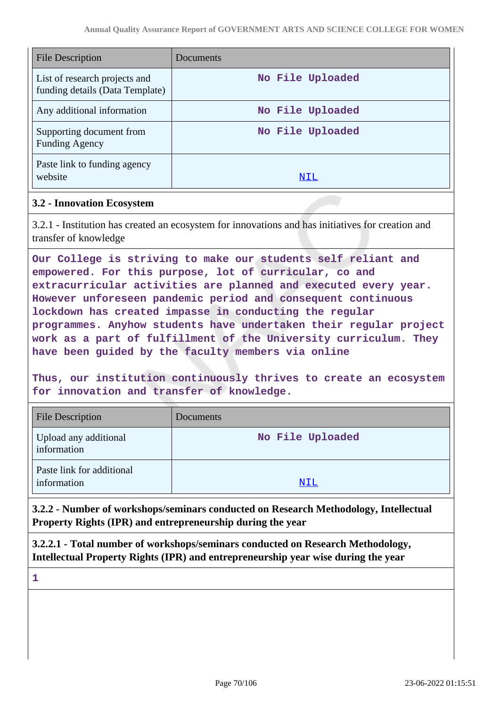| <b>File Description</b>                                          | Documents        |
|------------------------------------------------------------------|------------------|
| List of research projects and<br>funding details (Data Template) | No File Uploaded |
| Any additional information                                       | No File Uploaded |
| Supporting document from<br><b>Funding Agency</b>                | No File Uploaded |
| Paste link to funding agency<br>website                          | NIL              |

#### **3.2 - Innovation Ecosystem**

3.2.1 - Institution has created an ecosystem for innovations and has initiatives for creation and transfer of knowledge

**Our College is striving to make our students self reliant and empowered. For this purpose, lot of curricular, co and extracurricular activities are planned and executed every year. However unforeseen pandemic period and consequent continuous lockdown has created impasse in conducting the regular programmes. Anyhow students have undertaken their regular project work as a part of fulfillment of the University curriculum. They have been guided by the faculty members via online**

**Thus, our institution continuously thrives to create an ecosystem for innovation and transfer of knowledge.**

| <b>File Description</b>                  | Documents        |
|------------------------------------------|------------------|
| Upload any additional<br>information     | No File Uploaded |
| Paste link for additional<br>information | NIL              |

**3.2.2 - Number of workshops/seminars conducted on Research Methodology, Intellectual Property Rights (IPR) and entrepreneurship during the year**

**3.2.2.1 - Total number of workshops/seminars conducted on Research Methodology, Intellectual Property Rights (IPR) and entrepreneurship year wise during the year**

**1**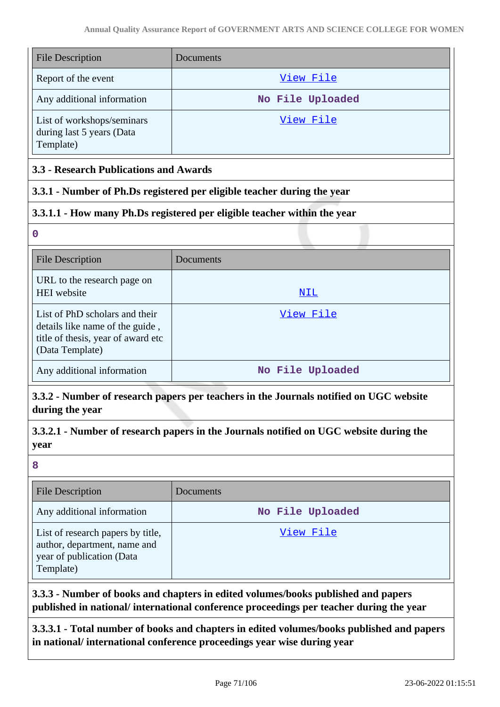| <b>File Description</b>                                              | Documents        |
|----------------------------------------------------------------------|------------------|
| Report of the event                                                  | View File        |
| Any additional information                                           | No File Uploaded |
| List of workshops/seminars<br>during last 5 years (Data<br>Template) | View File        |

### **3.3 - Research Publications and Awards**

### **3.3.1 - Number of Ph.Ds registered per eligible teacher during the year**

### **3.3.1.1 - How many Ph.Ds registered per eligible teacher within the year**

**0**

| <b>File Description</b>                                                                                                    | Documents        |
|----------------------------------------------------------------------------------------------------------------------------|------------------|
| URL to the research page on<br>HEI website                                                                                 | NIL              |
| List of PhD scholars and their<br>details like name of the guide,<br>title of thesis, year of award etc<br>(Data Template) | View File        |
| Any additional information                                                                                                 | No File Uploaded |

**3.3.2 - Number of research papers per teachers in the Journals notified on UGC website during the year**

**3.3.2.1 - Number of research papers in the Journals notified on UGC website during the year**

**8**

| <b>File Description</b>                                                                                     | Documents        |
|-------------------------------------------------------------------------------------------------------------|------------------|
| Any additional information                                                                                  | No File Uploaded |
| List of research papers by title,<br>author, department, name and<br>year of publication (Data<br>Template) | View File        |

**3.3.3 - Number of books and chapters in edited volumes/books published and papers published in national/ international conference proceedings per teacher during the year**

**3.3.3.1 - Total number of books and chapters in edited volumes/books published and papers in national/ international conference proceedings year wise during year**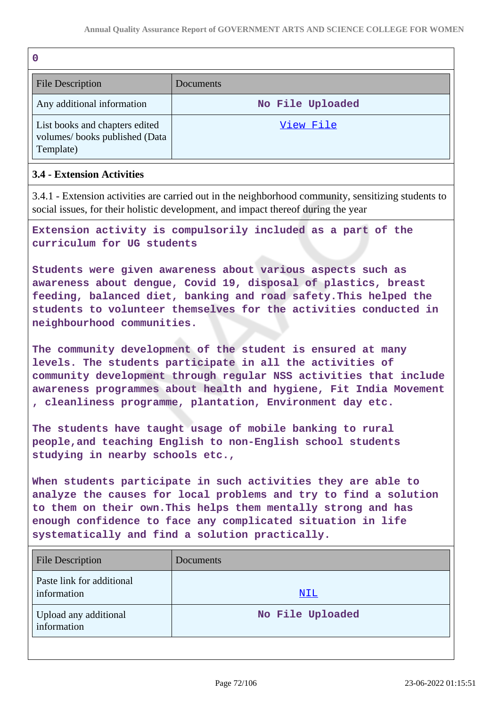| ٠<br>I<br>-<br>٧ |  |
|------------------|--|
|                  |  |

| <b>File Description</b>                                                      | Documents        |
|------------------------------------------------------------------------------|------------------|
| Any additional information                                                   | No File Uploaded |
| List books and chapters edited<br>volumes/books published (Data<br>Template) | View File        |

# **3.4 - Extension Activities**

3.4.1 - Extension activities are carried out in the neighborhood community, sensitizing students to social issues, for their holistic development, and impact thereof during the year

**Extension activity is compulsorily included as a part of the curriculum for UG students**

**Students were given awareness about various aspects such as awareness about dengue, Covid 19, disposal of plastics, breast feeding, balanced diet, banking and road safety.This helped the students to volunteer themselves for the activities conducted in neighbourhood communities.**

**The community development of the student is ensured at many levels. The students participate in all the activities of community development through regular NSS activities that include awareness programmes about health and hygiene, Fit India Movement , cleanliness programme, plantation, Environment day etc.**

**The students have taught usage of mobile banking to rural people,and teaching English to non-English school students studying in nearby schools etc.,**

**When students participate in such activities they are able to analyze the causes for local problems and try to find a solution to them on their own.This helps them mentally strong and has enough confidence to face any complicated situation in life systematically and find a solution practically.**

| <b>File Description</b>                  | Documents        |
|------------------------------------------|------------------|
| Paste link for additional<br>information | NIL              |
| Upload any additional<br>information     | No File Uploaded |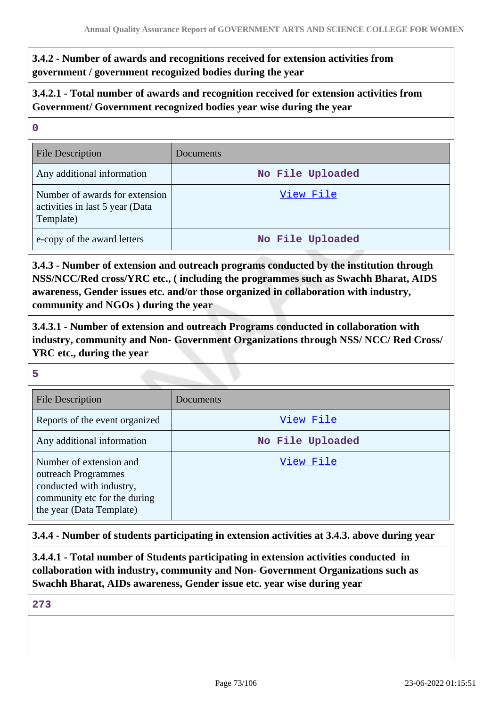**3.4.2 - Number of awards and recognitions received for extension activities from government / government recognized bodies during the year**

**3.4.2.1 - Total number of awards and recognition received for extension activities from Government/ Government recognized bodies year wise during the year**

| $\mathbf 0$                                                                    |                  |
|--------------------------------------------------------------------------------|------------------|
| <b>File Description</b>                                                        | Documents        |
| Any additional information                                                     | No File Uploaded |
| Number of awards for extension<br>activities in last 5 year (Data<br>Template) | View File        |
| e-copy of the award letters                                                    | No File Uploaded |

**3.4.3 - Number of extension and outreach programs conducted by the institution through NSS/NCC/Red cross/YRC etc., ( including the programmes such as Swachh Bharat, AIDS awareness, Gender issues etc. and/or those organized in collaboration with industry, community and NGOs ) during the year**

**3.4.3.1 - Number of extension and outreach Programs conducted in collaboration with industry, community and Non- Government Organizations through NSS/ NCC/ Red Cross/ YRC etc., during the year**

**5**

| <b>File Description</b>                                                                                                                | Documents        |
|----------------------------------------------------------------------------------------------------------------------------------------|------------------|
| Reports of the event organized                                                                                                         | View File        |
| Any additional information                                                                                                             | No File Uploaded |
| Number of extension and<br>outreach Programmes<br>conducted with industry,<br>community etc for the during<br>the year (Data Template) | View File        |

**3.4.4 - Number of students participating in extension activities at 3.4.3. above during year**

**3.4.4.1 - Total number of Students participating in extension activities conducted in collaboration with industry, community and Non- Government Organizations such as Swachh Bharat, AIDs awareness, Gender issue etc. year wise during year**

**273**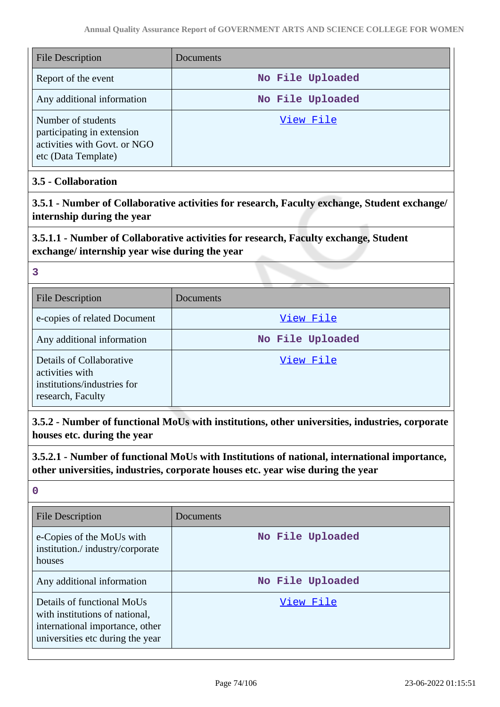| <b>File Description</b>                                                                                 | Documents        |
|---------------------------------------------------------------------------------------------------------|------------------|
| Report of the event                                                                                     | No File Uploaded |
| Any additional information                                                                              | No File Uploaded |
| Number of students<br>participating in extension<br>activities with Govt. or NGO<br>etc (Data Template) | View File        |

# **3.5 - Collaboration**

**3.5.1 - Number of Collaborative activities for research, Faculty exchange, Student exchange/ internship during the year**

# **3.5.1.1 - Number of Collaborative activities for research, Faculty exchange, Student exchange/ internship year wise during the year**

#### **3**

| <b>File Description</b>                                                                         | Documents        |
|-------------------------------------------------------------------------------------------------|------------------|
| e-copies of related Document                                                                    | View File        |
| Any additional information                                                                      | No File Uploaded |
| Details of Collaborative<br>activities with<br>institutions/industries for<br>research, Faculty | View File        |

**3.5.2 - Number of functional MoUs with institutions, other universities, industries, corporate houses etc. during the year**

**3.5.2.1 - Number of functional MoUs with Institutions of national, international importance, other universities, industries, corporate houses etc. year wise during the year**

#### **0**

| <b>File Description</b>                                                                                                             | Documents        |
|-------------------------------------------------------------------------------------------------------------------------------------|------------------|
| e-Copies of the MoUs with<br>institution./industry/corporate<br>houses                                                              | No File Uploaded |
| Any additional information                                                                                                          | No File Uploaded |
| Details of functional MoUs<br>with institutions of national,<br>international importance, other<br>universities etc during the year | View File        |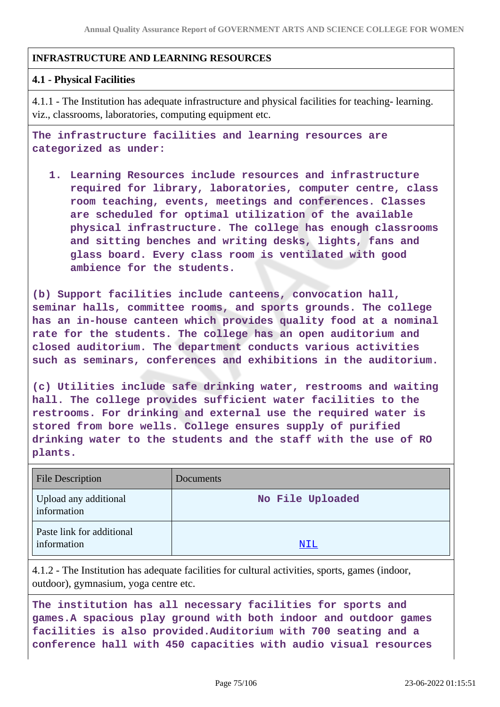## **INFRASTRUCTURE AND LEARNING RESOURCES**

#### **4.1 - Physical Facilities**

4.1.1 - The Institution has adequate infrastructure and physical facilities for teaching- learning. viz., classrooms, laboratories, computing equipment etc.

**The infrastructure facilities and learning resources are categorized as under:**

**1. Learning Resources include resources and infrastructure required for library, laboratories, computer centre, class room teaching, events, meetings and conferences. Classes are scheduled for optimal utilization of the available physical infrastructure. The college has enough classrooms and sitting benches and writing desks, lights, fans and glass board. Every class room is ventilated with good ambience for the students.**

**(b) Support facilities include canteens, convocation hall, seminar halls, committee rooms, and sports grounds. The college has an in-house canteen which provides quality food at a nominal rate for the students. The college has an open auditorium and closed auditorium. The department conducts various activities such as seminars, conferences and exhibitions in the auditorium.**

**(c) Utilities include safe drinking water, restrooms and waiting hall. The college provides sufficient water facilities to the restrooms. For drinking and external use the required water is stored from bore wells. College ensures supply of purified drinking water to the students and the staff with the use of RO plants.**

| <b>File Description</b>                  | Documents        |
|------------------------------------------|------------------|
| Upload any additional<br>information     | No File Uploaded |
| Paste link for additional<br>information | NIL              |

4.1.2 - The Institution has adequate facilities for cultural activities, sports, games (indoor, outdoor), gymnasium, yoga centre etc.

**The institution has all necessary facilities for sports and games.A spacious play ground with both indoor and outdoor games facilities is also provided.Auditorium with 700 seating and a conference hall with 450 capacities with audio visual resources**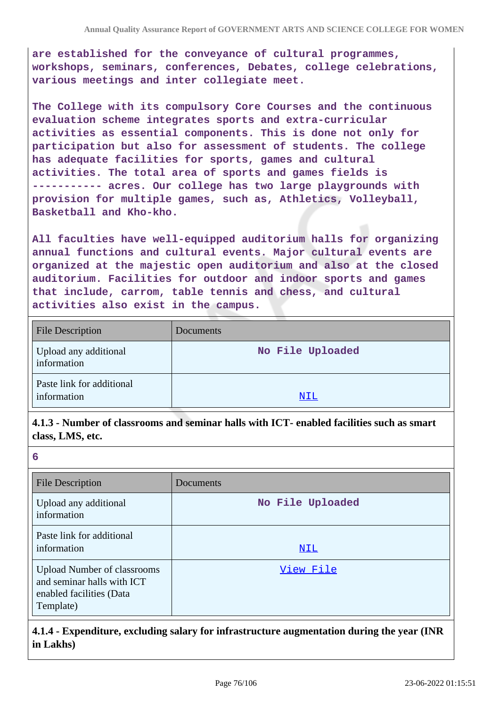**are established for the conveyance of cultural programmes, workshops, seminars, conferences, Debates, college celebrations, various meetings and inter collegiate meet.**

**The College with its compulsory Core Courses and the continuous evaluation scheme integrates sports and extra-curricular activities as essential components. This is done not only for participation but also for assessment of students. The college has adequate facilities for sports, games and cultural activities. The total area of sports and games fields is ----------- acres. Our college has two large playgrounds with provision for multiple games, such as, Athletics, Volleyball, Basketball and Kho-kho.**

**All faculties have well-equipped auditorium halls for organizing annual functions and cultural events. Major cultural events are organized at the majestic open auditorium and also at the closed auditorium. Facilities for outdoor and indoor sports and games that include, carrom, table tennis and chess, and cultural activities also exist in the campus.**

| <b>File Description</b>                  | Documents        |
|------------------------------------------|------------------|
| Upload any additional<br>information     | No File Uploaded |
| Paste link for additional<br>information | <u>NIL</u>       |

**4.1.3 - Number of classrooms and seminar halls with ICT- enabled facilities such as smart class, LMS, etc.**

| 6                                                                                                         |                  |
|-----------------------------------------------------------------------------------------------------------|------------------|
| <b>File Description</b>                                                                                   | Documents        |
| Upload any additional<br>information                                                                      | No File Uploaded |
| Paste link for additional<br>information                                                                  | NIL              |
| <b>Upload Number of classrooms</b><br>and seminar halls with ICT<br>enabled facilities (Data<br>Template) | View File        |

## **4.1.4 - Expenditure, excluding salary for infrastructure augmentation during the year (INR in Lakhs)**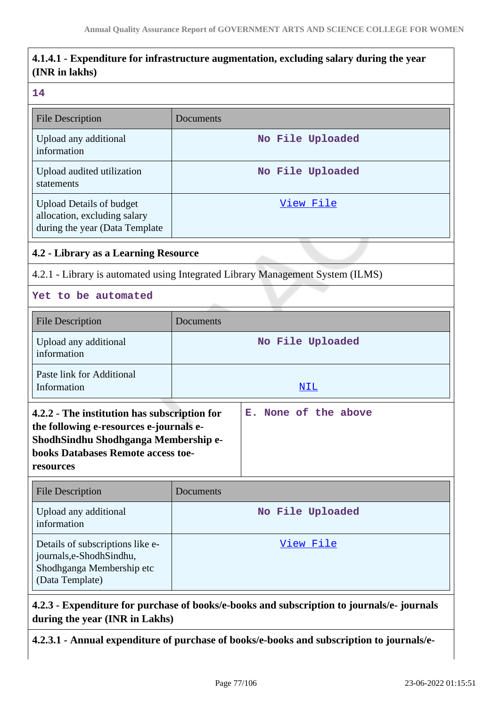# **4.1.4.1 - Expenditure for infrastructure augmentation, excluding salary during the year (INR in lakhs)**

#### **14**

| <b>File Description</b>                                                                           | Documents                                                                      |  |  |
|---------------------------------------------------------------------------------------------------|--------------------------------------------------------------------------------|--|--|
| Upload any additional<br>information                                                              | No File Uploaded                                                               |  |  |
| Upload audited utilization<br>statements                                                          | No File Uploaded                                                               |  |  |
| <b>Upload Details of budget</b><br>allocation, excluding salary<br>during the year (Data Template | <u>View File</u>                                                               |  |  |
|                                                                                                   | 4.2 - Library as a Learning Resource                                           |  |  |
|                                                                                                   | 4.2.1 - Library is automated using Integrated Library Management System (ILMS) |  |  |
| Yet to be automated                                                                               |                                                                                |  |  |
| <b>File Description</b>                                                                           | Documents                                                                      |  |  |
| Upload any additional<br>information                                                              | No File Uploaded                                                               |  |  |
| Paste link for Additional<br>Information                                                          | NIL                                                                            |  |  |
| 4.2.2 - The institution has subscription for<br>the following e-resources e-journals e-           | None of the above<br>Е.                                                        |  |  |

| the following e-resources e-journals e-     |  |
|---------------------------------------------|--|
| <b>ShodhSindhu Shodhganga Membership e-</b> |  |
| books Databases Remote access toe-          |  |
| resources                                   |  |
|                                             |  |

| <b>File Description</b>                                                                                       | Documents        |
|---------------------------------------------------------------------------------------------------------------|------------------|
| Upload any additional<br>information                                                                          | No File Uploaded |
| Details of subscriptions like e-<br>journals, e-Shodh Sindhu,<br>Shodhganga Membership etc<br>(Data Template) | View File        |

# **4.2.3 - Expenditure for purchase of books/e-books and subscription to journals/e- journals during the year (INR in Lakhs)**

**4.2.3.1 - Annual expenditure of purchase of books/e-books and subscription to journals/e-**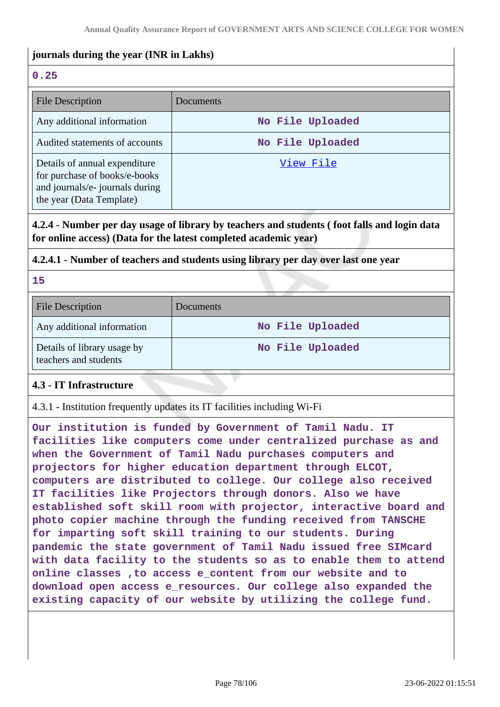## **journals during the year (INR in Lakhs)**

# **0.25**

| <b>File Description</b>                                                                                                       | Documents        |
|-------------------------------------------------------------------------------------------------------------------------------|------------------|
| Any additional information                                                                                                    | No File Uploaded |
| Audited statements of accounts                                                                                                | No File Uploaded |
| Details of annual expenditure<br>for purchase of books/e-books<br>and journals/e- journals during<br>the year (Data Template) | View File        |

**4.2.4 - Number per day usage of library by teachers and students ( foot falls and login data for online access) (Data for the latest completed academic year)**

### **4.2.4.1 - Number of teachers and students using library per day over last one year**

**15**

| <b>File Description</b>                              | Documents        |
|------------------------------------------------------|------------------|
| Any additional information                           | No File Uploaded |
| Details of library usage by<br>teachers and students | No File Uploaded |

## **4.3 - IT Infrastructure**

4.3.1 - Institution frequently updates its IT facilities including Wi-Fi

**Our institution is funded by Government of Tamil Nadu. IT facilities like computers come under centralized purchase as and when the Government of Tamil Nadu purchases computers and projectors for higher education department through ELCOT, computers are distributed to college. Our college also received IT facilities like Projectors through donors. Also we have established soft skill room with projector, interactive board and photo copier machine through the funding received from TANSCHE for imparting soft skill training to our students. During pandemic the state government of Tamil Nadu issued free SIMcard with data facility to the students so as to enable them to attend online classes ,to access e\_content from our website and to download open access e\_resources. Our college also expanded the existing capacity of our website by utilizing the college fund.**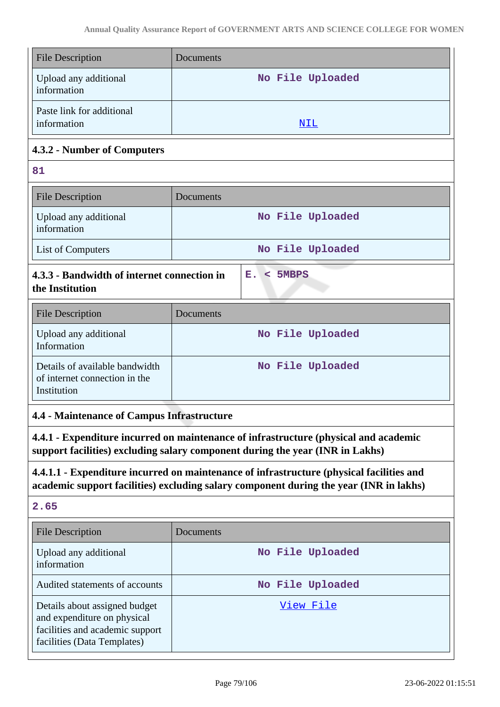| <b>File Description</b>                                                                                                                                                            | Documents             |  |
|------------------------------------------------------------------------------------------------------------------------------------------------------------------------------------|-----------------------|--|
| Upload any additional<br>information                                                                                                                                               | No File Uploaded      |  |
| Paste link for additional<br>information                                                                                                                                           | <u>NIL</u>            |  |
| 4.3.2 - Number of Computers                                                                                                                                                        |                       |  |
| 81                                                                                                                                                                                 |                       |  |
| <b>File Description</b>                                                                                                                                                            | Documents             |  |
| Upload any additional<br>information                                                                                                                                               | No File Uploaded      |  |
| List of Computers                                                                                                                                                                  | No File Uploaded      |  |
| 4.3.3 - Bandwidth of internet connection in<br>the Institution                                                                                                                     | 5MBPS<br>Е.<br>$\leq$ |  |
| <b>File Description</b>                                                                                                                                                            | Documents             |  |
| Upload any additional<br>Information                                                                                                                                               | No File Uploaded      |  |
| Details of available bandwidth<br>of internet connection in the<br>Institution                                                                                                     | No File Uploaded      |  |
| <b>4.4 - Maintenance of Campus Infrastructure</b>                                                                                                                                  |                       |  |
| 4.4.1 - Expenditure incurred on maintenance of infrastructure (physical and academic<br>support facilities) excluding salary component during the year (INR in Lakhs)              |                       |  |
| 4.4.1.1 - Expenditure incurred on maintenance of infrastructure (physical facilities and<br>academic support facilities) excluding salary component during the year (INR in lakhs) |                       |  |
| 2.65                                                                                                                                                                               |                       |  |
| <b>File Description</b>                                                                                                                                                            | Documents             |  |
| Upload any additional<br>information                                                                                                                                               | No File Uploaded      |  |
| Audited statements of accounts                                                                                                                                                     | No File Uploaded      |  |
| Details about assigned budget<br>and expenditure on physical<br>facilities and academic support<br>facilities (Data Templates)                                                     | View File             |  |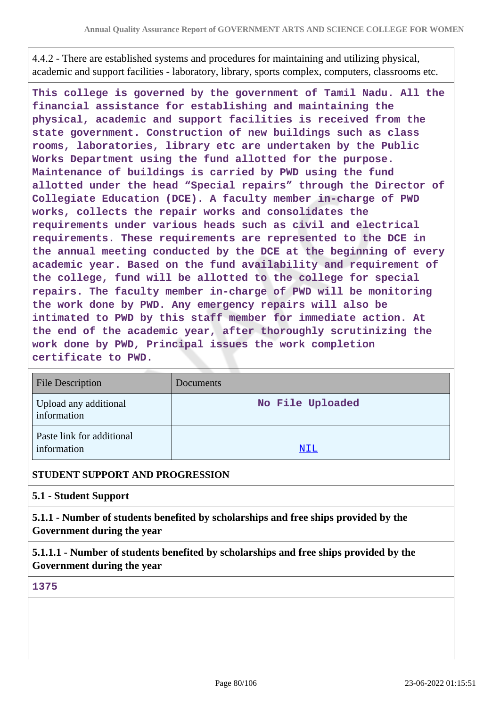4.4.2 - There are established systems and procedures for maintaining and utilizing physical, academic and support facilities - laboratory, library, sports complex, computers, classrooms etc.

**This college is governed by the government of Tamil Nadu. All the financial assistance for establishing and maintaining the physical, academic and support facilities is received from the state government. Construction of new buildings such as class rooms, laboratories, library etc are undertaken by the Public Works Department using the fund allotted for the purpose. Maintenance of buildings is carried by PWD using the fund allotted under the head "Special repairs" through the Director of Collegiate Education (DCE). A faculty member in-charge of PWD works, collects the repair works and consolidates the requirements under various heads such as civil and electrical requirements. These requirements are represented to the DCE in the annual meeting conducted by the DCE at the beginning of every academic year. Based on the fund availability and requirement of the college, fund will be allotted to the college for special repairs. The faculty member in-charge of PWD will be monitoring the work done by PWD. Any emergency repairs will also be intimated to PWD by this staff member for immediate action. At the end of the academic year, after thoroughly scrutinizing the work done by PWD, Principal issues the work completion certificate to PWD.**

| <b>File Description</b>                  | Documents        |
|------------------------------------------|------------------|
| Upload any additional<br>information     | No File Uploaded |
| Paste link for additional<br>information | <u>NIL</u>       |

### **STUDENT SUPPORT AND PROGRESSION**

#### **5.1 - Student Support**

**5.1.1 - Number of students benefited by scholarships and free ships provided by the Government during the year**

**5.1.1.1 - Number of students benefited by scholarships and free ships provided by the Government during the year**

**1375**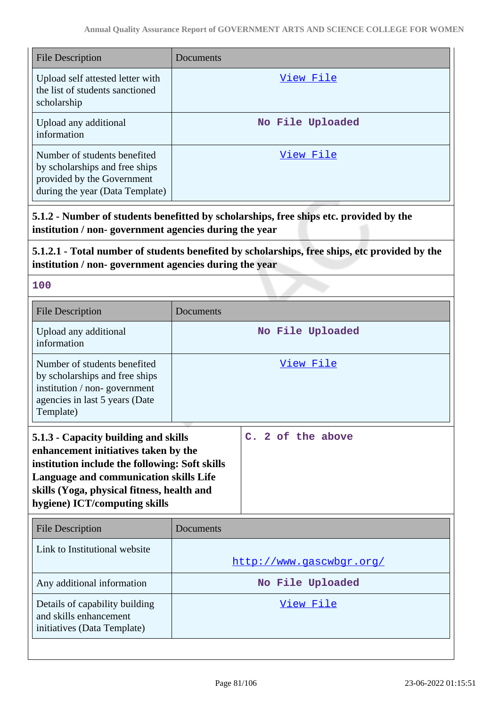| <b>File Description</b>                                                                                                         | Documents        |
|---------------------------------------------------------------------------------------------------------------------------------|------------------|
| Upload self attested letter with<br>the list of students sanctioned<br>scholarship                                              | View File        |
| Upload any additional<br>information                                                                                            | No File Uploaded |
| Number of students benefited<br>by scholarships and free ships<br>provided by the Government<br>during the year (Data Template) | View File        |

**5.1.2 - Number of students benefitted by scholarships, free ships etc. provided by the institution / non- government agencies during the year**

# **5.1.2.1 - Total number of students benefited by scholarships, free ships, etc provided by the institution / non- government agencies during the year**

| m. |        |        |  |
|----|--------|--------|--|
|    |        |        |  |
|    |        |        |  |
|    | $\sim$ | $\sim$ |  |
|    |        |        |  |

| Documents                                                                                                                                                                                                              |                          |
|------------------------------------------------------------------------------------------------------------------------------------------------------------------------------------------------------------------------|--------------------------|
|                                                                                                                                                                                                                        |                          |
| No File Uploaded                                                                                                                                                                                                       |                          |
| View File                                                                                                                                                                                                              |                          |
| 5.1.3 - Capacity building and skills<br>enhancement initiatives taken by the<br>institution include the following: Soft skills<br>Language and communication skills Life<br>skills (Yoga, physical fitness, health and | C. 2 of the above        |
| Documents                                                                                                                                                                                                              |                          |
|                                                                                                                                                                                                                        | http://www.gascwbgr.org/ |
| No File Uploaded                                                                                                                                                                                                       |                          |
| View File                                                                                                                                                                                                              |                          |
|                                                                                                                                                                                                                        |                          |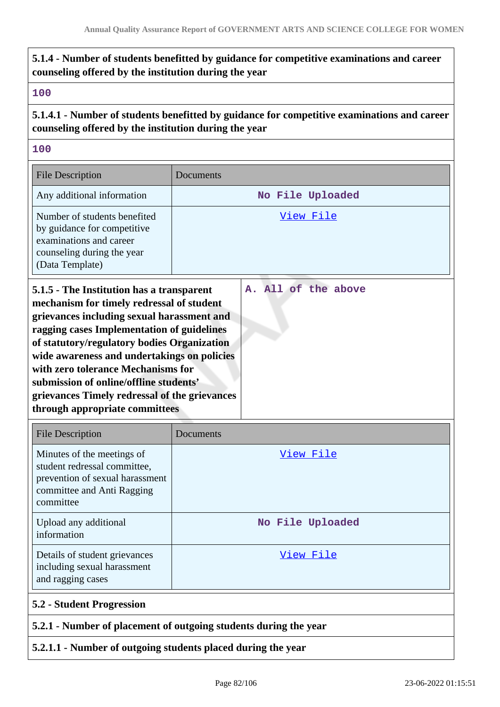# **5.1.4 - Number of students benefitted by guidance for competitive examinations and career counseling offered by the institution during the year**

### **100**

**5.1.4.1 - Number of students benefitted by guidance for competitive examinations and career counseling offered by the institution during the year**

### **100**

| <b>File Description</b>                                                                                                                                                                                                                                                                                                                                                                                                                             | Documents           |
|-----------------------------------------------------------------------------------------------------------------------------------------------------------------------------------------------------------------------------------------------------------------------------------------------------------------------------------------------------------------------------------------------------------------------------------------------------|---------------------|
| Any additional information                                                                                                                                                                                                                                                                                                                                                                                                                          | No File Uploaded    |
| Number of students benefited<br>by guidance for competitive<br>examinations and career<br>counseling during the year<br>(Data Template)                                                                                                                                                                                                                                                                                                             | View File           |
| 5.1.5 - The Institution has a transparent<br>mechanism for timely redressal of student<br>grievances including sexual harassment and<br>ragging cases Implementation of guidelines<br>of statutory/regulatory bodies Organization<br>wide awareness and undertakings on policies<br>with zero tolerance Mechanisms for<br>submission of online/offline students'<br>grievances Timely redressal of the grievances<br>through appropriate committees | A. All of the above |

| <b>File Description</b>                                                                                                                  | Documents        |
|------------------------------------------------------------------------------------------------------------------------------------------|------------------|
| Minutes of the meetings of<br>student redressal committee,<br>prevention of sexual harassment<br>committee and Anti Ragging<br>committee | View File        |
| Upload any additional<br>information                                                                                                     | No File Uploaded |
| Details of student grievances<br>including sexual harassment<br>and ragging cases                                                        | View File        |
| <b>5.2 - Student Progression</b>                                                                                                         |                  |
| 5.2.1 - Number of placement of outgoing students during the year                                                                         |                  |

## **5.2.1.1 - Number of outgoing students placed during the year**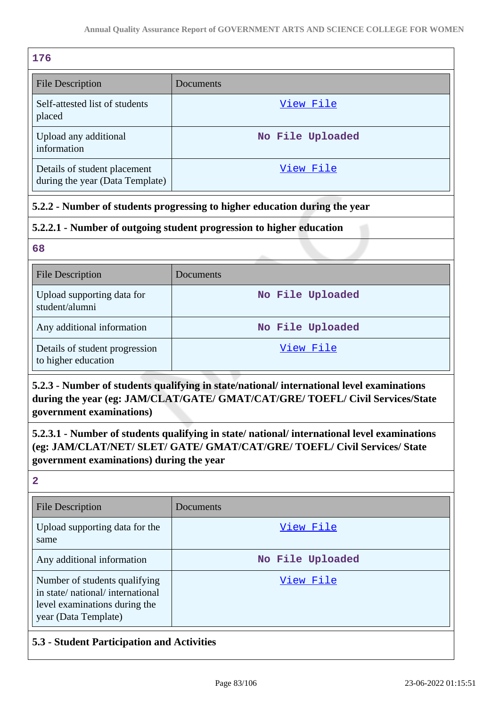| 176                                                             |                  |
|-----------------------------------------------------------------|------------------|
| <b>File Description</b>                                         | Documents        |
| Self-attested list of students<br>placed                        | View File        |
| Upload any additional<br>information                            | No File Uploaded |
| Details of student placement<br>during the year (Data Template) | View File        |

# **5.2.2 - Number of students progressing to higher education during the year**

# **5.2.2.1 - Number of outgoing student progression to higher education**

**68**

| <b>File Description</b>                               | Documents        |
|-------------------------------------------------------|------------------|
| Upload supporting data for<br>student/alumni          | No File Uploaded |
| Any additional information                            | No File Uploaded |
| Details of student progression<br>to higher education | View File        |

# **5.2.3 - Number of students qualifying in state/national/ international level examinations during the year (eg: JAM/CLAT/GATE/ GMAT/CAT/GRE/ TOEFL/ Civil Services/State government examinations)**

**5.2.3.1 - Number of students qualifying in state/ national/ international level examinations (eg: JAM/CLAT/NET/ SLET/ GATE/ GMAT/CAT/GRE/ TOEFL/ Civil Services/ State government examinations) during the year**

**2**

| <b>File Description</b>                                                                                                   | Documents        |
|---------------------------------------------------------------------------------------------------------------------------|------------------|
| Upload supporting data for the<br>same                                                                                    | View File        |
| Any additional information                                                                                                | No File Uploaded |
| Number of students qualifying<br>in state/national/international<br>level examinations during the<br>year (Data Template) | View File        |

# **5.3 - Student Participation and Activities**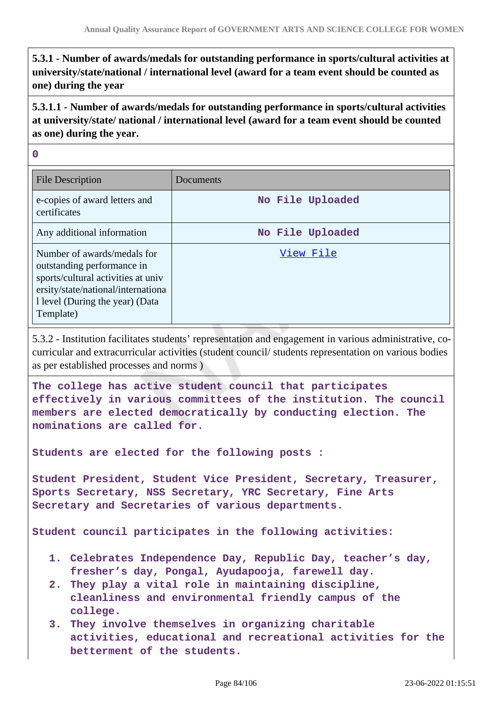**5.3.1 - Number of awards/medals for outstanding performance in sports/cultural activities at university/state/national / international level (award for a team event should be counted as one) during the year**

**5.3.1.1 - Number of awards/medals for outstanding performance in sports/cultural activities at university/state/ national / international level (award for a team event should be counted as one) during the year.**

**0**

| <b>File Description</b>                                                                                                                                                                | Documents        |
|----------------------------------------------------------------------------------------------------------------------------------------------------------------------------------------|------------------|
| e-copies of award letters and<br>certificates                                                                                                                                          | No File Uploaded |
| Any additional information                                                                                                                                                             | No File Uploaded |
| Number of awards/medals for<br>outstanding performance in<br>sports/cultural activities at univ<br>ersity/state/national/international<br>1 level (During the year) (Data<br>Template) | View File        |

5.3.2 - Institution facilitates students' representation and engagement in various administrative, cocurricular and extracurricular activities (student council/ students representation on various bodies as per established processes and norms )

**The college has active student council that participates effectively in various committees of the institution. The council members are elected democratically by conducting election. The nominations are called for.**

**Students are elected for the following posts :**

**Student President, Student Vice President, Secretary, Treasurer, Sports Secretary, NSS Secretary, YRC Secretary, Fine Arts Secretary and Secretaries of various departments.**

**Student council participates in the following activities:**

- **1. Celebrates Independence Day, Republic Day, teacher's day, fresher's day, Pongal, Ayudapooja, farewell day.**
- **2. They play a vital role in maintaining discipline, cleanliness and environmental friendly campus of the college.**
- **3. They involve themselves in organizing charitable activities, educational and recreational activities for the betterment of the students.**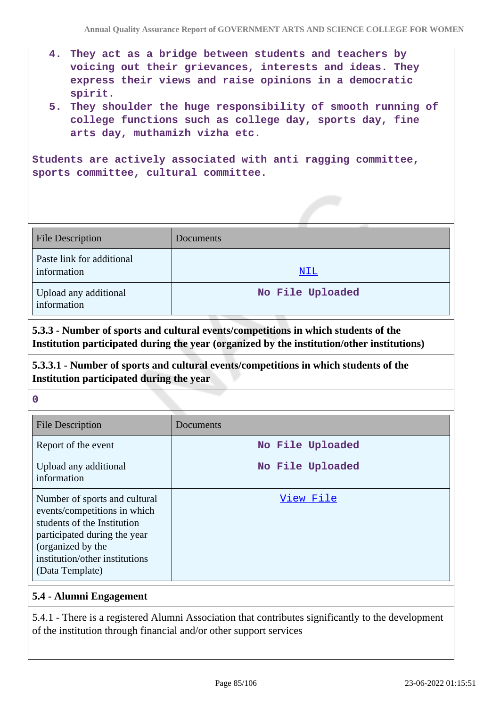- **4. They act as a bridge between students and teachers by voicing out their grievances, interests and ideas. They express their views and raise opinions in a democratic spirit.**
- **5. They shoulder the huge responsibility of smooth running of college functions such as college day, sports day, fine arts day, muthamizh vizha etc.**

**Students are actively associated with anti ragging committee, sports committee, cultural committee.**

| <b>File Description</b>                  | <b>Documents</b> |
|------------------------------------------|------------------|
| Paste link for additional<br>information | NIL              |
| Upload any additional<br>information     | No File Uploaded |

**5.3.3 - Number of sports and cultural events/competitions in which students of the Institution participated during the year (organized by the institution/other institutions)**

**5.3.3.1 - Number of sports and cultural events/competitions in which students of the Institution participated during the year**

#### **0**

| <b>File Description</b>                                                                                                                                                                                | Documents        |
|--------------------------------------------------------------------------------------------------------------------------------------------------------------------------------------------------------|------------------|
| Report of the event                                                                                                                                                                                    | No File Uploaded |
| Upload any additional<br>information                                                                                                                                                                   | No File Uploaded |
| Number of sports and cultural<br>events/competitions in which<br>students of the Institution<br>participated during the year<br>(organized by the<br>institution/other institutions<br>(Data Template) | View File        |

#### **5.4 - Alumni Engagement**

5.4.1 - There is a registered Alumni Association that contributes significantly to the development of the institution through financial and/or other support services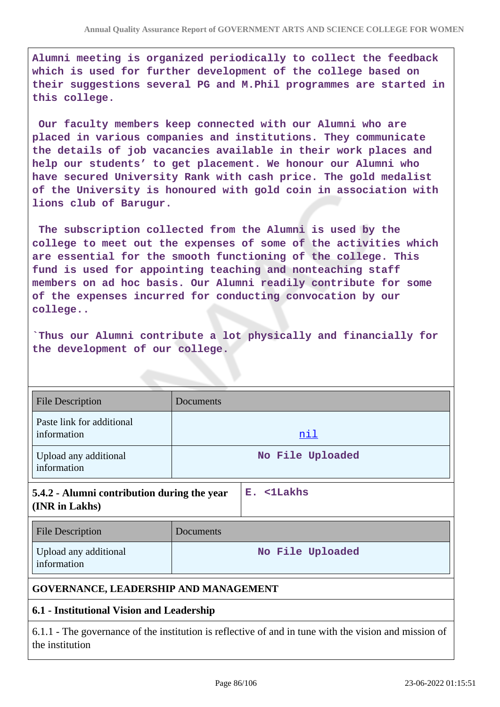**Alumni meeting is organized periodically to collect the feedback which is used for further development of the college based on their suggestions several PG and M.Phil programmes are started in this college.**

 **Our faculty members keep connected with our Alumni who are placed in various companies and institutions. They communicate the details of job vacancies available in their work places and help our students' to get placement. We honour our Alumni who have secured University Rank with cash price. The gold medalist of the University is honoured with gold coin in association with lions club of Barugur.**

 **The subscription collected from the Alumni is used by the college to meet out the expenses of some of the activities which are essential for the smooth functioning of the college. This fund is used for appointing teaching and nonteaching staff members on ad hoc basis. Our Alumni readily contribute for some of the expenses incurred for conducting convocation by our college..**

**`Thus our Alumni contribute a lot physically and financially for the development of our college.**

| <b>File Description</b>                                                                                                  | Documents |                       |
|--------------------------------------------------------------------------------------------------------------------------|-----------|-----------------------|
| Paste link for additional<br>information                                                                                 |           | <u>nil</u>            |
| Upload any additional<br>information                                                                                     |           | No File Uploaded      |
| 5.4.2 - Alumni contribution during the year<br>(INR in Lakhs)                                                            |           | $E.$ $\langle$ 1Lakhs |
| <b>File Description</b>                                                                                                  | Documents |                       |
| Upload any additional<br>information                                                                                     |           | No File Uploaded      |
| <b>GOVERNANCE, LEADERSHIP AND MANAGEMENT</b>                                                                             |           |                       |
| 6.1 - Institutional Vision and Leadership                                                                                |           |                       |
| 6.1.1 - The governance of the institution is reflective of and in tune with the vision and mission of<br>the institution |           |                       |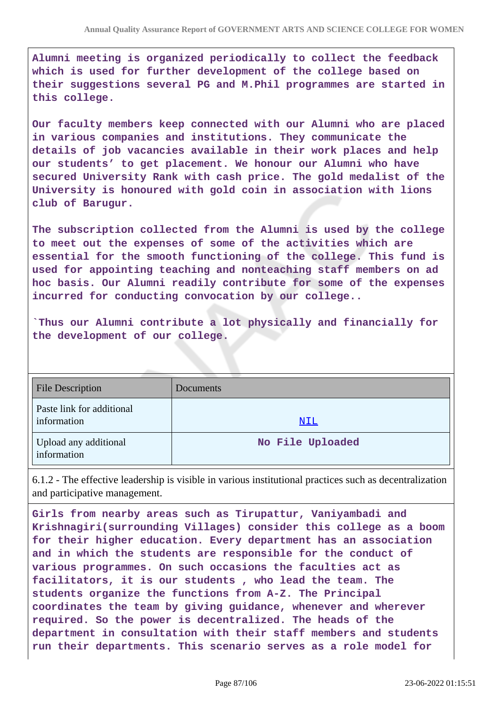**Alumni meeting is organized periodically to collect the feedback which is used for further development of the college based on their suggestions several PG and M.Phil programmes are started in this college.**

**Our faculty members keep connected with our Alumni who are placed in various companies and institutions. They communicate the details of job vacancies available in their work places and help our students' to get placement. We honour our Alumni who have secured University Rank with cash price. The gold medalist of the University is honoured with gold coin in association with lions club of Barugur.**

**The subscription collected from the Alumni is used by the college to meet out the expenses of some of the activities which are essential for the smooth functioning of the college. This fund is used for appointing teaching and nonteaching staff members on ad hoc basis. Our Alumni readily contribute for some of the expenses incurred for conducting convocation by our college..**

**`Thus our Alumni contribute a lot physically and financially for the development of our college.**

| <b>File Description</b>                  | Documents        |
|------------------------------------------|------------------|
| Paste link for additional<br>information | NIL              |
| Upload any additional<br>information     | No File Uploaded |

6.1.2 - The effective leadership is visible in various institutional practices such as decentralization and participative management.

**Girls from nearby areas such as Tirupattur, Vaniyambadi and Krishnagiri(surrounding Villages) consider this college as a boom for their higher education. Every department has an association and in which the students are responsible for the conduct of various programmes. On such occasions the faculties act as facilitators, it is our students , who lead the team. The students organize the functions from A-Z. The Principal coordinates the team by giving guidance, whenever and wherever required. So the power is decentralized. The heads of the department in consultation with their staff members and students run their departments. This scenario serves as a role model for**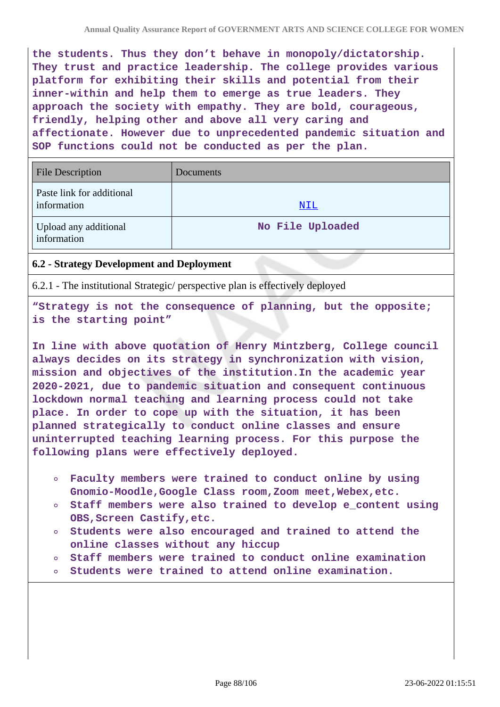**the students. Thus they don't behave in monopoly/dictatorship. They trust and practice leadership. The college provides various platform for exhibiting their skills and potential from their inner-within and help them to emerge as true leaders. They approach the society with empathy. They are bold, courageous, friendly, helping other and above all very caring and affectionate. However due to unprecedented pandemic situation and SOP functions could not be conducted as per the plan.**

| <b>File Description</b>                  | Documents        |
|------------------------------------------|------------------|
| Paste link for additional<br>information | <u>NIL</u>       |
| Upload any additional<br>information     | No File Uploaded |

## **6.2 - Strategy Development and Deployment**

6.2.1 - The institutional Strategic/ perspective plan is effectively deployed

**"Strategy is not the consequence of planning, but the opposite; is the starting point"**

**In line with above quotation of Henry Mintzberg, College council always decides on its strategy in synchronization with vision, mission and objectives of the institution.In the academic year 2020-2021, due to pandemic situation and consequent continuous lockdown normal teaching and learning process could not take place. In order to cope up with the situation, it has been planned strategically to conduct online classes and ensure uninterrupted teaching learning process. For this purpose the following plans were effectively deployed.**

- **Faculty members were trained to conduct online by using Gnomio-Moodle,Google Class room,Zoom meet,Webex,etc.**
- **Staff members were also trained to develop e\_content using OBS,Screen Castify,etc.**
- **Students were also encouraged and trained to attend the online classes without any hiccup**
- **Staff members were trained to conduct online examination**
- **Students were trained to attend online examination.**  $\Omega$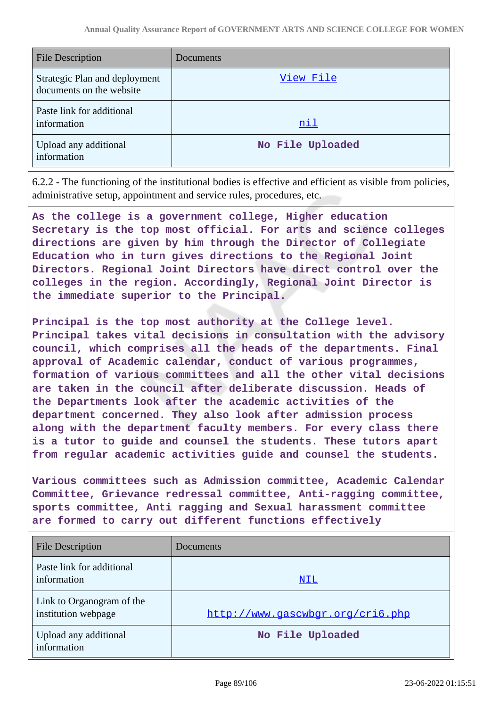| <b>File Description</b>                                   | Documents        |
|-----------------------------------------------------------|------------------|
| Strategic Plan and deployment<br>documents on the website | View File        |
| Paste link for additional<br>information                  | nil              |
| Upload any additional<br>information                      | No File Uploaded |

6.2.2 - The functioning of the institutional bodies is effective and efficient as visible from policies, administrative setup, appointment and service rules, procedures, etc.

**As the college is a government college, Higher education Secretary is the top most official. For arts and science colleges directions are given by him through the Director of Collegiate Education who in turn gives directions to the Regional Joint Directors. Regional Joint Directors have direct control over the colleges in the region. Accordingly, Regional Joint Director is the immediate superior to the Principal.**

**Principal is the top most authority at the College level. Principal takes vital decisions in consultation with the advisory council, which comprises all the heads of the departments. Final approval of Academic calendar, conduct of various programmes, formation of various committees and all the other vital decisions are taken in the council after deliberate discussion. Heads of the Departments look after the academic activities of the department concerned. They also look after admission process along with the department faculty members. For every class there is a tutor to guide and counsel the students. These tutors apart from regular academic activities guide and counsel the students.**

**Various committees such as Admission committee, Academic Calendar Committee, Grievance redressal committee, Anti-ragging committee, sports committee, Anti ragging and Sexual harassment committee are formed to carry out different functions effectively**

| <b>File Description</b>                          | <b>Documents</b>                 |
|--------------------------------------------------|----------------------------------|
| Paste link for additional<br>information         | NIL                              |
| Link to Organogram of the<br>institution webpage | http://www.qascwbqr.org/cri6.php |
| Upload any additional<br>information             | No File Uploaded                 |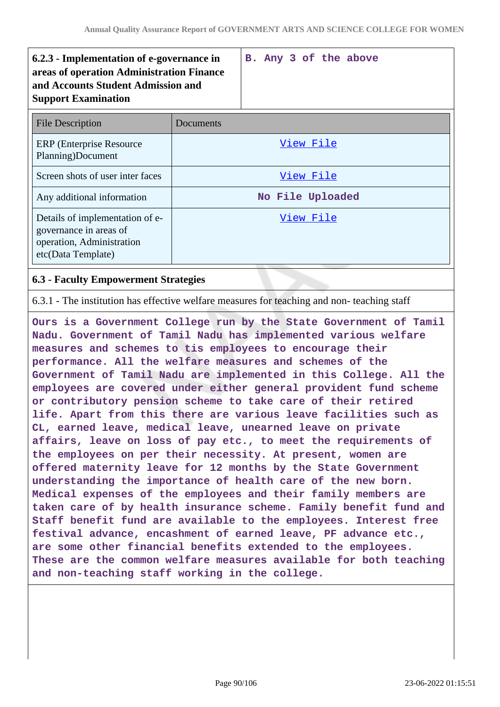| 6.2.3 - Implementation of e-governance in<br>areas of operation Administration Finance<br>and Accounts Student Admission and<br><b>Support Examination</b> |           | B. Any 3 of the above |
|------------------------------------------------------------------------------------------------------------------------------------------------------------|-----------|-----------------------|
| <b>File Description</b>                                                                                                                                    | Documents |                       |
| <b>ERP</b> (Enterprise Resource)<br>Planning)Document                                                                                                      |           | View File             |
| Screen shots of user inter faces                                                                                                                           |           | <u>View File</u>      |
| Any additional information                                                                                                                                 |           | No File Uploaded      |
| Details of implementation of e-<br>governance in areas of<br>operation, Administration<br>etc(Data Template)                                               |           | View File             |

### **6.3 - Faculty Empowerment Strategies**

6.3.1 - The institution has effective welfare measures for teaching and non- teaching staff

**Ours is a Government College run by the State Government of Tamil Nadu. Government of Tamil Nadu has implemented various welfare measures and schemes to tis employees to encourage their performance. All the welfare measures and schemes of the Government of Tamil Nadu are implemented in this College. All the employees are covered under either general provident fund scheme or contributory pension scheme to take care of their retired life. Apart from this there are various leave facilities such as CL, earned leave, medical leave, unearned leave on private affairs, leave on loss of pay etc., to meet the requirements of the employees on per their necessity. At present, women are offered maternity leave for 12 months by the State Government understanding the importance of health care of the new born. Medical expenses of the employees and their family members are taken care of by health insurance scheme. Family benefit fund and Staff benefit fund are available to the employees. Interest free festival advance, encashment of earned leave, PF advance etc., are some other financial benefits extended to the employees. These are the common welfare measures available for both teaching and non-teaching staff working in the college.**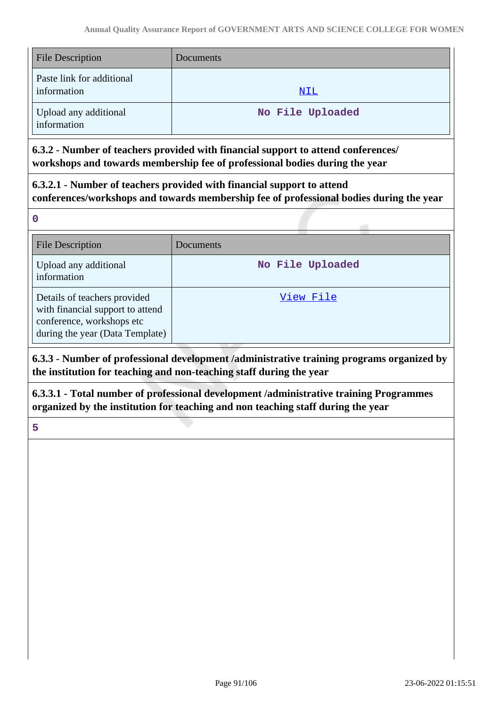| <b>File Description</b>                  | Documents        |
|------------------------------------------|------------------|
| Paste link for additional<br>information | NIL              |
| Upload any additional<br>information     | No File Uploaded |

**6.3.2 - Number of teachers provided with financial support to attend conferences/ workshops and towards membership fee of professional bodies during the year**

**6.3.2.1 - Number of teachers provided with financial support to attend conferences/workshops and towards membership fee of professional bodies during the year**

**0**

| <b>File Description</b>                                                                                                          | Documents        |
|----------------------------------------------------------------------------------------------------------------------------------|------------------|
| Upload any additional<br>information                                                                                             | No File Uploaded |
| Details of teachers provided<br>with financial support to attend<br>conference, workshops etc<br>during the year (Data Template) | View File        |

**6.3.3 - Number of professional development /administrative training programs organized by the institution for teaching and non-teaching staff during the year**

**6.3.3.1 - Total number of professional development /administrative training Programmes organized by the institution for teaching and non teaching staff during the year**

**5**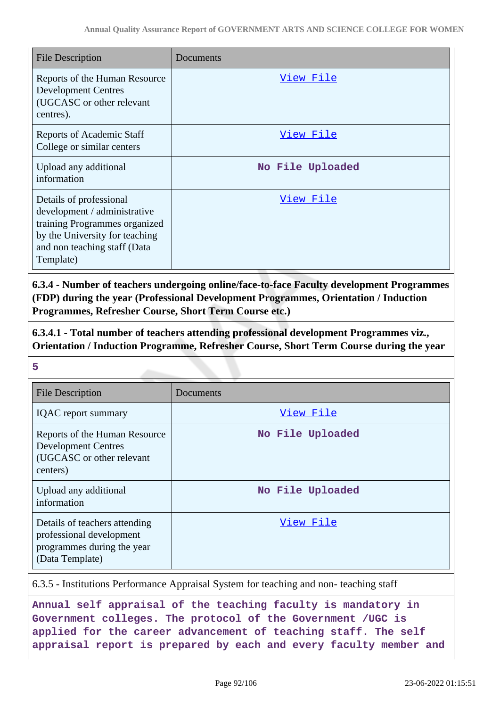| <b>File Description</b>                                                                                                                                                 | Documents        |
|-------------------------------------------------------------------------------------------------------------------------------------------------------------------------|------------------|
| Reports of the Human Resource<br><b>Development Centres</b><br>(UGCASC or other relevant<br>centres).                                                                   | View File        |
| <b>Reports of Academic Staff</b><br>College or similar centers                                                                                                          | <u>View File</u> |
| Upload any additional<br>information                                                                                                                                    | No File Uploaded |
| Details of professional<br>development / administrative<br>training Programmes organized<br>by the University for teaching<br>and non teaching staff (Data<br>Template) | View File        |

**6.3.4 - Number of teachers undergoing online/face-to-face Faculty development Programmes (FDP) during the year (Professional Development Programmes, Orientation / Induction Programmes, Refresher Course, Short Term Course etc.)**

**6.3.4.1 - Total number of teachers attending professional development Programmes viz., Orientation / Induction Programme, Refresher Course, Short Term Course during the year**

**5**

| <b>File Description</b>                                                                                    | Documents        |
|------------------------------------------------------------------------------------------------------------|------------------|
| <b>IQAC</b> report summary                                                                                 | View File        |
| Reports of the Human Resource<br><b>Development Centres</b><br>(UGCASC or other relevant<br>centers)       | No File Uploaded |
| Upload any additional<br>information                                                                       | No File Uploaded |
| Details of teachers attending<br>professional development<br>programmes during the year<br>(Data Template) | View File        |

6.3.5 - Institutions Performance Appraisal System for teaching and non- teaching staff

**Annual self appraisal of the teaching faculty is mandatory in Government colleges. The protocol of the Government /UGC is applied for the career advancement of teaching staff. The self appraisal report is prepared by each and every faculty member and**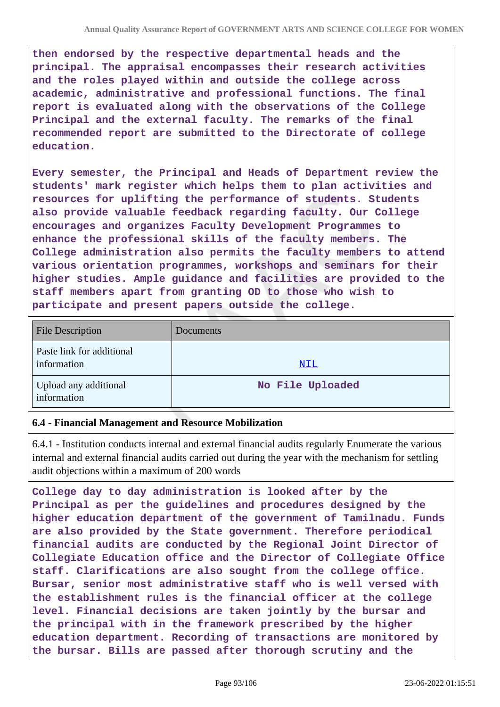**then endorsed by the respective departmental heads and the principal. The appraisal encompasses their research activities and the roles played within and outside the college across academic, administrative and professional functions. The final report is evaluated along with the observations of the College Principal and the external faculty. The remarks of the final recommended report are submitted to the Directorate of college education.**

**Every semester, the Principal and Heads of Department review the students' mark register which helps them to plan activities and resources for uplifting the performance of students. Students also provide valuable feedback regarding faculty. Our College encourages and organizes Faculty Development Programmes to enhance the professional skills of the faculty members. The College administration also permits the faculty members to attend various orientation programmes, workshops and seminars for their higher studies. Ample guidance and facilities are provided to the staff members apart from granting OD to those who wish to participate and present papers outside the college.**

| <b>File Description</b>                  | Documents        |
|------------------------------------------|------------------|
| Paste link for additional<br>information | <u>NIL</u>       |
| Upload any additional<br>information     | No File Uploaded |

#### **6.4 - Financial Management and Resource Mobilization**

6.4.1 - Institution conducts internal and external financial audits regularly Enumerate the various internal and external financial audits carried out during the year with the mechanism for settling audit objections within a maximum of 200 words

**College day to day administration is looked after by the Principal as per the guidelines and procedures designed by the higher education department of the government of Tamilnadu. Funds are also provided by the State government. Therefore periodical financial audits are conducted by the Regional Joint Director of Collegiate Education office and the Director of Collegiate Office staff. Clarifications are also sought from the college office. Bursar, senior most administrative staff who is well versed with the establishment rules is the financial officer at the college level. Financial decisions are taken jointly by the bursar and the principal with in the framework prescribed by the higher education department. Recording of transactions are monitored by the bursar. Bills are passed after thorough scrutiny and the**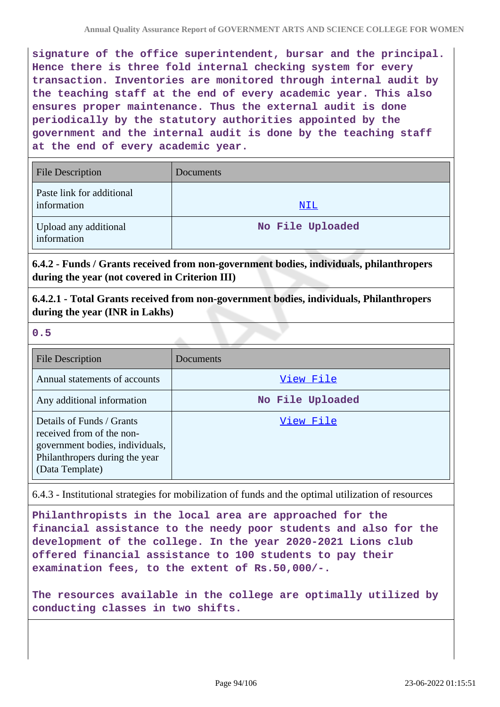**signature of the office superintendent, bursar and the principal. Hence there is three fold internal checking system for every transaction. Inventories are monitored through internal audit by the teaching staff at the end of every academic year. This also ensures proper maintenance. Thus the external audit is done periodically by the statutory authorities appointed by the government and the internal audit is done by the teaching staff at the end of every academic year.**

| <b>File Description</b>                  | Documents        |
|------------------------------------------|------------------|
| Paste link for additional<br>information | NIL              |
| Upload any additional<br>information     | No File Uploaded |

**6.4.2 - Funds / Grants received from non-government bodies, individuals, philanthropers during the year (not covered in Criterion III)**

**6.4.2.1 - Total Grants received from non-government bodies, individuals, Philanthropers during the year (INR in Lakhs)**

#### **0.5**

| <b>File Description</b>                                                                                                                        | Documents        |
|------------------------------------------------------------------------------------------------------------------------------------------------|------------------|
| Annual statements of accounts                                                                                                                  | View File        |
| Any additional information                                                                                                                     | No File Uploaded |
| Details of Funds / Grants<br>received from of the non-<br>government bodies, individuals,<br>Philanthropers during the year<br>(Data Template) | View File        |

6.4.3 - Institutional strategies for mobilization of funds and the optimal utilization of resources

**Philanthropists in the local area are approached for the financial assistance to the needy poor students and also for the development of the college. In the year 2020-2021 Lions club offered financial assistance to 100 students to pay their examination fees, to the extent of Rs.50,000/-.**

**The resources available in the college are optimally utilized by conducting classes in two shifts.**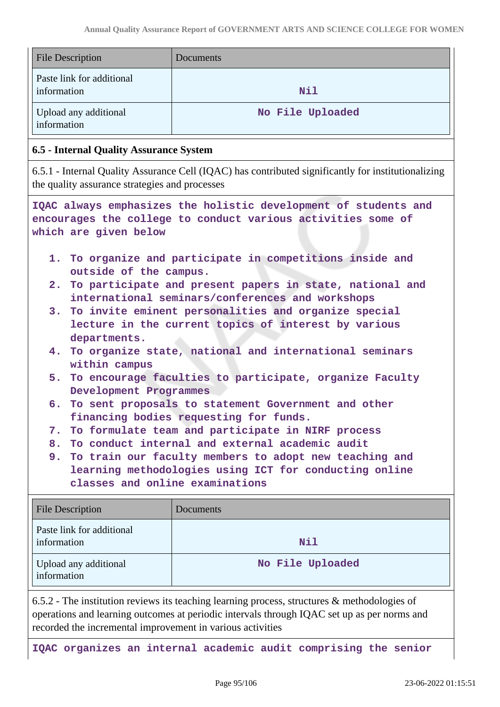| <b>File Description</b>                                                                                                                                                                                                                                                                                                                                                                                                                                                                                                                                                                                                                                                                                                                                                                                                                                                                        | Documents        |
|------------------------------------------------------------------------------------------------------------------------------------------------------------------------------------------------------------------------------------------------------------------------------------------------------------------------------------------------------------------------------------------------------------------------------------------------------------------------------------------------------------------------------------------------------------------------------------------------------------------------------------------------------------------------------------------------------------------------------------------------------------------------------------------------------------------------------------------------------------------------------------------------|------------------|
| Paste link for additional<br>information                                                                                                                                                                                                                                                                                                                                                                                                                                                                                                                                                                                                                                                                                                                                                                                                                                                       | <b>Nil</b>       |
| Upload any additional<br>information                                                                                                                                                                                                                                                                                                                                                                                                                                                                                                                                                                                                                                                                                                                                                                                                                                                           | No File Uploaded |
| <b>6.5 - Internal Quality Assurance System</b>                                                                                                                                                                                                                                                                                                                                                                                                                                                                                                                                                                                                                                                                                                                                                                                                                                                 |                  |
| 6.5.1 - Internal Quality Assurance Cell (IQAC) has contributed significantly for institutionalizing<br>the quality assurance strategies and processes                                                                                                                                                                                                                                                                                                                                                                                                                                                                                                                                                                                                                                                                                                                                          |                  |
| IQAC always emphasizes the holistic development of students and<br>encourages the college to conduct various activities some of<br>which are given below                                                                                                                                                                                                                                                                                                                                                                                                                                                                                                                                                                                                                                                                                                                                       |                  |
| 1. To organize and participate in competitions inside and<br>outside of the campus.<br>2. To participate and present papers in state, national and<br>international seminars/conferences and workshops<br>3. To invite eminent personalities and organize special<br>lecture in the current topics of interest by various<br>departments.<br>4. To organize state, national and international seminars<br>within campus<br>5. To encourage faculties to participate, organize Faculty<br>Development Programmes<br>6. To sent proposals to statement Government and other<br>financing bodies requesting for funds.<br>To formulate team and participate in NIRF process<br>7.<br>8. To conduct internal and external academic audit<br>9. To train our faculty members to adopt new teaching and<br>learning methodologies using ICT for conducting online<br>classes and online examinations |                  |
| <b>File Description</b>                                                                                                                                                                                                                                                                                                                                                                                                                                                                                                                                                                                                                                                                                                                                                                                                                                                                        | Documents        |
| Paste link for additional<br>information                                                                                                                                                                                                                                                                                                                                                                                                                                                                                                                                                                                                                                                                                                                                                                                                                                                       | Nil              |
| Upload any additional                                                                                                                                                                                                                                                                                                                                                                                                                                                                                                                                                                                                                                                                                                                                                                                                                                                                          | No File Uploaded |

6.5.2 - The institution reviews its teaching learning process, structures & methodologies of operations and learning outcomes at periodic intervals through IQAC set up as per norms and recorded the incremental improvement in various activities

information

**IQAC organizes an internal academic audit comprising the senior**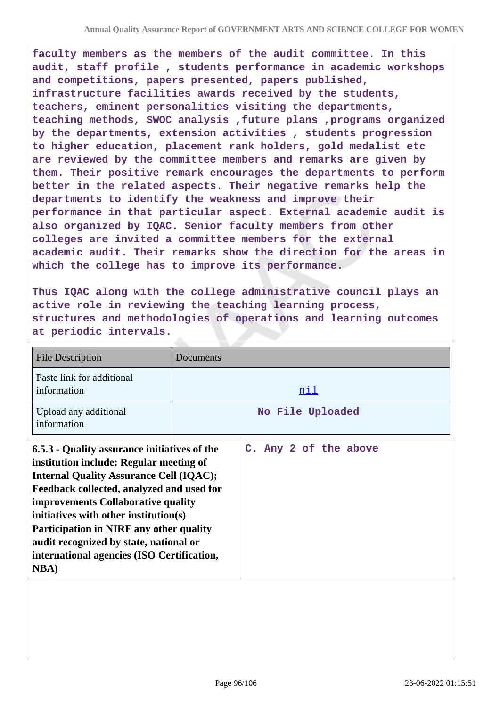**faculty members as the members of the audit committee. In this audit, staff profile , students performance in academic workshops and competitions, papers presented, papers published, infrastructure facilities awards received by the students, teachers, eminent personalities visiting the departments, teaching methods, SWOC analysis ,future plans ,programs organized by the departments, extension activities , students progression to higher education, placement rank holders, gold medalist etc are reviewed by the committee members and remarks are given by them. Their positive remark encourages the departments to perform better in the related aspects. Their negative remarks help the departments to identify the weakness and improve their performance in that particular aspect. External academic audit is also organized by IQAC. Senior faculty members from other colleges are invited a committee members for the external academic audit. Their remarks show the direction for the areas in which the college has to improve its performance.**

**Thus IQAC along with the college administrative council plays an active role in reviewing the teaching learning process, structures and methodologies of operations and learning outcomes at periodic intervals.**

| <b>File Description</b>                                                                                                                                                                                                                                                                                                                                                                                                         | Documents             |
|---------------------------------------------------------------------------------------------------------------------------------------------------------------------------------------------------------------------------------------------------------------------------------------------------------------------------------------------------------------------------------------------------------------------------------|-----------------------|
| Paste link for additional<br>information                                                                                                                                                                                                                                                                                                                                                                                        | nil                   |
| Upload any additional<br>information                                                                                                                                                                                                                                                                                                                                                                                            | No File Uploaded      |
| 6.5.3 - Quality assurance initiatives of the<br>institution include: Regular meeting of<br><b>Internal Quality Assurance Cell (IQAC);</b><br>Feedback collected, analyzed and used for<br>improvements Collaborative quality<br>initiatives with other institution(s)<br><b>Participation in NIRF any other quality</b><br>audit recognized by state, national or<br>international agencies (ISO Certification,<br><b>NBA</b> ) | C. Any 2 of the above |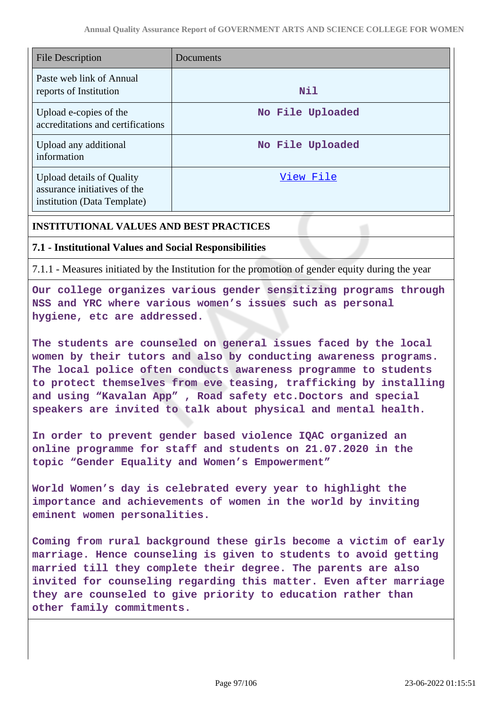| <b>File Description</b>                                                                         | Documents        |
|-------------------------------------------------------------------------------------------------|------------------|
| Paste web link of Annual<br>reports of Institution                                              | Nil              |
| Upload e-copies of the<br>accreditations and certifications                                     | No File Uploaded |
| Upload any additional<br>information                                                            | No File Uploaded |
| <b>Upload details of Quality</b><br>assurance initiatives of the<br>institution (Data Template) | View File        |

### **INSTITUTIONAL VALUES AND BEST PRACTICES**

#### **7.1 - Institutional Values and Social Responsibilities**

7.1.1 - Measures initiated by the Institution for the promotion of gender equity during the year

**Our college organizes various gender sensitizing programs through NSS and YRC where various women's issues such as personal hygiene, etc are addressed.**

**The students are counseled on general issues faced by the local women by their tutors and also by conducting awareness programs. The local police often conducts awareness programme to students to protect themselves from eve teasing, trafficking by installing and using "Kavalan App" , Road safety etc.Doctors and special speakers are invited to talk about physical and mental health.**

**In order to prevent gender based violence IQAC organized an online programme for staff and students on 21.07.2020 in the topic "Gender Equality and Women's Empowerment"**

**World Women's day is celebrated every year to highlight the importance and achievements of women in the world by inviting eminent women personalities.**

**Coming from rural background these girls become a victim of early marriage. Hence counseling is given to students to avoid getting married till they complete their degree. The parents are also invited for counseling regarding this matter. Even after marriage they are counseled to give priority to education rather than other family commitments.**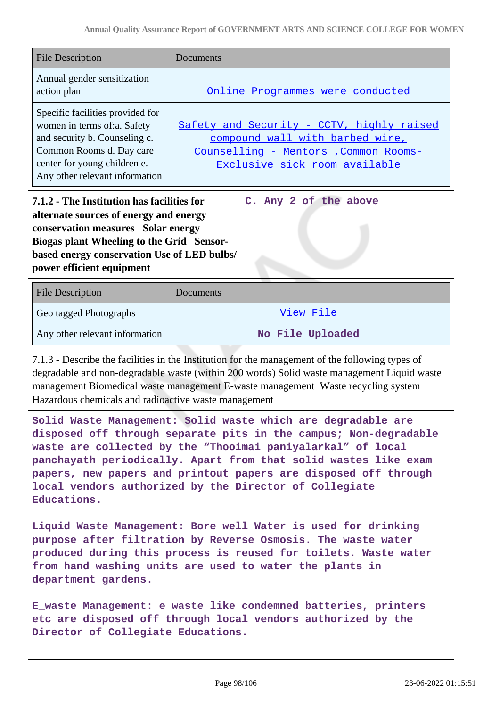| <b>File Description</b>                                                                                                                                                                                                                                                                                                                                                                                        | Documents                                                                                                                                              |
|----------------------------------------------------------------------------------------------------------------------------------------------------------------------------------------------------------------------------------------------------------------------------------------------------------------------------------------------------------------------------------------------------------------|--------------------------------------------------------------------------------------------------------------------------------------------------------|
| Annual gender sensitization<br>action plan                                                                                                                                                                                                                                                                                                                                                                     | Online Programmes were conducted                                                                                                                       |
| Specific facilities provided for<br>women in terms of:a. Safety<br>and security b. Counseling c.<br>Common Rooms d. Day care<br>center for young children e.<br>Any other relevant information                                                                                                                                                                                                                 | Safety and Security - CCTV, highly raised<br>compound wall with barbed wire,<br>Counselling - Mentors , Common Rooms-<br>Exclusive sick room available |
| C. Any 2 of the above<br>7.1.2 - The Institution has facilities for<br>alternate sources of energy and energy<br>conservation measures Solar energy<br>Biogas plant Wheeling to the Grid Sensor-<br>based energy conservation Use of LED bulbs/<br>power efficient equipment                                                                                                                                   |                                                                                                                                                        |
| <b>File Description</b>                                                                                                                                                                                                                                                                                                                                                                                        | Documents                                                                                                                                              |
| Geo tagged Photographs                                                                                                                                                                                                                                                                                                                                                                                         | View File                                                                                                                                              |
| Any other relevant information                                                                                                                                                                                                                                                                                                                                                                                 | No File Uploaded                                                                                                                                       |
| 7.1.3 - Describe the facilities in the Institution for the management of the following types of<br>degradable and non-degradable waste (within 200 words) Solid waste management Liquid waste<br>management Biomedical waste management E-waste management Waste recycling system<br>Hazardous chemicals and radioactive waste management                                                                      |                                                                                                                                                        |
| Solid Waste Management: Solid waste which are degradable are<br>disposed off through separate pits in the campus; Non-degradable<br>waste are collected by the "Thooimai paniyalarkal" of local<br>panchayath periodically. Apart from that solid wastes like exam<br>papers, new papers and printout papers are disposed off through<br>local vendors authorized by the Director of Collegiate<br>Educations. |                                                                                                                                                        |
| Liquid Waste Management: Bore well Water is used for drinking<br>purpose after filtration by Reverse Osmosis. The waste water<br>produced during this process is reused for toilets. Waste water<br>from hand washing units are used to water the plants in<br>department gardens.                                                                                                                             |                                                                                                                                                        |
| E waste Management: e waste like condemned batteries, printers<br>etc are disposed off through local vendors authorized by the                                                                                                                                                                                                                                                                                 |                                                                                                                                                        |

**Director of Collegiate Educations.**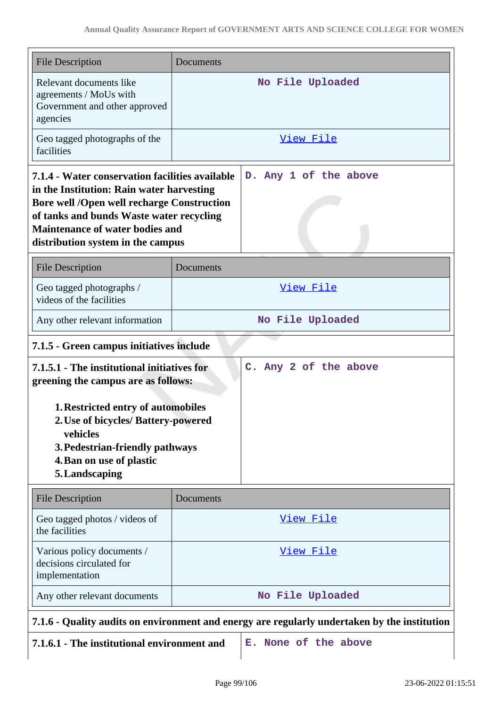| <b>File Description</b>                                                                                                                                                                                                                                                      | Documents             |
|------------------------------------------------------------------------------------------------------------------------------------------------------------------------------------------------------------------------------------------------------------------------------|-----------------------|
| Relevant documents like<br>agreements / MoUs with<br>Government and other approved<br>agencies                                                                                                                                                                               | No File Uploaded      |
| Geo tagged photographs of the<br>facilities                                                                                                                                                                                                                                  | <u>View File</u>      |
| 7.1.4 - Water conservation facilities available<br>in the Institution: Rain water harvesting<br><b>Bore well /Open well recharge Construction</b><br>of tanks and bunds Waste water recycling<br><b>Maintenance of water bodies and</b><br>distribution system in the campus | D. Any 1 of the above |
| <b>File Description</b>                                                                                                                                                                                                                                                      | Documents             |
| Geo tagged photographs /<br>videos of the facilities                                                                                                                                                                                                                         | <u>View File</u>      |
| Any other relevant information                                                                                                                                                                                                                                               | No File Uploaded      |
| 7.1.5 - Green campus initiatives include                                                                                                                                                                                                                                     |                       |
| 7.1.5.1 - The institutional initiatives for<br>C. Any 2 of the above<br>greening the campus are as follows:                                                                                                                                                                  |                       |
| 1. Restricted entry of automobiles<br>2. Use of bicycles/ Battery-powered<br>vehicles<br>3. Pedestrian-friendly pathways<br>4. Ban on use of plastic<br>5. Landscaping                                                                                                       |                       |
| <b>File Description</b>                                                                                                                                                                                                                                                      | Documents             |
| Geo tagged photos / videos of<br>the facilities                                                                                                                                                                                                                              | View File             |
| Various policy documents /<br>decisions circulated for<br>implementation                                                                                                                                                                                                     | View File             |
| Any other relevant documents                                                                                                                                                                                                                                                 | No File Uploaded      |
| 7.1.6 - Quality audits on environment and energy are regularly undertaken by the institution                                                                                                                                                                                 |                       |
|                                                                                                                                                                                                                                                                              |                       |

- **7.1.6.1 The institutional environment and E. None of the above**
	-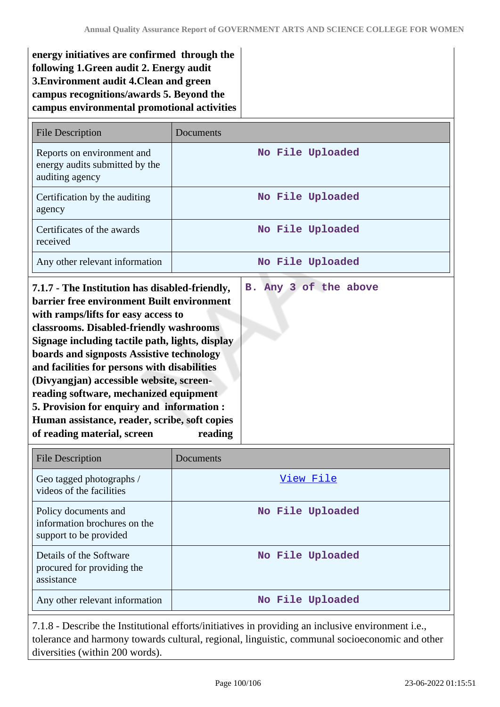| energy initiatives are confirmed through the |  |
|----------------------------------------------|--|
| following 1. Green audit 2. Energy audit     |  |
| 3. Environment audit 4. Clean and green      |  |
| campus recognitions/awards 5. Beyond the     |  |
| campus environmental promotional activities  |  |

| File Description                                                                | Documents        |
|---------------------------------------------------------------------------------|------------------|
| Reports on environment and<br>energy audits submitted by the<br>auditing agency | No File Uploaded |
| Certification by the auditing<br>agency                                         | No File Uploaded |
| Certificates of the awards<br>received                                          | No File Uploaded |
| Any other relevant information                                                  | No File Uploaded |

| <b>File Description</b>                                                        | Documents        |
|--------------------------------------------------------------------------------|------------------|
| Geo tagged photographs /<br>videos of the facilities                           | View File        |
| Policy documents and<br>information brochures on the<br>support to be provided | No File Uploaded |
| Details of the Software<br>procured for providing the<br>assistance            | No File Uploaded |
| Any other relevant information                                                 | No File Uploaded |

7.1.8 - Describe the Institutional efforts/initiatives in providing an inclusive environment i.e., tolerance and harmony towards cultural, regional, linguistic, communal socioeconomic and other diversities (within 200 words).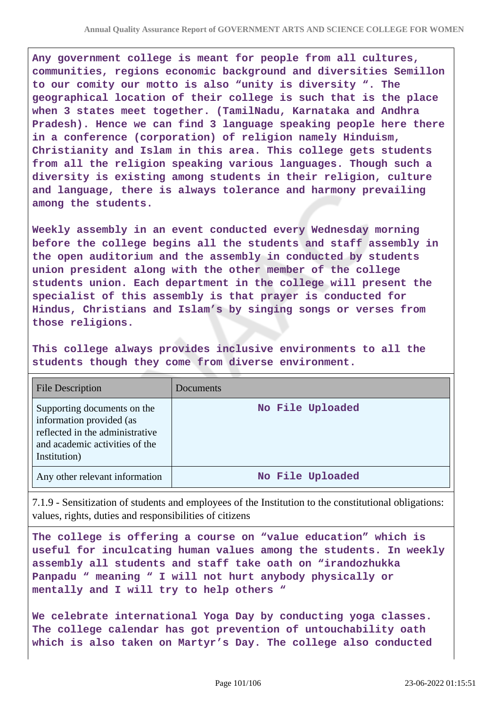**Any government college is meant for people from all cultures, communities, regions economic background and diversities Semillon to our comity our motto is also "unity is diversity ". The geographical location of their college is such that is the place when 3 states meet together. (TamilNadu, Karnataka and Andhra Pradesh). Hence we can find 3 language speaking people here there in a conference (corporation) of religion namely Hinduism, Christianity and Islam in this area. This college gets students from all the religion speaking various languages. Though such a diversity is existing among students in their religion, culture and language, there is always tolerance and harmony prevailing among the students.**

**Weekly assembly in an event conducted every Wednesday morning before the college begins all the students and staff assembly in the open auditorium and the assembly in conducted by students union president along with the other member of the college students union. Each department in the college will present the specialist of this assembly is that prayer is conducted for Hindus, Christians and Islam's by singing songs or verses from those religions.**

**This college always provides inclusive environments to all the students though they come from diverse environment.**

| <b>File Description</b>                                                                                                                      | Documents        |
|----------------------------------------------------------------------------------------------------------------------------------------------|------------------|
| Supporting documents on the<br>information provided (as<br>reflected in the administrative<br>and academic activities of the<br>Institution) | No File Uploaded |
| Any other relevant information                                                                                                               | No File Uploaded |

7.1.9 - Sensitization of students and employees of the Institution to the constitutional obligations: values, rights, duties and responsibilities of citizens

**The college is offering a course on "value education" which is useful for inculcating human values among the students. In weekly assembly all students and staff take oath on "irandozhukka Panpadu " meaning " I will not hurt anybody physically or mentally and I will try to help others "**

**We celebrate international Yoga Day by conducting yoga classes. The college calendar has got prevention of untouchability oath which is also taken on Martyr's Day. The college also conducted**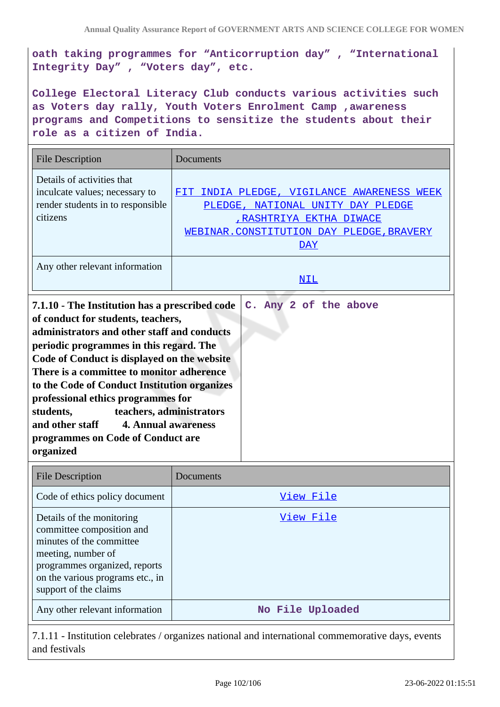**oath taking programmes for "Anticorruption day" , "International Integrity Day" , "Voters day", etc.**

**College Electoral Literacy Club conducts various activities such as Voters day rally, Youth Voters Enrolment Camp ,awareness programs and Competitions to sensitize the students about their role as a citizen of India.**

| <b>File Description</b>                                                                                                                                                                                                                                                                                                                                                                                                                                                                            | Documents                                                                                                                                                                        |
|----------------------------------------------------------------------------------------------------------------------------------------------------------------------------------------------------------------------------------------------------------------------------------------------------------------------------------------------------------------------------------------------------------------------------------------------------------------------------------------------------|----------------------------------------------------------------------------------------------------------------------------------------------------------------------------------|
| Details of activities that<br>inculcate values; necessary to<br>render students in to responsible<br>citizens                                                                                                                                                                                                                                                                                                                                                                                      | INDIA PLEDGE, VIGILANCE AWARENESS WEEK<br>FTT<br>PLEDGE, NATIONAL UNITY DAY PLEDGE<br><u>, RASHTRIYA EKTHA DIWACE</u><br>WEBINAR. CONSTITUTION DAY PLEDGE, BRAVERY<br><u>DAY</u> |
| Any other relevant information                                                                                                                                                                                                                                                                                                                                                                                                                                                                     | <b>NIL</b>                                                                                                                                                                       |
| 7.1.10 - The Institution has a prescribed code<br>of conduct for students, teachers,<br>administrators and other staff and conducts<br>periodic programmes in this regard. The<br>Code of Conduct is displayed on the website<br>There is a committee to monitor adherence<br>to the Code of Conduct Institution organizes<br>professional ethics programmes for<br>teachers, administrators<br>students,<br>and other staff 4. Annual awareness<br>programmes on Code of Conduct are<br>organized | C. Any 2 of the above                                                                                                                                                            |

| <b>File Description</b>                                                                                                                                                                                | Documents        |
|--------------------------------------------------------------------------------------------------------------------------------------------------------------------------------------------------------|------------------|
| Code of ethics policy document                                                                                                                                                                         | View File        |
| Details of the monitoring<br>committee composition and<br>minutes of the committee<br>meeting, number of<br>programmes organized, reports<br>on the various programs etc., in<br>support of the claims | View File        |
| Any other relevant information                                                                                                                                                                         | No File Uploaded |

7.1.11 - Institution celebrates / organizes national and international commemorative days, events and festivals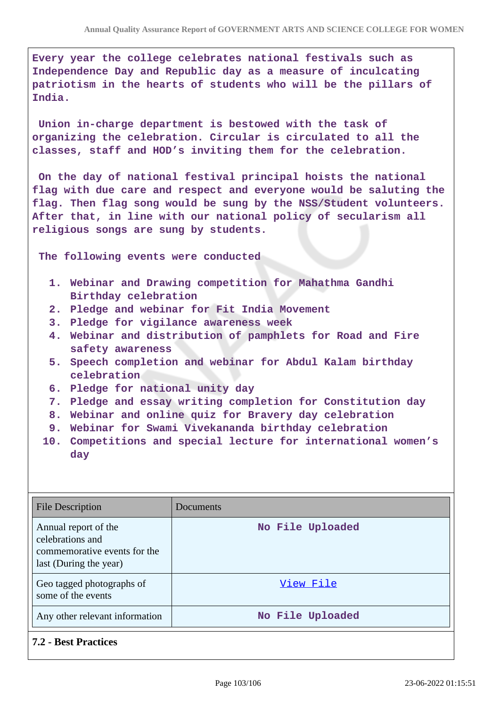**Every year the college celebrates national festivals such as Independence Day and Republic day as a measure of inculcating patriotism in the hearts of students who will be the pillars of India.**

 **Union in-charge department is bestowed with the task of organizing the celebration. Circular is circulated to all the classes, staff and HOD's inviting them for the celebration.**

 **On the day of national festival principal hoists the national flag with due care and respect and everyone would be saluting the flag. Then flag song would be sung by the NSS/Student volunteers. After that, in line with our national policy of secularism all religious songs are sung by students.**

 **The following events were conducted**

- **1. Webinar and Drawing competition for Mahathma Gandhi Birthday celebration**
- **2. Pledge and webinar for Fit India Movement**
- **3. Pledge for vigilance awareness week**
- **4. Webinar and distribution of pamphlets for Road and Fire safety awareness**
- **5. Speech completion and webinar for Abdul Kalam birthday celebration**
- **6. Pledge for national unity day**
- **7. Pledge and essay writing completion for Constitution day**
- **8. Webinar and online quiz for Bravery day celebration**
- **9. Webinar for Swami Vivekananda birthday celebration**
- **10. Competitions and special lecture for international women's day**

| <b>File Description</b>                                                                            | Documents        |
|----------------------------------------------------------------------------------------------------|------------------|
| Annual report of the<br>celebrations and<br>commemorative events for the<br>last (During the year) | No File Uploaded |
| Geo tagged photographs of<br>some of the events                                                    | View File        |
| Any other relevant information                                                                     | No File Uploaded |

**7.2 - Best Practices**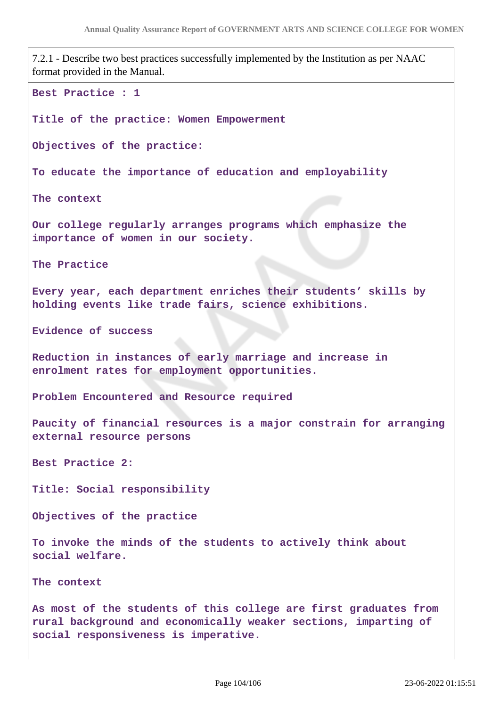7.2.1 - Describe two best practices successfully implemented by the Institution as per NAAC format provided in the Manual. **Best Practice : 1 Title of the practice: Women Empowerment Objectives of the practice: To educate the importance of education and employability The context Our college regularly arranges programs which emphasize the importance of women in our society. The Practice Every year, each department enriches their students' skills by holding events like trade fairs, science exhibitions. Evidence of success Reduction in instances of early marriage and increase in enrolment rates for employment opportunities. Problem Encountered and Resource required Paucity of financial resources is a major constrain for arranging external resource persons Best Practice 2: Title: Social responsibility Objectives of the practice To invoke the minds of the students to actively think about social welfare. The context As most of the students of this college are first graduates from rural background and economically weaker sections, imparting of social responsiveness is imperative.**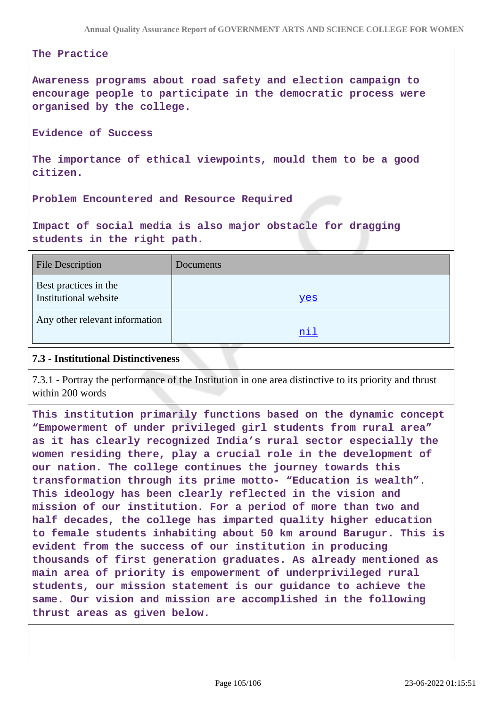#### **The Practice**

**Awareness programs about road safety and election campaign to encourage people to participate in the democratic process were organised by the college.**

#### **Evidence of Success**

**The importance of ethical viewpoints, mould them to be a good citizen.**

**Problem Encountered and Resource Required**

**Impact of social media is also major obstacle for dragging students in the right path.**

| <b>File Description</b>                        | Documents |
|------------------------------------------------|-----------|
| Best practices in the<br>Institutional website | yes       |
| Any other relevant information                 | nil       |

#### **7.3 - Institutional Distinctiveness**

7.3.1 - Portray the performance of the Institution in one area distinctive to its priority and thrust within 200 words

**This institution primarily functions based on the dynamic concept "Empowerment of under privileged girl students from rural area" as it has clearly recognized India's rural sector especially the women residing there, play a crucial role in the development of our nation. The college continues the journey towards this transformation through its prime motto- "Education is wealth". This ideology has been clearly reflected in the vision and mission of our institution. For a period of more than two and half decades, the college has imparted quality higher education to female students inhabiting about 50 km around Barugur. This is evident from the success of our institution in producing thousands of first generation graduates. As already mentioned as main area of priority is empowerment of underprivileged rural students, our mission statement is our guidance to achieve the same. Our vision and mission are accomplished in the following thrust areas as given below.**